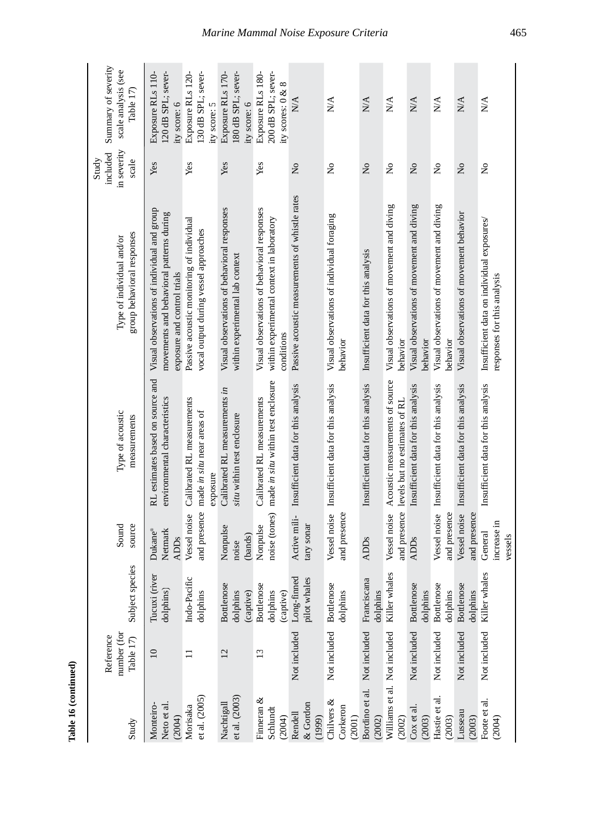| Subject species                     | source<br>Sound                   | Type of acoustic<br>measurements                                              | group behavioral responses<br>Type of individual and/or                                                                | in severity<br>included<br>Study<br>scale | Summary of severity<br>scale analysis (see<br>Table 17)      |
|-------------------------------------|-----------------------------------|-------------------------------------------------------------------------------|------------------------------------------------------------------------------------------------------------------------|-------------------------------------------|--------------------------------------------------------------|
| Tucuxi (river<br>dolphins)          | Dukane®<br>Netmark<br><b>ADDs</b> | RL estimates based on source and<br>environmental characteristics             | Visual observations of individual and group<br>movements and behavioral patterns during<br>exposure and control trials | Yes                                       | Exposure RLs 110-<br>120 dB SPL; sever-<br>ity score: 6      |
| Indo-Pacific<br>dolphins            | and presence<br>Vessel noise      | Calibrated RL measurements<br>made in situ near areas of<br>exposure          | Passive acoustic monitoring of individual<br>vocal output during vessel approaches                                     | Yes                                       | Exposure RLs 120-<br>130 dB SPL; sever-<br>ity score: 5      |
| Bottlenose<br>dolphins<br>(captive) | Nonpulse<br>(bands)<br>noise      | Calibrated RL measurements in<br>situ within test enclosure                   | Visual observations of behavioral responses<br>within experimental lab context                                         | Yes                                       | Exposure RLs 170-<br>180 dB SPL; sever-<br>ity score: 6      |
| Bottlenose<br>dolphins<br>(captive) | noise (tones)<br>Nonpulse         | made in situ within test enclosure<br>Calibrated RL measurements              | Visual observations of behavioral responses<br>within experimental context in laboratory<br>conditions                 | Yes                                       | 200 dB SPL; sever-<br>Exposure RLs 180-<br>ity scores: 0 & 8 |
| Long-finned<br>pilot whales         | Active mili-<br>tary sonar        | Insufficient data for this analysis                                           | Passive acoustic measurements of whistle rates                                                                         | $\overline{\mathsf{z}}$                   | N/A                                                          |
| Bottlenose<br>dolphins              | Vessel noise<br>and presence      | Insufficient data for this analysis                                           | Visual observations of individual foraging<br>behavior                                                                 | $\tilde{z}$                               | $\sum_{i=1}^{n}$                                             |
| Franciscana<br>dolphins             | <b>ADDs</b>                       | Insufficient data for this analysis                                           | Insufficient data for this analysis                                                                                    | $\mathsf{S}^{\mathsf{O}}$                 | N/A                                                          |
| Killer whales                       | Vessel noise                      | Acoustic measurements of source<br>and presence levels but no estimates of RL | Visual observations of movement and diving<br>behavior                                                                 | $\tilde{\mathbf{z}}$                      | <b>N/A</b>                                                   |
| <b>Bottlenose</b><br>dolphins       | <b>ADDs</b>                       | Insufficient data for this analysis                                           | Visual observations of movement and diving<br>behavior                                                                 | $\tilde{z}$                               | N/A                                                          |
| <b>Bottlenose</b><br>dolphins       | Vessel noise<br>and presence      | Insufficient data for this analysis                                           | Visual observations of movement and diving<br>behavior                                                                 | $\mathop{\mathsf{S}}\nolimits$            | N/A                                                          |
| Bottlenose<br>dolphins              | Vessel noise<br>and presence      | Insufficient data for this analysis                                           | Visual observations of movement behavior                                                                               | $\tilde{\mathbf{z}}$                      | N/A                                                          |
| Killer whales                       | increase in<br>General<br>vessels | Insufficient data for this analysis                                           | Insufficient data on individual exposures/<br>responses for this analysis                                              | $\frac{1}{2}$                             | $\mathbb{N}\mathbb{A}$                                       |

Table 16 (continued) **Table 16 (continued)**

## *Marine Mammal Noise Exposure Criteria* 465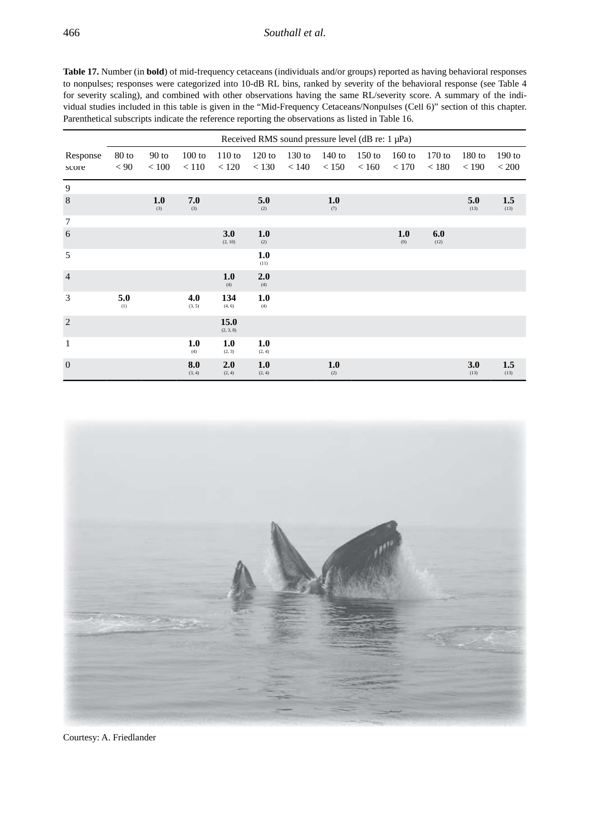## 466 *Southall et al.*

|                   |                 |                  |                 |                   | Received RMS sound pressure level (dB re: 1 µPa) |                   |                   |                   |                   |                   |                   |                   |
|-------------------|-----------------|------------------|-----------------|-------------------|--------------------------------------------------|-------------------|-------------------|-------------------|-------------------|-------------------|-------------------|-------------------|
| Response<br>score | $80$ to<br>< 90 | $90$ to<br>< 100 | 100 to<br>< 110 | 110 to<br>< 120   | $120$ to<br>< 130                                | $130$ to<br>< 140 | $140$ to<br>< 150 | $150$ to<br>< 160 | $160$ to<br>< 170 | $170$ to<br>< 180 | $180$ to<br>< 190 | $190$ to<br>< 200 |
| 9                 |                 |                  |                 |                   |                                                  |                   |                   |                   |                   |                   |                   |                   |
| 8                 |                 | 1.0<br>(3)       | 7.0<br>(3)      |                   | 5.0<br>(2)                                       |                   | 1.0<br>(7)        |                   |                   |                   | 5.0<br>(13)       | 1.5<br>(13)       |
| $\overline{7}$    |                 |                  |                 |                   |                                                  |                   |                   |                   |                   |                   |                   |                   |
| 6                 |                 |                  |                 | 3.0<br>(2, 10)    | 1.0<br>(2)                                       |                   |                   |                   | 1.0<br>(9)        | 6.0<br>(12)       |                   |                   |
| 5                 |                 |                  |                 |                   | 1.0<br>(11)                                      |                   |                   |                   |                   |                   |                   |                   |
| $\overline{4}$    |                 |                  |                 | 1.0<br>(4)        | 2.0<br>(4)                                       |                   |                   |                   |                   |                   |                   |                   |
| 3                 | 5.0<br>(1)      |                  | 4.0<br>(3, 5)   | 134<br>(4, 6)     | 1.0<br>(4)                                       |                   |                   |                   |                   |                   |                   |                   |
| $\overline{2}$    |                 |                  |                 | 15.0<br>(2, 3, 8) |                                                  |                   |                   |                   |                   |                   |                   |                   |
| $\mathbf{1}$      |                 |                  | 1.0<br>(4)      | 1.0<br>(2, 3)     | 1.0<br>(2, 4)                                    |                   |                   |                   |                   |                   |                   |                   |
| $\overline{0}$    |                 |                  | 8.0<br>(3, 4)   | 2.0<br>(2, 4)     | 1.0<br>(2, 4)                                    |                   | 1.0<br>(2)        |                   |                   |                   | 3.0<br>(13)       | 1.5<br>(13)       |



Courtesy: A. Friedlander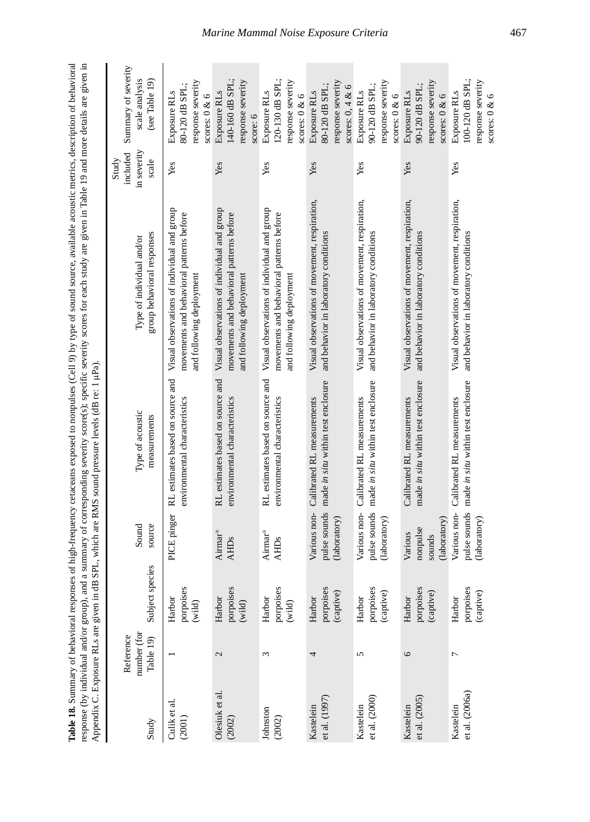| nses of high-frequency cetaceans exposed to nonpulses (Cell 9) by type of sound source, available acoustic metrics, description of behavioral<br>l'able 18. Summarv of                   |
|------------------------------------------------------------------------------------------------------------------------------------------------------------------------------------------|
| nd a summary of corresponding severity score(s); specific severity scores for each study are given in Table 19 and more details are given in<br>snonse (by individual and/or group), and |
| IB SPL, which are RMS sound pressure levels (dB re: 1 µPa).<br>pendix C. Exposure RLs are given in                                                                                       |
|                                                                                                                                                                                          |

| Study                       | number (for<br>Reference<br>Table 19) | Subject species                  | source<br>Sound                               | Type of acoustic<br>measurements                                  | group behavioral responses<br>Type of individual and/or                                                             | in severity<br>included<br>Study<br>scale | Summary of severity<br>scale analysis<br>(see Table 19)                   |
|-----------------------------|---------------------------------------|----------------------------------|-----------------------------------------------|-------------------------------------------------------------------|---------------------------------------------------------------------------------------------------------------------|-------------------------------------------|---------------------------------------------------------------------------|
| Culik et al.<br>(2001)      |                                       | porpoises<br>Harbor<br>(wid)     | PICE pinger                                   | RL estimates based on source and<br>environmental characteristics | Visual observations of individual and group<br>movements and behavioral patterns before<br>and following deployment | Yes                                       | response severity<br>80-120 dB SPL:<br>Exposure RLs<br>scores: $0 & 6$    |
| Olesiuk et al.<br>(2002)    | $\mathcal{L}$                         | porpoises<br>Harbor<br>(wild)    | Airmar®<br><b>AHD<sub>s</sub></b>             | RL estimates based on source and<br>environmental characteristics | Visual observations of individual and group<br>movements and behavioral patterns before<br>and following deployment | Yes                                       | 140-160 dB SPL;<br>response severity<br>Exposure RLs<br>score: 6          |
| Johnston<br>(2002)          | 3                                     | porpoises<br>Harbor<br>(wild)    | Airmar®<br><b>AHD<sub>s</sub></b>             | RL estimates based on source and<br>environmental characteristics | Visual observations of individual and group<br>movements and behavioral patterns before<br>and following deployment | Yes                                       | 120-130 dB SPL;<br>response severity<br>Exposure RLs<br>scores: $0 & 6$   |
| et al. (1997)<br>Kastelein  | 4                                     | porpoises<br>(captive)<br>Harbor | pulse sounds<br>Various non-<br>(laboratory)  | made in situ within test enclosure<br>Calibrated RL measurements  | Visual observations of movement, respiration,<br>and behavior in laboratory conditions                              | Yes                                       | response severity<br>80-120 dB SPL:<br>scores: $0, 4 & 6$<br>Exposure RLs |
| et al. (2000)<br>Kastelein  | 5                                     | porpoises<br>(captive)<br>Harbor | Various non-<br>pulse sounds<br>(laboratory)  | made in situ within test enclosure<br>Calibrated RL measurements  | Visual observations of movement, respiration,<br>and behavior in laboratory conditions                              | Yes                                       | response severity<br>90-120 dB SPL;<br>Exposure RLs<br>scores: $0 & 6$    |
| et al. (2005)<br>Kastelein  | 6                                     | porpoises<br>(captive)<br>Harbor | (laboratory)<br>nonpulse<br>Various<br>sounds | made in situ within test enclosure<br>Calibrated RL measurements  | Visual observations of movement, respiration,<br>and behavior in laboratory conditions                              | Yes                                       | response severity<br>90-120 dB SPL;<br>Exposure RLs<br>scores: $0 & 6$    |
| et al. (2006a)<br>Kastelein | Γ                                     | porpoises<br>(captive)<br>Harbor | pulse sounds<br>Various non-<br>(laboratory)  | made in situ within test enclosure<br>Calibrated RL measurements  | Visual observations of movement, respiration,<br>and behavior in laboratory conditions                              | Yes                                       | 100-120 dB SPL;<br>response severity<br>Exposure RLs<br>scores: $0 < 6$   |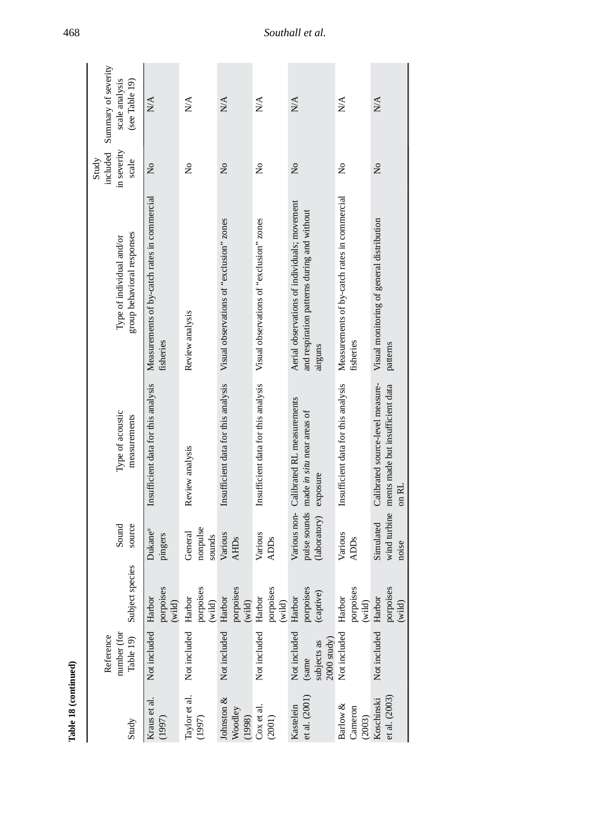|                      | Summary of severity<br>scale analysis<br>(see Table 19) | N/A                                                       | $\sum_{i=1}^{n}$              | $N\!A$                                   | $\sum_{i=1}^{n}$                         | $\mathbb{N}/\mathbb{A}$                                                                                | N/A                                                       | N/A                                                                           |
|----------------------|---------------------------------------------------------|-----------------------------------------------------------|-------------------------------|------------------------------------------|------------------------------------------|--------------------------------------------------------------------------------------------------------|-----------------------------------------------------------|-------------------------------------------------------------------------------|
|                      | included<br>in severity<br>scale<br>Study               | $\tilde{\mathbf{z}}$                                      | $\tilde{z}$                   | $\tilde{\mathbf{z}}$                     | $\mathsf{S}^{\mathsf{O}}$                | $\frac{1}{2}$                                                                                          | $\frac{1}{2}$                                             | $\tilde{\mathsf{z}}$                                                          |
|                      | group behavioral responses<br>Type of individual and/or | Measurements of by-catch rates in commercial<br>fisheries | Review analysis               | Visual observations of "exclusion" zones | Visual observations of "exclusion" zones | Aerial observations of individuals; movement<br>and respiration patterns during and without<br>airguns | Measurements of by-catch rates in commercial<br>fisheries | Visual monitoring of general distribution<br>patterns                         |
|                      | Type of acoustic<br>measurements                        | Insufficient data for this analysis                       | Review analysis               | Insufficient data for this analysis      | Insufficient data for this analysis      | Various non- Calibrated RL measurements<br>made in situ near areas of<br>exposure                      | Insufficient data for this analysis                       | Calibrated source-level measure-<br>ments made but insufficient data<br>on RL |
|                      | source<br>Sound                                         | Dukane®<br>pingers                                        | nonpulse<br>General<br>sounds | Various<br><b>AHD<sub>s</sub></b>        | Various<br><b>ADDs</b>                   | pulse sounds<br>(laboratory)                                                                           | Various<br><b>ADDs</b>                                    | wind turbine<br>Simulated<br>noise                                            |
|                      | Subject species                                         | porpoises<br>(wild)                                       | porpoises<br>(wild)           | porpoises<br>$(\text{wild})$             | porpoises<br>(wild)                      | porpoises<br>(captive)<br>Harbor                                                                       | porpoises<br>Harbor<br>(wild)                             | porpoises<br>(wild)                                                           |
|                      | number (for<br>Table 19)<br>Reference                   | Not included Harbor                                       | Not included Harbor           | Not included Harbor                      | Not included Harbor                      | Not included<br>$2000$ study)<br>(same<br>subjects as                                                  | Not included                                              | Not included Harbor                                                           |
| Table 18 (continued) | Study                                                   | Kraus et al.<br>(1997)                                    | Taylor et al.<br>(1997)       | Johnston &<br>Woodley<br>(1998)          | Cox et al.<br>(2001)                     | et al. (2001)<br>Kastelein                                                                             | Barlow &<br>Cameron<br>(2003)                             | et al. (2003)<br>Koschinski                                                   |

468 *Southall et al.*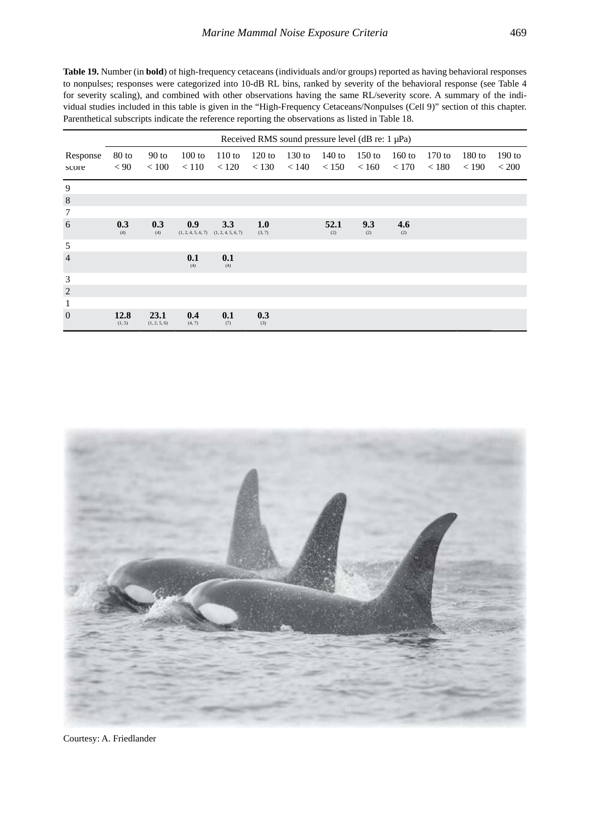**Table 19.** Number (in **bold**) of high-frequency cetaceans (individuals and/or groups) reported as having behavioral responses to nonpulses; responses were categorized into 10-dB RL bins, ranked by severity of the behavioral response (see Table 4 for severity scaling), and combined with other observations having the same RL/severity score. A summary of the individual studies included in this table is given in the "High-Frequency Cetaceans/Nonpulses (Cell 9)" section of this chapter. Parenthetical subscripts indicate the reference reporting the observations as listed in Table 18.

|                   |                 |                      |                 |                                                  |                   | Received RMS sound pressure level (dB re: 1 µPa) |                   |                   |                   |                   |                   |                       |
|-------------------|-----------------|----------------------|-----------------|--------------------------------------------------|-------------------|--------------------------------------------------|-------------------|-------------------|-------------------|-------------------|-------------------|-----------------------|
| Response<br>score | $80$ to<br>< 90 | $90$ to<br>< 100     | 100 to<br>< 110 | 110 to<br>< 120                                  | $120$ to<br>< 130 | $130$ to<br>< 140                                | $140$ to<br>< 150 | $150$ to<br>< 160 | $160$ to<br>< 170 | $170$ to<br>< 180 | $180$ to<br>< 190 | $190$ to<br>${}<$ 200 |
| 9                 |                 |                      |                 |                                                  |                   |                                                  |                   |                   |                   |                   |                   |                       |
| $\,$ 8 $\,$       |                 |                      |                 |                                                  |                   |                                                  |                   |                   |                   |                   |                   |                       |
| $\tau$            |                 |                      |                 |                                                  |                   |                                                  |                   |                   |                   |                   |                   |                       |
| 6                 | 0.3<br>(4)      | 0.3<br>(4)           | 0.9             | 3.3<br>$(1, 2, 4, 5, 6, 7)$ $(1, 2, 4, 5, 6, 7)$ | 1.0<br>(3, 7)     |                                                  | 52.1<br>(2)       | 9.3<br>(2)        | 4.6<br>(2)        |                   |                   |                       |
| 5                 |                 |                      |                 |                                                  |                   |                                                  |                   |                   |                   |                   |                   |                       |
| $\overline{4}$    |                 |                      | 0.1<br>(4)      | 0.1<br>(4)                                       |                   |                                                  |                   |                   |                   |                   |                   |                       |
| 3                 |                 |                      |                 |                                                  |                   |                                                  |                   |                   |                   |                   |                   |                       |
| $\overline{2}$    |                 |                      |                 |                                                  |                   |                                                  |                   |                   |                   |                   |                   |                       |
| $\mathbf{1}$      |                 |                      |                 |                                                  |                   |                                                  |                   |                   |                   |                   |                   |                       |
| $\Omega$          | 12.8<br>(1, 5)  | 23.1<br>(1, 2, 5, 6) | 0.4<br>(4, 7)   | 0.1<br>(7)                                       | 0.3<br>(3)        |                                                  |                   |                   |                   |                   |                   |                       |



Courtesy: A. Friedlander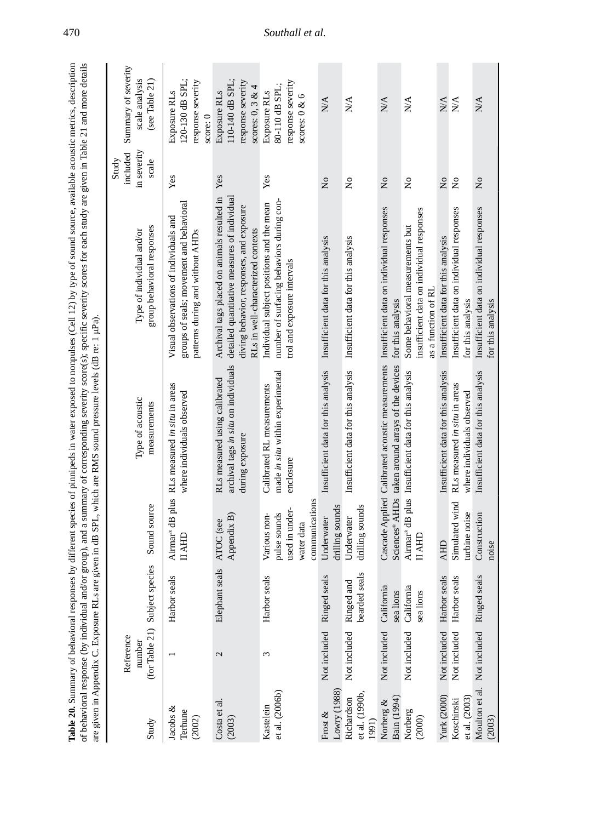| acomm                                                                                                        |                                                                                                                                                     |                                                             |
|--------------------------------------------------------------------------------------------------------------|-----------------------------------------------------------------------------------------------------------------------------------------------------|-------------------------------------------------------------|
|                                                                                                              |                                                                                                                                                     |                                                             |
|                                                                                                              |                                                                                                                                                     |                                                             |
|                                                                                                              |                                                                                                                                                     |                                                             |
|                                                                                                              |                                                                                                                                                     |                                                             |
|                                                                                                              |                                                                                                                                                     |                                                             |
| of pinnipeds in water exposed to nonpulses (Cell 12) by type of sound source, available acoustic metrics, dr | ou and/or group), and a summary of corresponding severity score(s); specific severity scores for each study are given in Table 21 and more detained | $AB$ re: $1$ uPs                                            |
|                                                                                                              |                                                                                                                                                     |                                                             |
|                                                                                                              |                                                                                                                                                     |                                                             |
|                                                                                                              |                                                                                                                                                     |                                                             |
| literen                                                                                                      |                                                                                                                                                     |                                                             |
|                                                                                                              |                                                                                                                                                     | Us are given in dB SPL, which are RMS sound pressure levels |
|                                                                                                              |                                                                                                                                                     |                                                             |
|                                                                                                              |                                                                                                                                                     |                                                             |
|                                                                                                              |                                                                                                                                                     |                                                             |

|                                      | are given in Appendix C. Exposure RLs ar |                                |                                                                                | re given in dB SPL, which are RMS sound pressure levels (dB re: 1 µPa)                                | of behavioral response (by individual and/or group), and a summary of corresponding severity score(s); specific severity scores for each study are given in Table 21 and more details |                                           |                                                                            |
|--------------------------------------|------------------------------------------|--------------------------------|--------------------------------------------------------------------------------|-------------------------------------------------------------------------------------------------------|---------------------------------------------------------------------------------------------------------------------------------------------------------------------------------------|-------------------------------------------|----------------------------------------------------------------------------|
| Study                                | Reference<br>number                      | (for Table 21) Subject species | Sound source                                                                   | Type of acoustic<br>measurements                                                                      | group behavioral responses<br>Type of individual and/or                                                                                                                               | in severity<br>included<br>Study<br>scale | Summary of severity<br>scale analysis<br>(see Table 21)                    |
| Jacobs $\&$<br>Terhune<br>(2002)     |                                          | Harbor seals                   | Airmar® dB plus<br>HAHD                                                        | RLs measured in situ in areas<br>where individuals observed                                           | groups of seals; movement and behavioral<br>Visual observations of individuals and<br>patterns during and without AHDs                                                                | Yes                                       | 120-130 dB SPL;<br>response severity<br>Exposure RLs<br>score: 0           |
| Costa et al.<br>(2003)               | $\mathcal{L}$                            | Elephant seals                 | Appendix B<br>ATOC (see                                                        | archival tags in situ on individuals<br>RLs measured using calibrated<br>during exposure              | Archival tags placed on animals resulted in<br>detailed quantitative measures of individua<br>diving behavior, responses, and exposure<br>RLs in well-characterized contexts          | Yes                                       | 110-140 dB SPL:<br>response severity<br>scores: $0, 3 & 4$<br>Exposure RLs |
| et al. (2006b)<br>Kastelein          | 3                                        | Harbor seals                   | communications<br>used in under-<br>pulse sounds<br>Various non-<br>water data | made in situ within experimental<br>Calibrated RL measurements<br>enclosure                           | number of surfacing behaviors during con-<br>Individual subject positions and the mean<br>trol and exposure intervals                                                                 | Yes                                       | response severity<br>80-110 dB SPL;<br>Exposure RLs<br>scores: $0 < 6$     |
| Lowry (1988)<br>Frost $\&$           | Not included                             | Ringed seals                   | drilling sounds<br>Underwater                                                  | Insufficient data for this analysis                                                                   | Insufficient data for this analysis                                                                                                                                                   | $\tilde{z}$                               | $\mathbb{N}\mathbb{A}$                                                     |
| et al. (1990b<br>Richardson<br>1991) | Not included                             | bearded seals<br>Ringed and    | drilling sounds<br>Underwater                                                  | Insufficient data for this analysis                                                                   | Insufficient data for this analysis                                                                                                                                                   | $\mathsf{S}^{\mathsf{O}}$                 | N/A                                                                        |
| Bain (1994)<br>Norberg &             | Not included                             | California<br>sea lions        |                                                                                | Cascade Applied Calibrated acoustic measurements<br>Sciences® AHDs taken around arrays of the devices | Insufficient data on individual responses<br>for this analysis                                                                                                                        | $\mathsf{S}^{\mathsf{O}}$                 | N/A                                                                        |
| Norberg<br>(2000)                    | Not included                             | California<br>sea lions        | <b>HIVII</b>                                                                   | Airmar® dB plus Insufficient data for this analysis                                                   | insufficient data on individual responses<br>Some behavioral measurements but<br>as a function of RI                                                                                  | $\mathsf{S}^{\mathsf{O}}$                 | $\sum_{i=1}^{n}$                                                           |
| Yurk (2000)                          | Not included                             | Harbor seals                   | <b>AHD</b>                                                                     | Insufficient data for this analysis                                                                   | Insufficient data for this analysis                                                                                                                                                   | $\tilde{z}$                               | $\sum_{i=1}^{n}$                                                           |
| et al. (2003)<br>Koschinski          | Not included                             | Harbor seals                   | Simulated wind<br>turbine noise                                                | RLs measured in situ in areas<br>where individuals observed                                           | Insufficient data on individual responses<br>for this analysis                                                                                                                        | $\mathsf{S}^{\mathsf{o}}$                 | $\sum_{i=1}^{n}$                                                           |
| (2003)                               | Moulton et al. Not included              | Ringed seals                   | Construction<br>noise                                                          | Insufficient data for this analysis                                                                   | Insufficient data on individual responses<br>for this analysis                                                                                                                        | $\overline{\mathsf{z}}$                   | N/A                                                                        |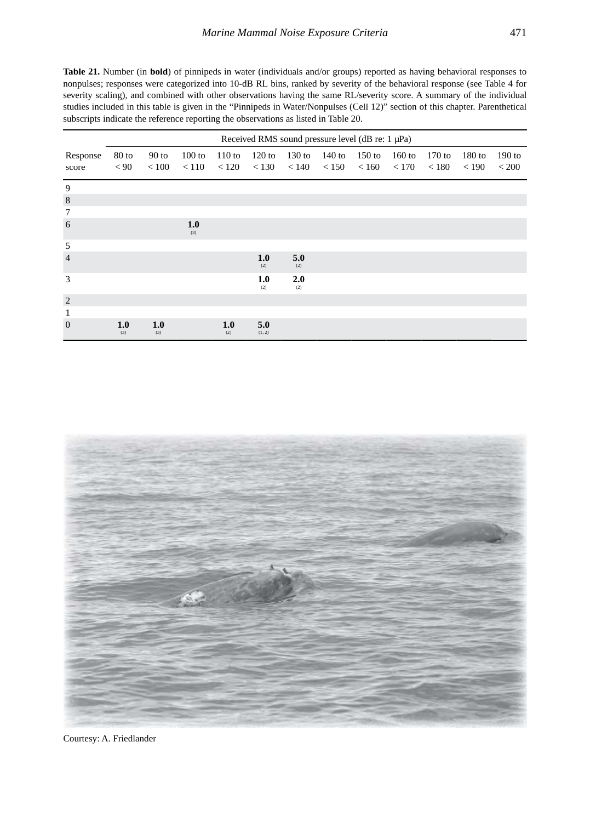**Table 21.** Number (in **bold**) of pinnipeds in water (individuals and/or groups) reported as having behavioral responses to nonpulses; responses were categorized into 10-dB RL bins, ranked by severity of the behavioral response (see Table 4 for severity scaling), and combined with other observations having the same RL/severity score. A summary of the individual studies included in this table is given in the "Pinnipeds in Water/Nonpulses (Cell 12)" section of this chapter. Parenthetical subscripts indicate the reference reporting the observations as listed in Table 20.

|                   |               |                  |                   |                   |                   |                   | Received RMS sound pressure level (dB re: 1 µPa) |          |                             |                   |                   |                   |
|-------------------|---------------|------------------|-------------------|-------------------|-------------------|-------------------|--------------------------------------------------|----------|-----------------------------|-------------------|-------------------|-------------------|
| Response<br>score | 80 to<br>< 90 | $90$ to<br>< 100 | $100$ to<br>< 110 | $110$ to<br>< 120 | $120$ to<br>< 130 | $130$ to<br>< 140 | 140 to<br>< 150                                  | $150$ to | $160$ to<br>$< 160$ $< 170$ | $170$ to<br>< 180 | $180$ to<br>< 190 | $190$ to<br>< 200 |
| 9                 |               |                  |                   |                   |                   |                   |                                                  |          |                             |                   |                   |                   |
| $\,8\,$           |               |                  |                   |                   |                   |                   |                                                  |          |                             |                   |                   |                   |
| $\tau$            |               |                  |                   |                   |                   |                   |                                                  |          |                             |                   |                   |                   |
| 6                 |               |                  | 1.0<br>(3)        |                   |                   |                   |                                                  |          |                             |                   |                   |                   |
| 5                 |               |                  |                   |                   |                   |                   |                                                  |          |                             |                   |                   |                   |
| $\overline{4}$    |               |                  |                   |                   | 1.0<br>(2)        | 5.0<br>(2)        |                                                  |          |                             |                   |                   |                   |
| 3                 |               |                  |                   |                   | 1.0<br>(2)        | 2.0<br>(2)        |                                                  |          |                             |                   |                   |                   |
| 2                 |               |                  |                   |                   |                   |                   |                                                  |          |                             |                   |                   |                   |
| $\mathbf{1}$      |               |                  |                   |                   |                   |                   |                                                  |          |                             |                   |                   |                   |
| $\overline{0}$    | 1.0<br>(3)    | 1.0<br>(3)       |                   | 1.0<br>(2)        | 5.0<br>(1, 2)     |                   |                                                  |          |                             |                   |                   |                   |

Courtesy: A. Friedlander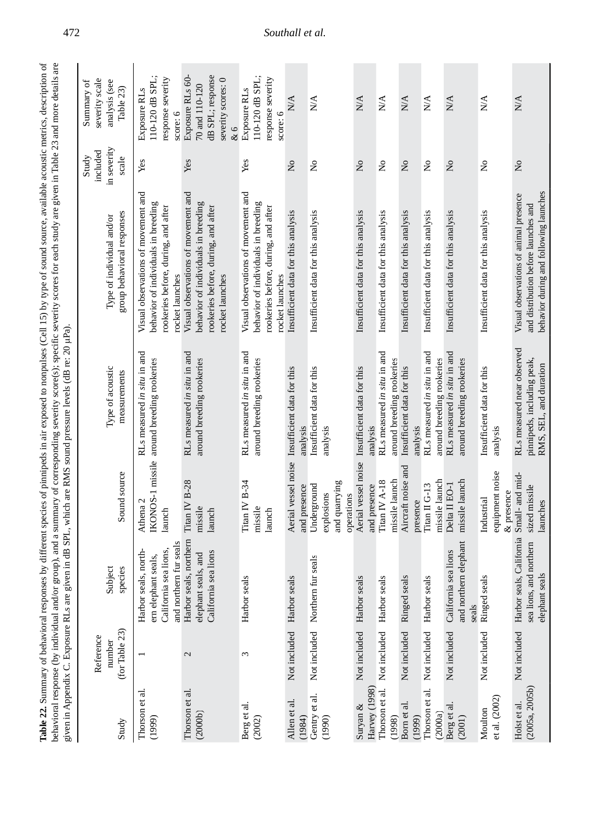| ses by different species of pinnipeds in air exposed to nonpulses (Cell 15) by type of sound source, available acoustic metrics, description of | vr group), and a summary of corresponding severity score(s); specific severity scores for each study are given in Table 23 and more details are |                                                                      |  |
|-------------------------------------------------------------------------------------------------------------------------------------------------|-------------------------------------------------------------------------------------------------------------------------------------------------|----------------------------------------------------------------------|--|
|                                                                                                                                                 |                                                                                                                                                 |                                                                      |  |
|                                                                                                                                                 |                                                                                                                                                 |                                                                      |  |
|                                                                                                                                                 |                                                                                                                                                 |                                                                      |  |
|                                                                                                                                                 |                                                                                                                                                 |                                                                      |  |
|                                                                                                                                                 |                                                                                                                                                 |                                                                      |  |
|                                                                                                                                                 |                                                                                                                                                 |                                                                      |  |
|                                                                                                                                                 |                                                                                                                                                 | tiven in dB SPL, which are RMS sound pressure levels (dB re: 20 µPa) |  |
|                                                                                                                                                 |                                                                                                                                                 |                                                                      |  |
|                                                                                                                                                 |                                                                                                                                                 |                                                                      |  |
|                                                                                                                                                 |                                                                                                                                                 |                                                                      |  |
|                                                                                                                                                 |                                                                                                                                                 |                                                                      |  |
|                                                                                                                                                 |                                                                                                                                                 |                                                                      |  |
| : henavior                                                                                                                                      |                                                                                                                                                 |                                                                      |  |
| $le 22$ . Summary $\circ$                                                                                                                       |                                                                                                                                                 |                                                                      |  |
|                                                                                                                                                 | shavioral response (by individual and                                                                                                           | wwen in Appendix C. Hym.                                             |  |

| Study                          | (for Table 23)<br>Reference<br>number | Subject<br>species                                                                             | Sound source                                             | Type of acoustic<br>measurements                                                   | group behavioral responses<br>Type of individual and/or                                                                              | in severity<br>included<br>Study<br>scale | severity scale<br>analysis (see<br>Summary of<br>Table 23)                         |
|--------------------------------|---------------------------------------|------------------------------------------------------------------------------------------------|----------------------------------------------------------|------------------------------------------------------------------------------------|--------------------------------------------------------------------------------------------------------------------------------------|-------------------------------------------|------------------------------------------------------------------------------------|
| Thorson et al.<br>(1999)       |                                       | and northern fur seals<br>California sea lions,<br>Harbor seals, north-<br>ern elephant seals, | Athena 2<br>launch                                       | RLs measured in situ in and<br>IKONOS-1 missile around breeding rookeries          | Visual observations of movement and<br>behavior of individuals in breeding<br>rookeries before, during, and after<br>rocket launches | Yes                                       | 110-120 dB SPL;<br>response severity<br>Exposure RLs<br>score: 6                   |
| Thorson et al.<br>(2000b)      | $\mathcal{L}$                         | Harbor seals, northern<br>California sea lions<br>elephant seals, and                          | Titan IV B-28<br>missile<br>launch                       | RLs measured in situ in and<br>around breeding rookeries                           | Visual observations of movement and<br>behavior of individuals in breeding<br>rookeries before, during, and after<br>rocket launches | Yes                                       | dB SPL; response<br>Exposure RLs 60-<br>severity scores: 0<br>70 and 110-120<br>&6 |
| Berg et al.<br>(2002)          | 3                                     | Harbor seals                                                                                   | Titan IV B-34<br>missile<br>launch                       | RLs measured in situ in and<br>around breeding rookeries                           | Visual observations of movement and<br>behavior of individuals in breeding<br>rookeries before, during, and after<br>rocket launches | Yes                                       | 110-120 dB SPL;<br>response severity<br>Exposure RLs<br>score: 6                   |
| Allen et al.<br>(1984)         | Not included Harbor seals             |                                                                                                | and presence                                             | Aerial vessel noise Insufficient data for this<br>analysis                         | Insufficient data for this analysis                                                                                                  | $\tilde{z}$                               | N/A                                                                                |
| Gentry et al.<br>(1990)        | Not included Northern                 | fur seals                                                                                      | and quarrying<br>Underground<br>explosions<br>operations | Insufficient data for this<br>analysis                                             | Insufficient data for this analysis                                                                                                  | $\mathsf{S}^{\mathsf{O}}$                 | $\stackrel{\triangle}{N}$                                                          |
| Harvey (1998)<br>Suryan $\&$   | Not included                          | Harbor seals                                                                                   | Aerial vessel noise<br>and presence                      | Insufficient data for this<br>analysis                                             | Insufficient data for this analysis                                                                                                  | $\overline{\mathsf{z}}$                   | N/A                                                                                |
| Thorson et al.<br>(1998)       | Not included                          | Harbor seals                                                                                   | missile launch<br>Titan IV A-18                          | RLs measured in situ in and<br>around breeding rookeries                           | Insufficient data for this analysis                                                                                                  | ż                                         | $\mathbb{N}^{\mathbb{A}}$                                                          |
| Born et al.<br>(1999)          | Not included                          | Ringed seals                                                                                   | Aircraft noise and<br>presence                           | Insufficient data for this<br>analysis                                             | Insufficient data for this analysis                                                                                                  | $\mathsf{S}^{\mathsf{o}}$                 | <b>N/A</b>                                                                         |
| Thorson et al.<br>(2000a)      | Not included                          | Harbor seals                                                                                   | missile launch<br>Titan II G-13                          | RLs measured in situ in and<br>around breeding rookeries                           | Insufficient data for this analysis                                                                                                  | $\tilde{z}$                               | N/A                                                                                |
| Berg et al.<br>(2001)          | Not included                          | and northern elephant<br>California sea lions<br>seals                                         | missile launch<br>Delta II EO-1                          | RLs measured in situ in and<br>around breeding rookeries                           | Insufficient data for this analysis                                                                                                  | $\tilde{z}$                               | <b>N/A</b>                                                                         |
| et al. (2002)<br>Moulton       | Not included                          | Ringed seals                                                                                   | equipment noise<br>& presence<br>Industrial              | Insufficient data for this<br>analysis                                             | Insufficient data for this analysis                                                                                                  | ż                                         | N/A                                                                                |
| (2005a, 2005b)<br>Holst et al. | Not included                          | Harbor seals, California<br>and northern<br>elephant seals<br>sea lions,                       | Small- and mid-<br>sized missile<br>launches             | RLs measured near observed<br>pinnipeds, including peak,<br>RMS, SEL, and duration | behavior during and following launches<br>Visual observations of animal presence<br>and distribution before launches and             | $\tilde{\mathbf{z}}$                      | N/A                                                                                |

472 *Southall et al.*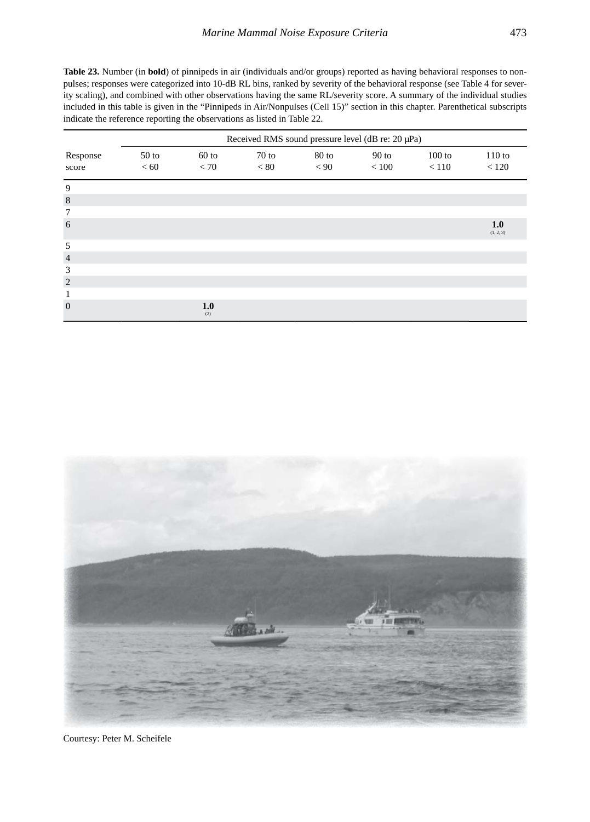**Table 23.** Number (in **bold**) of pinnipeds in air (individuals and/or groups) reported as having behavioral responses to nonpulses; responses were categorized into 10-dB RL bins, ranked by severity of the behavioral response (see Table 4 for severity scaling), and combined with other observations having the same RL/severity score. A summary of the individual studies included in this table is given in the "Pinnipeds in Air/Nonpulses (Cell 15)" section in this chapter. Parenthetical subscripts indicate the reference reporting the observations as listed in Table 22.

|                   |                          |                 |                 |                 | Received RMS sound pressure level (dB re: 20 µPa) |                   |                  |
|-------------------|--------------------------|-----------------|-----------------|-----------------|---------------------------------------------------|-------------------|------------------|
| Response<br>score | 50 <sub>to</sub><br>< 60 | $60$ to<br>< 70 | $70$ to<br>< 80 | $80$ to<br>< 90 | $90$ to<br>< 100                                  | $100$ to<br>< 110 | 110 to<br>< 120  |
| 9                 |                          |                 |                 |                 |                                                   |                   |                  |
| 8                 |                          |                 |                 |                 |                                                   |                   |                  |
| 7                 |                          |                 |                 |                 |                                                   |                   |                  |
| 6                 |                          |                 |                 |                 |                                                   |                   | 1.0<br>(1, 2, 3) |
| 5                 |                          |                 |                 |                 |                                                   |                   |                  |
| $\overline{4}$    |                          |                 |                 |                 |                                                   |                   |                  |
| 3                 |                          |                 |                 |                 |                                                   |                   |                  |
| $\overline{2}$    |                          |                 |                 |                 |                                                   |                   |                  |
| 1                 |                          |                 |                 |                 |                                                   |                   |                  |
| $\mathbf{0}$      |                          | 1.0<br>(2)      |                 |                 |                                                   |                   |                  |



Courtesy: Peter M. Scheifele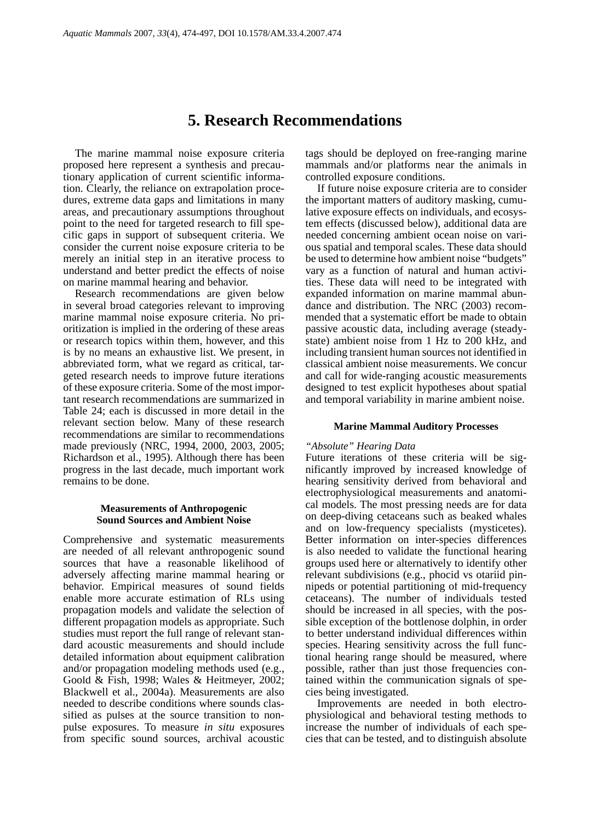# **5. Research Recommendations**

The marine mammal noise exposure criteria proposed here represent a synthesis and precautionary application of current scientific information. Clearly, the reliance on extrapolation procedures, extreme data gaps and limitations in many areas, and precautionary assumptions throughout point to the need for targeted research to fill specific gaps in support of subsequent criteria. We consider the current noise exposure criteria to be merely an initial step in an iterative process to understand and better predict the effects of noise on marine mammal hearing and behavior.

Research recommendations are given below in several broad categories relevant to improving marine mammal noise exposure criteria. No prioritization is implied in the ordering of these areas or research topics within them, however, and this is by no means an exhaustive list. We present, in abbreviated form, what we regard as critical, targeted research needs to improve future iterations of these exposure criteria. Some of the most important research recommendations are summarized in Table 24; each is discussed in more detail in the relevant section below. Many of these research recommendations are similar to recommendations made previously (NRC, 1994, 2000, 2003, 2005; Richardson et al., 1995). Although there has been progress in the last decade, much important work remains to be done.

#### **Measurements of Anthropogenic Sound Sources and Ambient Noise**

Comprehensive and systematic measurements are needed of all relevant anthropogenic sound sources that have a reasonable likelihood of adversely affecting marine mammal hearing or behavior. Empirical measures of sound fields enable more accurate estimation of RLs using propagation models and validate the selection of different propagation models as appropriate. Such studies must report the full range of relevant standard acoustic measurements and should include detailed information about equipment calibration and/or propagation modeling methods used (e.g., Goold & Fish, 1998; Wales & Heitmeyer, 2002; Blackwell et al., 2004a). Measurements are also needed to describe conditions where sounds classified as pulses at the source transition to nonpulse exposures. To measure *in situ* exposures from specific sound sources, archival acoustic

tags should be deployed on free-ranging marine mammals and/or platforms near the animals in controlled exposure conditions.

If future noise exposure criteria are to consider the important matters of auditory masking, cumulative exposure effects on individuals, and ecosystem effects (discussed below), additional data are needed concerning ambient ocean noise on various spatial and temporal scales. These data should be used to determine how ambient noise "budgets" vary as a function of natural and human activities. These data will need to be integrated with expanded information on marine mammal abundance and distribution. The NRC (2003) recommended that a systematic effort be made to obtain passive acoustic data, including average (steadystate) ambient noise from 1 Hz to 200 kHz, and including transient human sources not identified in classical ambient noise measurements. We concur and call for wide-ranging acoustic measurements designed to test explicit hypotheses about spatial and temporal variability in marine ambient noise.

#### **Marine Mammal Auditory Processes**

#### *"Absolute" Hearing Data*

Future iterations of these criteria will be significantly improved by increased knowledge of hearing sensitivity derived from behavioral and electrophysiological measurements and anatomical models. The most pressing needs are for data on deep-diving cetaceans such as beaked whales and on low-frequency specialists (mysticetes). Better information on inter-species differences is also needed to validate the functional hearing groups used here or alternatively to identify other relevant subdivisions (e.g., phocid vs otariid pinnipeds or potential partitioning of mid-frequency cetaceans). The number of individuals tested should be increased in all species, with the possible exception of the bottlenose dolphin, in order to better understand individual differences within species. Hearing sensitivity across the full functional hearing range should be measured, where possible, rather than just those frequencies contained within the communication signals of species being investigated.

Improvements are needed in both electrophysiological and behavioral testing methods to increase the number of individuals of each species that can be tested, and to distinguish absolute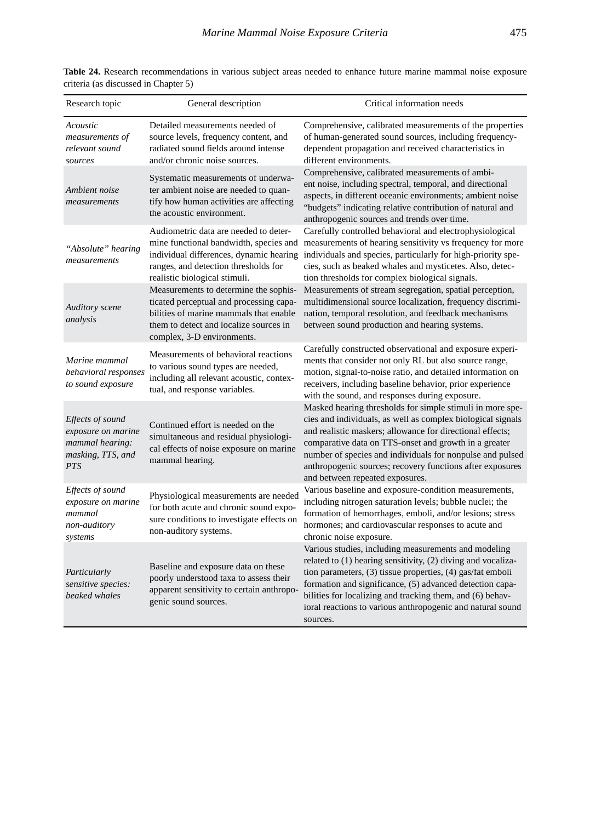| Research topic                                                                               | General description                                                                                                                                                                                 | Critical information needs                                                                                                                                                                                                                                                                                                                                                                                  |
|----------------------------------------------------------------------------------------------|-----------------------------------------------------------------------------------------------------------------------------------------------------------------------------------------------------|-------------------------------------------------------------------------------------------------------------------------------------------------------------------------------------------------------------------------------------------------------------------------------------------------------------------------------------------------------------------------------------------------------------|
| Acoustic<br>measurements of<br>relevant sound<br>sources                                     | Detailed measurements needed of<br>source levels, frequency content, and<br>radiated sound fields around intense<br>and/or chronic noise sources.                                                   | Comprehensive, calibrated measurements of the properties<br>of human-generated sound sources, including frequency-<br>dependent propagation and received characteristics in<br>different environments.                                                                                                                                                                                                      |
| Ambient noise<br>measurements                                                                | Systematic measurements of underwa-<br>ter ambient noise are needed to quan-<br>tify how human activities are affecting<br>the acoustic environment.                                                | Comprehensive, calibrated measurements of ambi-<br>ent noise, including spectral, temporal, and directional<br>aspects, in different oceanic environments; ambient noise<br>"budgets" indicating relative contribution of natural and<br>anthropogenic sources and trends over time.                                                                                                                        |
| "Absolute" hearing<br>measurements                                                           | Audiometric data are needed to deter-<br>mine functional bandwidth, species and<br>individual differences, dynamic hearing<br>ranges, and detection thresholds for<br>realistic biological stimuli. | Carefully controlled behavioral and electrophysiological<br>measurements of hearing sensitivity vs frequency for more<br>individuals and species, particularly for high-priority spe-<br>cies, such as beaked whales and mysticetes. Also, detec-<br>tion thresholds for complex biological signals.                                                                                                        |
| <b>Auditory</b> scene<br>analysis                                                            | Measurements to determine the sophis-<br>ticated perceptual and processing capa-<br>bilities of marine mammals that enable<br>them to detect and localize sources in<br>complex, 3-D environments.  | Measurements of stream segregation, spatial perception,<br>multidimensional source localization, frequency discrimi-<br>nation, temporal resolution, and feedback mechanisms<br>between sound production and hearing systems.                                                                                                                                                                               |
| Marine mammal<br>behavioral responses<br>to sound exposure                                   | Measurements of behavioral reactions<br>to various sound types are needed,<br>including all relevant acoustic, contex-<br>tual, and response variables.                                             | Carefully constructed observational and exposure experi-<br>ments that consider not only RL but also source range,<br>motion, signal-to-noise ratio, and detailed information on<br>receivers, including baseline behavior, prior experience<br>with the sound, and responses during exposure.                                                                                                              |
| Effects of sound<br>exposure on marine<br>mammal hearing:<br>masking, TTS, and<br><b>PTS</b> | Continued effort is needed on the<br>simultaneous and residual physiologi-<br>cal effects of noise exposure on marine<br>mammal hearing.                                                            | Masked hearing thresholds for simple stimuli in more spe-<br>cies and individuals, as well as complex biological signals<br>and realistic maskers; allowance for directional effects;<br>comparative data on TTS-onset and growth in a greater<br>number of species and individuals for nonpulse and pulsed<br>anthropogenic sources; recovery functions after exposures<br>and between repeated exposures. |
| Effects of sound<br>exposure on marine<br>mammal<br>non-auditory<br>systems                  | Physiological measurements are needed<br>for both acute and chronic sound expo-<br>sure conditions to investigate effects on<br>non-auditory systems.                                               | Various baseline and exposure-condition measurements,<br>including nitrogen saturation levels; bubble nuclei; the<br>formation of hemorrhages, emboli, and/or lesions; stress<br>hormones; and cardiovascular responses to acute and<br>chronic noise exposure.                                                                                                                                             |
| Particularly<br>sensitive species:<br>beaked whales                                          | Baseline and exposure data on these<br>poorly understood taxa to assess their<br>apparent sensitivity to certain anthropo-<br>genic sound sources.                                                  | Various studies, including measurements and modeling<br>related to (1) hearing sensitivity, (2) diving and vocaliza-<br>tion parameters, (3) tissue properties, (4) gas/fat emboli<br>formation and significance, (5) advanced detection capa-<br>bilities for localizing and tracking them, and (6) behav-<br>ioral reactions to various anthropogenic and natural sound<br>sources.                       |

**Table 24.** Research recommendations in various subject areas needed to enhance future marine mammal noise exposure criteria (as discussed in Chapter 5)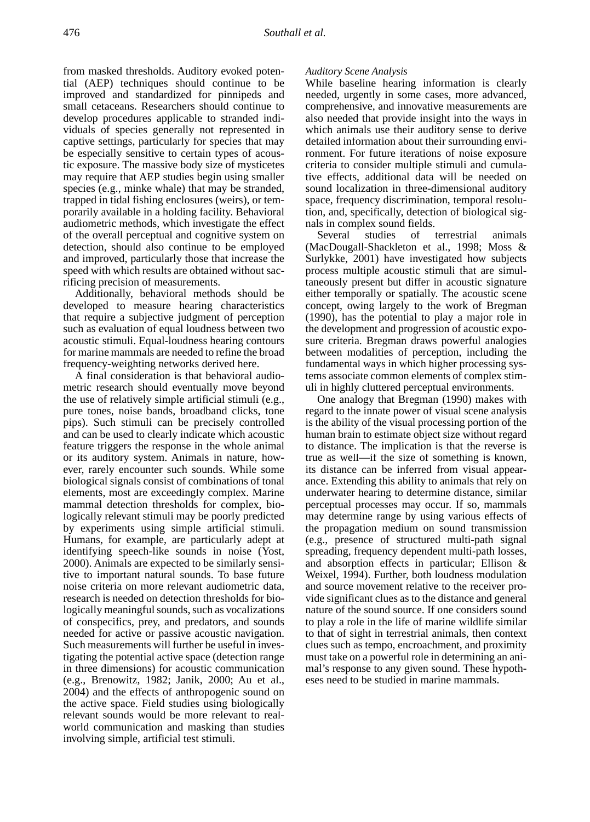from masked thresholds. Auditory evoked potential (AEP) techniques should continue to be improved and standardized for pinnipeds and small cetaceans. Researchers should continue to develop procedures applicable to stranded individuals of species generally not represented in captive settings, particularly for species that may be especially sensitive to certain types of acoustic exposure. The massive body size of mysticetes may require that AEP studies begin using smaller species (e.g., minke whale) that may be stranded, trapped in tidal fishing enclosures (weirs), or temporarily available in a holding facility. Behavioral audiometric methods, which investigate the effect of the overall perceptual and cognitive system on detection, should also continue to be employed and improved, particularly those that increase the speed with which results are obtained without sacrificing precision of measurements.

Additionally, behavioral methods should be developed to measure hearing characteristics that require a subjective judgment of perception such as evaluation of equal loudness between two acoustic stimuli. Equal-loudness hearing contours for marine mammals are needed to refine the broad frequency-weighting networks derived here.

A final consideration is that behavioral audiometric research should eventually move beyond the use of relatively simple artificial stimuli (e.g., pure tones, noise bands, broadband clicks, tone pips). Such stimuli can be precisely controlled and can be used to clearly indicate which acoustic feature triggers the response in the whole animal or its auditory system. Animals in nature, however, rarely encounter such sounds. While some biological signals consist of combinations of tonal elements, most are exceedingly complex. Marine mammal detection thresholds for complex, biologically relevant stimuli may be poorly predicted by experiments using simple artificial stimuli. Humans, for example, are particularly adept at identifying speech-like sounds in noise (Yost, 2000). Animals are expected to be similarly sensitive to important natural sounds. To base future noise criteria on more relevant audiometric data, research is needed on detection thresholds for biologically meaningful sounds, such as vocalizations of conspecifics, prey, and predators, and sounds needed for active or passive acoustic navigation. Such measurements will further be useful in investigating the potential active space (detection range in three dimensions) for acoustic communication (e.g., Brenowitz, 1982; Janik, 2000; Au et al., 2004) and the effects of anthropogenic sound on the active space. Field studies using biologically relevant sounds would be more relevant to realworld communication and masking than studies involving simple, artificial test stimuli.

#### *Auditory Scene Analysis*

While baseline hearing information is clearly needed, urgently in some cases, more advanced, comprehensive, and innovative measurements are also needed that provide insight into the ways in which animals use their auditory sense to derive detailed information about their surrounding environment. For future iterations of noise exposure criteria to consider multiple stimuli and cumulative effects, additional data will be needed on sound localization in three-dimensional auditory space, frequency discrimination, temporal resolution, and, specifically, detection of biological signals in complex sound fields.

Several studies of terrestrial animals (MacDougall-Shackleton et al., 1998; Moss & Surlykke, 2001) have investigated how subjects process multiple acoustic stimuli that are simultaneously present but differ in acoustic signature either temporally or spatially. The acoustic scene concept, owing largely to the work of Bregman (1990), has the potential to play a major role in the development and progression of acoustic exposure criteria. Bregman draws powerful analogies between modalities of perception, including the fundamental ways in which higher processing systems associate common elements of complex stimuli in highly cluttered perceptual environments.

One analogy that Bregman (1990) makes with regard to the innate power of visual scene analysis is the ability of the visual processing portion of the human brain to estimate object size without regard to distance. The implication is that the reverse is true as well—if the size of something is known, its distance can be inferred from visual appearance. Extending this ability to animals that rely on underwater hearing to determine distance, similar perceptual processes may occur. If so, mammals may determine range by using various effects of the propagation medium on sound transmission (e.g., presence of structured multi-path signal spreading, frequency dependent multi-path losses, and absorption effects in particular; Ellison & Weixel, 1994). Further, both loudness modulation and source movement relative to the receiver provide significant clues as to the distance and general nature of the sound source. If one considers sound to play a role in the life of marine wildlife similar to that of sight in terrestrial animals, then context clues such as tempo, encroachment, and proximity must take on a powerful role in determining an animal's response to any given sound. These hypotheses need to be studied in marine mammals.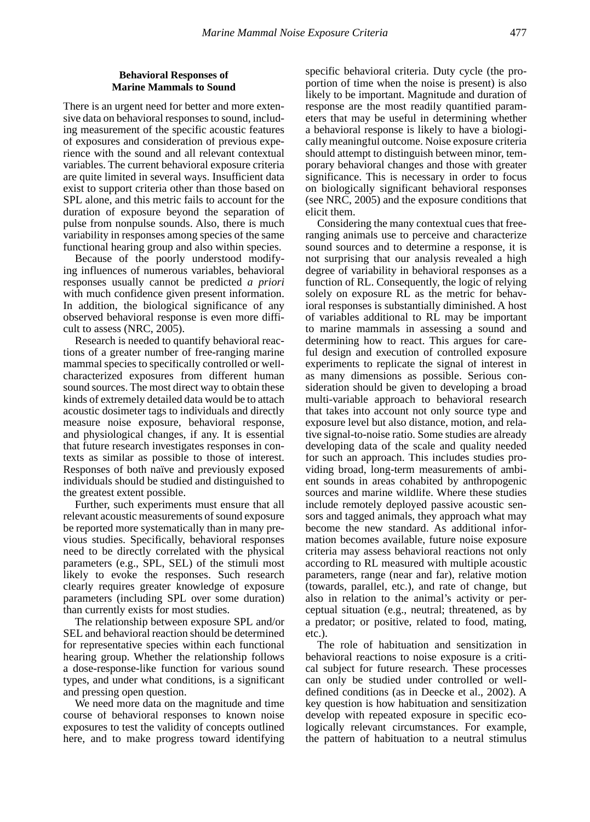#### **Behavioral Responses of Marine Mammals to Sound**

There is an urgent need for better and more extensive data on behavioral responses to sound, including measurement of the specific acoustic features of exposures and consideration of previous experience with the sound and all relevant contextual variables. The current behavioral exposure criteria are quite limited in several ways. Insufficient data exist to support criteria other than those based on SPL alone, and this metric fails to account for the duration of exposure beyond the separation of pulse from nonpulse sounds. Also, there is much variability in responses among species of the same functional hearing group and also within species.

Because of the poorly understood modifying influences of numerous variables, behavioral responses usually cannot be predicted *a priori*  with much confidence given present information. In addition, the biological significance of any observed behavioral response is even more difficult to assess (NRC, 2005).

Research is needed to quantify behavioral reactions of a greater number of free-ranging marine mammal species to specifically controlled or wellcharacterized exposures from different human sound sources. The most direct way to obtain these kinds of extremely detailed data would be to attach acoustic dosimeter tags to individuals and directly measure noise exposure, behavioral response, and physiological changes, if any. It is essential that future research investigates responses in contexts as similar as possible to those of interest. Responses of both naïve and previously exposed individuals should be studied and distinguished to the greatest extent possible.

Further, such experiments must ensure that all relevant acoustic measurements of sound exposure be reported more systematically than in many previous studies. Specifically, behavioral responses need to be directly correlated with the physical parameters (e.g., SPL, SEL) of the stimuli most likely to evoke the responses. Such research clearly requires greater knowledge of exposure parameters (including SPL over some duration) than currently exists for most studies.

The relationship between exposure SPL and/or SEL and behavioral reaction should be determined for representative species within each functional hearing group. Whether the relationship follows a dose-response-like function for various sound types, and under what conditions, is a significant and pressing open question.

We need more data on the magnitude and time course of behavioral responses to known noise exposures to test the validity of concepts outlined here, and to make progress toward identifying

specific behavioral criteria. Duty cycle (the proportion of time when the noise is present) is also likely to be important. Magnitude and duration of response are the most readily quantified parameters that may be useful in determining whether a behavioral response is likely to have a biologically meaningful outcome. Noise exposure criteria should attempt to distinguish between minor, temporary behavioral changes and those with greater significance. This is necessary in order to focus on biologically significant behavioral responses (see NRC, 2005) and the exposure conditions that elicit them.

Considering the many contextual cues that freeranging animals use to perceive and characterize sound sources and to determine a response, it is not surprising that our analysis revealed a high degree of variability in behavioral responses as a function of RL. Consequently, the logic of relying solely on exposure RL as the metric for behavioral responses is substantially diminished. A host of variables additional to RL may be important to marine mammals in assessing a sound and determining how to react. This argues for careful design and execution of controlled exposure experiments to replicate the signal of interest in as many dimensions as possible. Serious consideration should be given to developing a broad multi-variable approach to behavioral research that takes into account not only source type and exposure level but also distance, motion, and relative signal-to-noise ratio. Some studies are already developing data of the scale and quality needed for such an approach. This includes studies providing broad, long-term measurements of ambient sounds in areas cohabited by anthropogenic sources and marine wildlife. Where these studies include remotely deployed passive acoustic sensors and tagged animals, they approach what may become the new standard. As additional information becomes available, future noise exposure criteria may assess behavioral reactions not only according to RL measured with multiple acoustic parameters, range (near and far), relative motion (towards, parallel, etc.), and rate of change, but also in relation to the animal's activity or perceptual situation (e.g., neutral; threatened, as by a predator; or positive, related to food, mating, etc.).

The role of habituation and sensitization in behavioral reactions to noise exposure is a critical subject for future research. These processes can only be studied under controlled or welldefined conditions (as in Deecke et al., 2002). A key question is how habituation and sensitization develop with repeated exposure in specific ecologically relevant circumstances. For example, the pattern of habituation to a neutral stimulus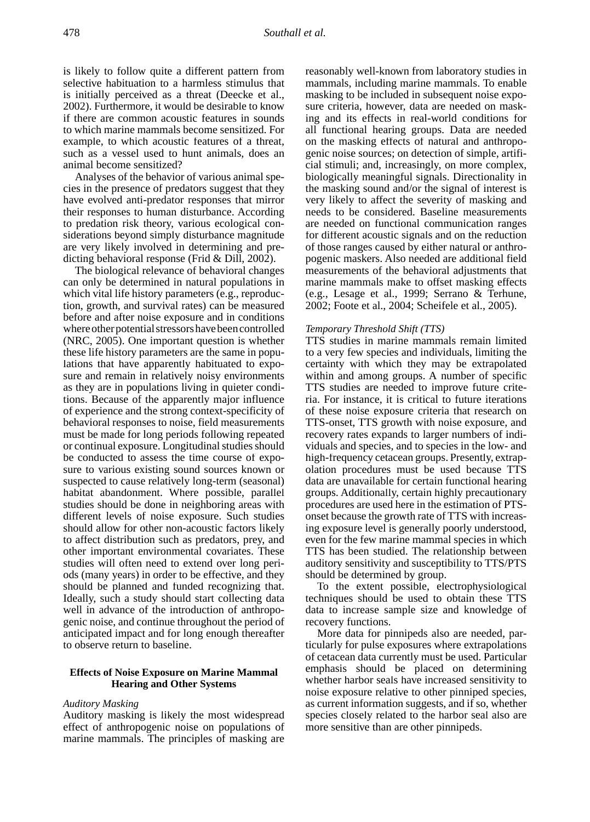is likely to follow quite a different pattern from selective habituation to a harmless stimulus that is initially perceived as a threat (Deecke et al., 2002). Furthermore, it would be desirable to know if there are common acoustic features in sounds to which marine mammals become sensitized. For example, to which acoustic features of a threat, such as a vessel used to hunt animals, does an animal become sensitized?

Analyses of the behavior of various animal species in the presence of predators suggest that they have evolved anti-predator responses that mirror their responses to human disturbance. According to predation risk theory, various ecological considerations beyond simply disturbance magnitude are very likely involved in determining and predicting behavioral response (Frid & Dill, 2002).

The biological relevance of behavioral changes can only be determined in natural populations in which vital life history parameters (e.g., reproduction, growth, and survival rates) can be measured before and after noise exposure and in conditions where other potential stressors have been controlled (NRC, 2005). One important question is whether these life history parameters are the same in populations that have apparently habituated to exposure and remain in relatively noisy environments as they are in populations living in quieter conditions. Because of the apparently major influence of experience and the strong context-specificity of behavioral responses to noise, field measurements must be made for long periods following repeated or continual exposure. Longitudinal studies should be conducted to assess the time course of exposure to various existing sound sources known or suspected to cause relatively long-term (seasonal) habitat abandonment. Where possible, parallel studies should be done in neighboring areas with different levels of noise exposure. Such studies should allow for other non-acoustic factors likely to affect distribution such as predators, prey, and other important environmental covariates. These studies will often need to extend over long periods (many years) in order to be effective, and they should be planned and funded recognizing that. Ideally, such a study should start collecting data well in advance of the introduction of anthropogenic noise, and continue throughout the period of anticipated impact and for long enough thereafter to observe return to baseline.

#### **Effects of Noise Exposure on Marine Mammal Hearing and Other Systems**

#### *Auditory Masking*

Auditory masking is likely the most widespread effect of anthropogenic noise on populations of marine mammals. The principles of masking are

reasonably well-known from laboratory studies in mammals, including marine mammals. To enable masking to be included in subsequent noise exposure criteria, however, data are needed on masking and its effects in real-world conditions for all functional hearing groups. Data are needed on the masking effects of natural and anthropogenic noise sources; on detection of simple, artificial stimuli; and, increasingly, on more complex, biologically meaningful signals. Directionality in the masking sound and/or the signal of interest is very likely to affect the severity of masking and needs to be considered. Baseline measurements are needed on functional communication ranges for different acoustic signals and on the reduction of those ranges caused by either natural or anthropogenic maskers. Also needed are additional field measurements of the behavioral adjustments that marine mammals make to offset masking effects (e.g., Lesage et al., 1999; Serrano & Terhune, 2002; Foote et al., 2004; Scheifele et al., 2005).

#### *Temporary Threshold Shift (TTS)*

TTS studies in marine mammals remain limited to a very few species and individuals, limiting the certainty with which they may be extrapolated within and among groups. A number of specific TTS studies are needed to improve future criteria. For instance, it is critical to future iterations of these noise exposure criteria that research on TTS-onset, TTS growth with noise exposure, and recovery rates expands to larger numbers of individuals and species, and to species in the low- and high-frequency cetacean groups. Presently, extrapolation procedures must be used because TTS data are unavailable for certain functional hearing groups. Additionally, certain highly precautionary procedures are used here in the estimation of PTSonset because the growth rate of TTS with increasing exposure level is generally poorly understood, even for the few marine mammal species in which TTS has been studied. The relationship between auditory sensitivity and susceptibility to TTS/PTS should be determined by group.

To the extent possible, electrophysiological techniques should be used to obtain these TTS data to increase sample size and knowledge of recovery functions.

More data for pinnipeds also are needed, particularly for pulse exposures where extrapolations of cetacean data currently must be used. Particular emphasis should be placed on determining whether harbor seals have increased sensitivity to noise exposure relative to other pinniped species, as current information suggests, and if so, whether species closely related to the harbor seal also are more sensitive than are other pinnipeds.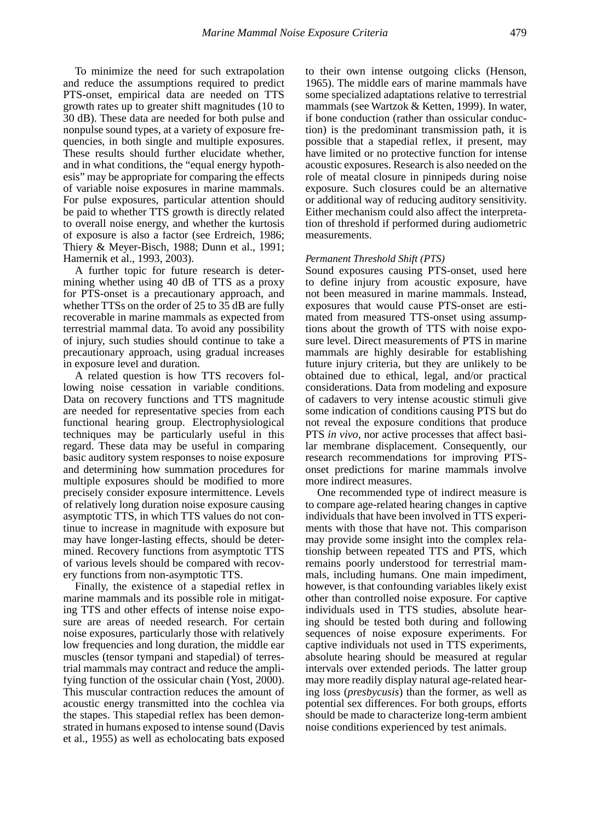To minimize the need for such extrapolation and reduce the assumptions required to predict PTS-onset, empirical data are needed on TTS growth rates up to greater shift magnitudes (10 to 30 dB). These data are needed for both pulse and nonpulse sound types, at a variety of exposure frequencies, in both single and multiple exposures. These results should further elucidate whether, and in what conditions, the "equal energy hypothesis" may be appropriate for comparing the effects of variable noise exposures in marine mammals. For pulse exposures, particular attention should be paid to whether TTS growth is directly related to overall noise energy, and whether the kurtosis of exposure is also a factor (see Erdreich, 1986; Thiery & Meyer-Bisch, 1988; Dunn et al., 1991; Hamernik et al., 1993, 2003).

A further topic for future research is determining whether using 40 dB of TTS as a proxy for PTS-onset is a precautionary approach, and whether TTSs on the order of 25 to 35 dB are fully recoverable in marine mammals as expected from terrestrial mammal data. To avoid any possibility of injury, such studies should continue to take a precautionary approach, using gradual increases in exposure level and duration.

A related question is how TTS recovers following noise cessation in variable conditions. Data on recovery functions and TTS magnitude are needed for representative species from each functional hearing group. Electrophysiological techniques may be particularly useful in this regard. These data may be useful in comparing basic auditory system responses to noise exposure and determining how summation procedures for multiple exposures should be modified to more precisely consider exposure intermittence. Levels of relatively long duration noise exposure causing asymptotic TTS, in which TTS values do not continue to increase in magnitude with exposure but may have longer-lasting effects, should be determined. Recovery functions from asymptotic TTS of various levels should be compared with recovery functions from non-asymptotic TTS.

Finally, the existence of a stapedial reflex in marine mammals and its possible role in mitigating TTS and other effects of intense noise exposure are areas of needed research. For certain noise exposures, particularly those with relatively low frequencies and long duration, the middle ear muscles (tensor tympani and stapedial) of terrestrial mammals may contract and reduce the amplifying function of the ossicular chain (Yost, 2000). This muscular contraction reduces the amount of acoustic energy transmitted into the cochlea via the stapes. This stapedial reflex has been demonstrated in humans exposed to intense sound (Davis et al., 1955) as well as echolocating bats exposed

to their own intense outgoing clicks (Henson, 1965). The middle ears of marine mammals have some specialized adaptations relative to terrestrial mammals (see Wartzok & Ketten, 1999). In water, if bone conduction (rather than ossicular conduction) is the predominant transmission path, it is possible that a stapedial reflex, if present, may have limited or no protective function for intense acoustic exposures. Research is also needed on the role of meatal closure in pinnipeds during noise exposure. Such closures could be an alternative or additional way of reducing auditory sensitivity. Either mechanism could also affect the interpretation of threshold if performed during audiometric measurements.

#### *Permanent Threshold Shift (PTS)*

Sound exposures causing PTS-onset, used here to define injury from acoustic exposure, have not been measured in marine mammals. Instead, exposures that would cause PTS-onset are estimated from measured TTS-onset using assumptions about the growth of TTS with noise exposure level. Direct measurements of PTS in marine mammals are highly desirable for establishing future injury criteria, but they are unlikely to be obtained due to ethical, legal, and/or practical considerations. Data from modeling and exposure of cadavers to very intense acoustic stimuli give some indication of conditions causing PTS but do not reveal the exposure conditions that produce PTS *in vivo*, nor active processes that affect basilar membrane displacement. Consequently, our research recommendations for improving PTSonset predictions for marine mammals involve more indirect measures.

One recommended type of indirect measure is to compare age-related hearing changes in captive individuals that have been involved in TTS experiments with those that have not. This comparison may provide some insight into the complex relationship between repeated TTS and PTS, which remains poorly understood for terrestrial mammals, including humans. One main impediment, however, is that confounding variables likely exist other than controlled noise exposure. For captive individuals used in TTS studies, absolute hearing should be tested both during and following sequences of noise exposure experiments. For captive individuals not used in TTS experiments, absolute hearing should be measured at regular intervals over extended periods. The latter group may more readily display natural age-related hearing loss (*presbycusis*) than the former, as well as potential sex differences. For both groups, efforts should be made to characterize long-term ambient noise conditions experienced by test animals.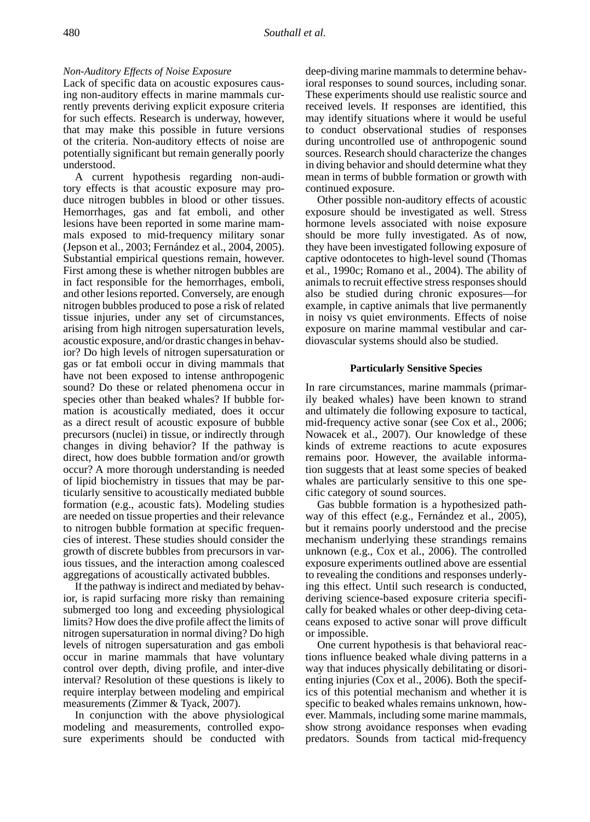#### *Non-Auditory Effects of Noise Exposure*

Lack of specific data on acoustic exposures causing non-auditory effects in marine mammals currently prevents deriving explicit exposure criteria for such effects. Research is underway, however, that may make this possible in future versions of the criteria. Non-auditory effects of noise are potentially significant but remain generally poorly understood.

A current hypothesis regarding non-auditory effects is that acoustic exposure may produce nitrogen bubbles in blood or other tissues. Hemorrhages, gas and fat emboli, and other lesions have been reported in some marine mammals exposed to mid-frequency military sonar (Jepson et al., 2003; Fernández et al., 2004, 2005). Substantial empirical questions remain, however. First among these is whether nitrogen bubbles are in fact responsible for the hemorrhages, emboli, and other lesions reported. Conversely, are enough nitrogen bubbles produced to pose a risk of related tissue injuries, under any set of circumstances, arising from high nitrogen supersaturation levels, acoustic exposure, and/or drastic changes in behavior? Do high levels of nitrogen supersaturation or gas or fat emboli occur in diving mammals that have not been exposed to intense anthropogenic sound? Do these or related phenomena occur in species other than beaked whales? If bubble formation is acoustically mediated, does it occur as a direct result of acoustic exposure of bubble precursors (nuclei) in tissue, or indirectly through changes in diving behavior? If the pathway is direct, how does bubble formation and/or growth occur? A more thorough understanding is needed of lipid biochemistry in tissues that may be particularly sensitive to acoustically mediated bubble formation (e.g., acoustic fats). Modeling studies are needed on tissue properties and their relevance to nitrogen bubble formation at specific frequencies of interest. These studies should consider the growth of discrete bubbles from precursors in various tissues, and the interaction among coalesced aggregations of acoustically activated bubbles.

If the pathway is indirect and mediated by behavior, is rapid surfacing more risky than remaining submerged too long and exceeding physiological limits? How does the dive profile affect the limits of nitrogen supersaturation in normal diving? Do high levels of nitrogen supersaturation and gas emboli occur in marine mammals that have voluntary control over depth, diving profile, and inter-dive interval? Resolution of these questions is likely to require interplay between modeling and empirical measurements (Zimmer & Tyack, 2007).

In conjunction with the above physiological modeling and measurements, controlled exposure experiments should be conducted with

deep-diving marine mammals to determine behavioral responses to sound sources, including sonar. These experiments should use realistic source and received levels. If responses are identified, this may identify situations where it would be useful to conduct observational studies of responses during uncontrolled use of anthropogenic sound sources. Research should characterize the changes in diving behavior and should determine what they mean in terms of bubble formation or growth with continued exposure.

Other possible non-auditory effects of acoustic exposure should be investigated as well. Stress hormone levels associated with noise exposure should be more fully investigated. As of now, they have been investigated following exposure of captive odontocetes to high-level sound (Thomas et al., 1990c; Romano et al., 2004). The ability of animals to recruit effective stress responses should also be studied during chronic exposures—for example, in captive animals that live permanently in noisy vs quiet environments. Effects of noise exposure on marine mammal vestibular and cardiovascular systems should also be studied.

#### **Particularly Sensitive Species**

In rare circumstances, marine mammals (primarily beaked whales) have been known to strand and ultimately die following exposure to tactical, mid-frequency active sonar (see Cox et al., 2006; Nowacek et al., 2007). Our knowledge of these kinds of extreme reactions to acute exposures remains poor. However, the available information suggests that at least some species of beaked whales are particularly sensitive to this one specific category of sound sources.

Gas bubble formation is a hypothesized pathway of this effect (e.g., Fernández et al., 2005), but it remains poorly understood and the precise mechanism underlying these strandings remains unknown (e.g., Cox et al., 2006). The controlled exposure experiments outlined above are essential to revealing the conditions and responses underlying this effect. Until such research is conducted, deriving science-based exposure criteria specifically for beaked whales or other deep-diving cetaceans exposed to active sonar will prove difficult or impossible.

One current hypothesis is that behavioral reactions influence beaked whale diving patterns in a way that induces physically debilitating or disorienting injuries (Cox et al., 2006). Both the specifics of this potential mechanism and whether it is specific to beaked whales remains unknown, however. Mammals, including some marine mammals, show strong avoidance responses when evading predators. Sounds from tactical mid-frequency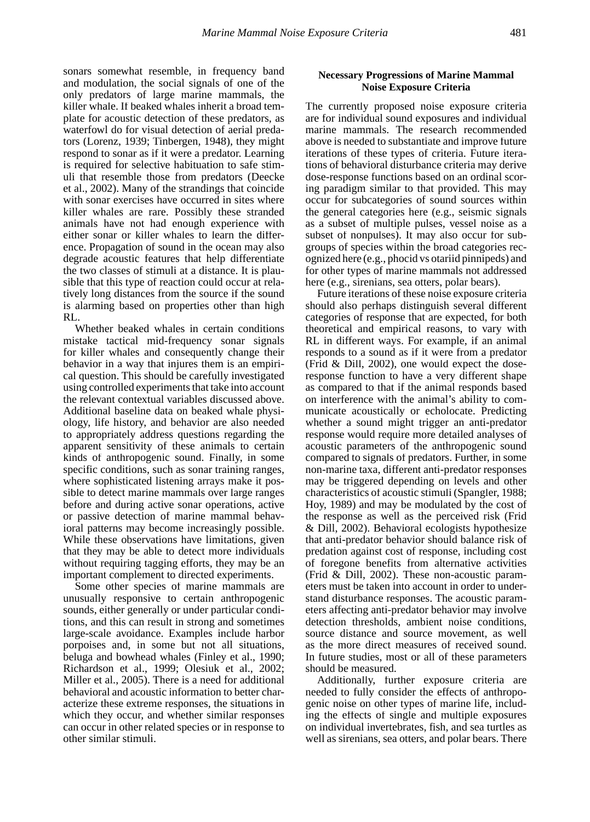sonars somewhat resemble, in frequency band and modulation, the social signals of one of the only predators of large marine mammals, the killer whale. If beaked whales inherit a broad template for acoustic detection of these predators, as waterfowl do for visual detection of aerial predators (Lorenz, 1939; Tinbergen, 1948), they might respond to sonar as if it were a predator. Learning is required for selective habituation to safe stimuli that resemble those from predators (Deecke et al., 2002). Many of the strandings that coincide with sonar exercises have occurred in sites where killer whales are rare. Possibly these stranded animals have not had enough experience with either sonar or killer whales to learn the difference. Propagation of sound in the ocean may also degrade acoustic features that help differentiate the two classes of stimuli at a distance. It is plausible that this type of reaction could occur at relatively long distances from the source if the sound is alarming based on properties other than high RL.

Whether beaked whales in certain conditions mistake tactical mid-frequency sonar signals for killer whales and consequently change their behavior in a way that injures them is an empirical question. This should be carefully investigated using controlled experiments that take into account the relevant contextual variables discussed above. Additional baseline data on beaked whale physiology, life history, and behavior are also needed to appropriately address questions regarding the apparent sensitivity of these animals to certain kinds of anthropogenic sound. Finally, in some specific conditions, such as sonar training ranges, where sophisticated listening arrays make it possible to detect marine mammals over large ranges before and during active sonar operations, active or passive detection of marine mammal behavioral patterns may become increasingly possible. While these observations have limitations, given that they may be able to detect more individuals without requiring tagging efforts, they may be an important complement to directed experiments.

Some other species of marine mammals are unusually responsive to certain anthropogenic sounds, either generally or under particular conditions, and this can result in strong and sometimes large-scale avoidance. Examples include harbor porpoises and, in some but not all situations, beluga and bowhead whales (Finley et al., 1990; Richardson et al., 1999; Olesiuk et al., 2002; Miller et al., 2005). There is a need for additional behavioral and acoustic information to better characterize these extreme responses, the situations in which they occur, and whether similar responses can occur in other related species or in response to other similar stimuli.

#### **Necessary Progressions of Marine Mammal Noise Exposure Criteria**

The currently proposed noise exposure criteria are for individual sound exposures and individual marine mammals. The research recommended above is needed to substantiate and improve future iterations of these types of criteria. Future iterations of behavioral disturbance criteria may derive dose-response functions based on an ordinal scoring paradigm similar to that provided. This may occur for subcategories of sound sources within the general categories here (e.g., seismic signals as a subset of multiple pulses, vessel noise as a subset of nonpulses). It may also occur for subgroups of species within the broad categories recognized here (e.g., phocid vs otariid pinnipeds) and for other types of marine mammals not addressed here (e.g., sirenians, sea otters, polar bears).

Future iterations of these noise exposure criteria should also perhaps distinguish several different categories of response that are expected, for both theoretical and empirical reasons, to vary with RL in different ways. For example, if an animal responds to a sound as if it were from a predator (Frid & Dill, 2002), one would expect the doseresponse function to have a very different shape as compared to that if the animal responds based on interference with the animal's ability to communicate acoustically or echolocate. Predicting whether a sound might trigger an anti-predator response would require more detailed analyses of acoustic parameters of the anthropogenic sound compared to signals of predators. Further, in some non-marine taxa, different anti-predator responses may be triggered depending on levels and other characteristics of acoustic stimuli (Spangler, 1988; Hoy, 1989) and may be modulated by the cost of the response as well as the perceived risk (Frid & Dill, 2002). Behavioral ecologists hypothesize that anti-predator behavior should balance risk of predation against cost of response, including cost of foregone benefits from alternative activities (Frid & Dill, 2002). These non-acoustic parameters must be taken into account in order to understand disturbance responses. The acoustic parameters affecting anti-predator behavior may involve detection thresholds, ambient noise conditions, source distance and source movement, as well as the more direct measures of received sound. In future studies, most or all of these parameters should be measured.

Additionally, further exposure criteria are needed to fully consider the effects of anthropogenic noise on other types of marine life, including the effects of single and multiple exposures on individual invertebrates, fish, and sea turtles as well as sirenians, sea otters, and polar bears. There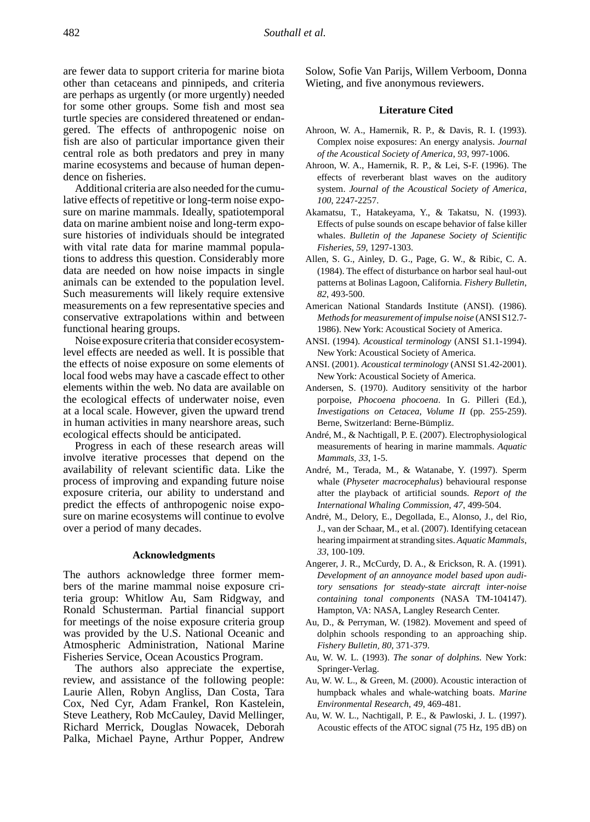are fewer data to support criteria for marine biota other than cetaceans and pinnipeds, and criteria are perhaps as urgently (or more urgently) needed for some other groups. Some fish and most sea turtle species are considered threatened or endangered. The effects of anthropogenic noise on fish are also of particular importance given their central role as both predators and prey in many marine ecosystems and because of human dependence on fisheries.

Additional criteria are also needed for the cumulative effects of repetitive or long-term noise exposure on marine mammals. Ideally, spatiotemporal data on marine ambient noise and long-term exposure histories of individuals should be integrated with vital rate data for marine mammal populations to address this question. Considerably more data are needed on how noise impacts in single animals can be extended to the population level. Such measurements will likely require extensive measurements on a few representative species and conservative extrapolations within and between functional hearing groups.

Noise exposure criteria that consider ecosystemlevel effects are needed as well. It is possible that the effects of noise exposure on some elements of local food webs may have a cascade effect to other elements within the web. No data are available on the ecological effects of underwater noise, even at a local scale. However, given the upward trend in human activities in many nearshore areas, such ecological effects should be anticipated.

Progress in each of these research areas will involve iterative processes that depend on the availability of relevant scientific data. Like the process of improving and expanding future noise exposure criteria, our ability to understand and predict the effects of anthropogenic noise exposure on marine ecosystems will continue to evolve over a period of many decades.

#### **Acknowledgments**

The authors acknowledge three former members of the marine mammal noise exposure criteria group: Whitlow Au, Sam Ridgway, and Ronald Schusterman. Partial financial support for meetings of the noise exposure criteria group was provided by the U.S. National Oceanic and Atmospheric Administration, National Marine Fisheries Service, Ocean Acoustics Program.

The authors also appreciate the expertise, review, and assistance of the following people: Laurie Allen, Robyn Angliss, Dan Costa, Tara Cox, Ned Cyr, Adam Frankel, Ron Kastelein, Steve Leathery, Rob McCauley, David Mellinger, Richard Merrick, Douglas Nowacek, Deborah Palka, Michael Payne, Arthur Popper, Andrew Solow, Sofie Van Parijs, Willem Verboom, Donna Wieting, and five anonymous reviewers.

#### **Literature Cited**

- Ahroon, W. A., Hamernik, R. P., & Davis, R. I. (1993). Complex noise exposures: An energy analysis. *Journal of the Acoustical Society of America*, *93*, 997-1006.
- Ahroon, W. A., Hamernik, R. P., & Lei, S-F. (1996). The effects of reverberant blast waves on the auditory system. *Journal of the Acoustical Society of America*, *100*, 2247-2257.
- Akamatsu, T., Hatakeyama, Y., & Takatsu, N. (1993). Effects of pulse sounds on escape behavior of false killer whales. *Bulletin of the Japanese Society of Scientific Fisheries*, *59*, 1297-1303.
- Allen, S. G., Ainley, D. G., Page, G. W., & Ribic, C. A. (1984). The effect of disturbance on harbor seal haul-out patterns at Bolinas Lagoon, California. *Fishery Bulletin*, *82*, 493-500.
- American National Standards Institute (ANSI). (1986). *Methods for measurement of impulse noise* (ANSI S12.7- 1986). New York: Acoustical Society of America.
- ANSI. (1994). *Acoustical terminology* (ANSI S1.1-1994). New York: Acoustical Society of America.
- ANSI. (2001). *Acoustical terminology* (ANSI S1.42-2001). New York: Acoustical Society of America.
- Andersen, S. (1970). Auditory sensitivity of the harbor porpoise, *Phocoena phocoena*. In G. Pilleri (Ed.), *Investigations on Cetacea, Volume II* (pp. 255-259). Berne, Switzerland: Berne-Bümpliz.
- André, M., & Nachtigall, P. E. (2007). Electrophysiological measurements of hearing in marine mammals. *Aquatic Mammals*, *33*, 1-5.
- André, M., Terada, M., & Watanabe, Y. (1997). Sperm whale (*Physeter macrocephalus*) behavioural response after the playback of artificial sounds. *Report of the International Whaling Commission*, *47*, 499-504.
- André, M., Delory, E., Degollada, E., Alonso, J., del Rio, J., van der Schaar, M., et al. (2007). Identifying cetacean hearing impairment at stranding sites. *Aquatic Mammals*, *33*, 100-109.
- Angerer, J. R., McCurdy, D. A., & Erickson, R. A. (1991). *Development of an annoyance model based upon auditory sensations for steady-state aircraft inter-noise containing tonal components* (NASA TM-104147). Hampton, VA: NASA, Langley Research Center.
- Au, D., & Perryman, W. (1982). Movement and speed of dolphin schools responding to an approaching ship. *Fishery Bulletin*, *80*, 371-379.
- Au, W. W. L. (1993). *The sonar of dolphins.* New York: Springer-Verlag.
- Au, W. W. L., & Green, M. (2000). Acoustic interaction of humpback whales and whale-watching boats. *Marine Environmental Research*, *49*, 469-481.
- Au, W. W. L., Nachtigall, P. E., & Pawloski, J. L. (1997). Acoustic effects of the ATOC signal (75 Hz, 195 dB) on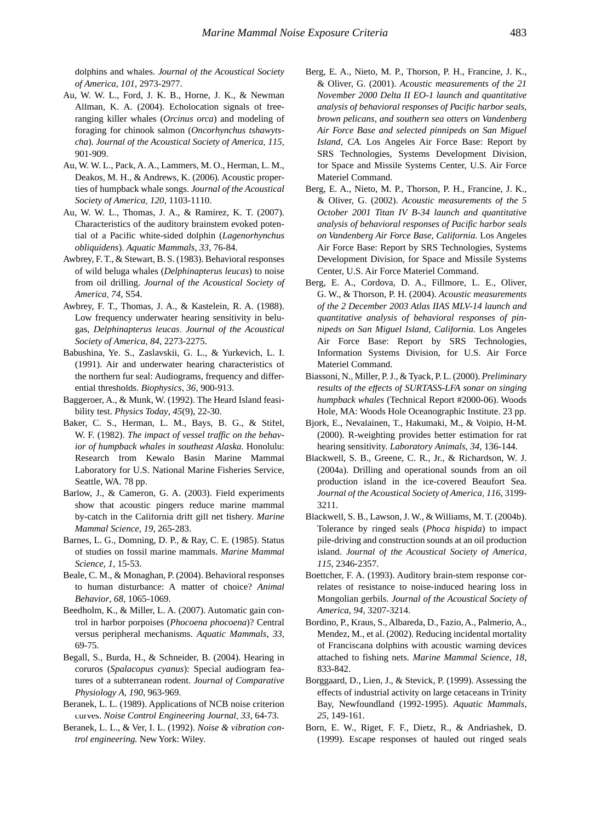dolphins and whales. *Journal of the Acoustical Society of America*, *101*, 2973-2977.

- Au, W. W. L., Ford, J. K. B., Horne, J. K., & Newman Allman, K. A. (2004). Echolocation signals of freeranging killer whales (*Orcinus orca*) and modeling of foraging for chinook salmon (*Oncorhynchus tshawytscha*). *Journal of the Acoustical Society of America*, *115*, 901-909.
- Au, W. W. L., Pack, A. A., Lammers, M. O., Herman, L. M., Deakos, M. H., & Andrews, K. (2006). Acoustic properties of humpback whale songs. *Journal of the Acoustical Society of America*, *120*, 1103-1110.
- Au, W. W. L., Thomas, J. A., & Ramirez, K. T. (2007). Characteristics of the auditory brainstem evoked potential of a Pacific white-sided dolphin (*Lagenorhynchus obliquidens*). *Aquatic Mammals*, *33*, 76-84.
- Awbrey, F. T., & Stewart, B. S. (1983). Behavioral responses of wild beluga whales (*Delphinapterus leucas*) to noise from oil drilling. *Journal of the Acoustical Society of America*, *74*, S54.
- Awbrey, F. T., Thomas, J. A., & Kastelein, R. A. (1988). Low frequency underwater hearing sensitivity in belugas, *Delphinapterus leucas*. *Journal of the Acoustical Society of America*, *84*, 2273-2275.
- Babushina, Ye. S., Zaslavskii, G. L., & Yurkevich, L. I. (1991). Air and underwater hearing characteristics of the northern fur seal: Audiograms, frequency and differential thresholds. *Biophysics*, *36*, 900-913.
- Baggeroer, A., & Munk, W. (1992). The Heard Island feasibility test. *Physics Today*, *45*(9), 22-30.
- Baker, C. S., Herman, L. M., Bays, B. G., & Stifel, W. F. (1982). *The impact of vessel traffic on the behavior of humpback whales in southeast Alaska.* Honolulu: Research from Kewalo Basin Marine Mammal Laboratory for U.S. National Marine Fisheries Service, Seattle, WA. 78 pp.
- Barlow, J., & Cameron, G. A. (2003). Field experiments show that acoustic pingers reduce marine mammal by-catch in the California drift gill net fishery. *Marine Mammal Science*, *19*, 265-283.
- Barnes, L. G., Domning, D. P., & Ray, C. E. (1985). Status of studies on fossil marine mammals. *Marine Mammal Science*, *1*, 15-53.
- Beale, C. M., & Monaghan, P. (2004). Behavioral responses to human disturbance: A matter of choice? *Animal Behavior*, *68*, 1065-1069.
- Beedholm, K., & Miller, L. A. (2007). Automatic gain control in harbor porpoises (*Phocoena phocoena*)? Central versus peripheral mechanisms. *Aquatic Mammals*, *33*, 69-75.
- Begall, S., Burda, H., & Schneider, B. (2004). Hearing in coruros (*Spalacopus cyanus*): Special audiogram features of a subterranean rodent. *Journal of Comparative Physiology A*, *190*, 963-969.
- Beranek, L. L. (1989). Applications of NCB noise criterion curves. *Noise Control Engineering Journal*, *33*, 64-73.
- Beranek, L. L., & Ver, I. L. (1992). *Noise & vibration control engineering.* New York: Wiley.
- Berg, E. A., Nieto, M. P., Thorson, P. H., Francine, J. K., & Oliver, G. (2001). *Acoustic measurements of the 21 November 2000 Delta II EO-1 launch and quantitative analysis of behavioral responses of Pacific harbor seals, brown pelicans, and southern sea otters on Vandenberg Air Force Base and selected pinnipeds on San Miguel Island, CA.* Los Angeles Air Force Base: Report by SRS Technologies, Systems Development Division, for Space and Missile Systems Center, U.S. Air Force Materiel Command.
- Berg, E. A., Nieto, M. P., Thorson, P. H., Francine, J. K., & Oliver, G. (2002). *Acoustic measurements of the 5 October 2001 Titan IV B-34 launch and quantitative analysis of behavioral responses of Pacific harbor seals on Vandenberg Air Force Base, California.* Los Angeles Air Force Base: Report by SRS Technologies, Systems Development Division, for Space and Missile Systems Center, U.S. Air Force Materiel Command.
- Berg, E. A., Cordova, D. A., Fillmore, L. E., Oliver, G. W., & Thorson, P. H. (2004). *Acoustic measurements of the 2 December 2003 Atlas IIAS MLV-14 launch and quantitative analysis of behavioral responses of pinnipeds on San Miguel Island, California.* Los Angeles Air Force Base: Report by SRS Technologies, Information Systems Division, for U.S. Air Force Materiel Command.
- Biassoni, N., Miller, P. J., & Tyack, P. L. (2000). *Preliminary results of the effects of SURTASS-LFA sonar on singing humpback whales* (Technical Report #2000-06). Woods Hole, MA: Woods Hole Oceanographic Institute. 23 pp.
- Bjork, E., Nevalainen, T., Hakumaki, M., & Voipio, H-M. (2000). R-weighting provides better estimation for rat hearing sensitivity. *Laboratory Animals*, *34*, 136-144.
- Blackwell, S. B., Greene, C. R., Jr., & Richardson, W. J. (2004a). Drilling and operational sounds from an oil production island in the ice-covered Beaufort Sea. *Journal of the Acoustical Society of America*, *116*, 3199- 3211.
- Blackwell, S. B., Lawson, J. W., & Williams, M. T. (2004b). Tolerance by ringed seals (*Phoca hispida*) to impact pile-driving and construction sounds at an oil production island. *Journal of the Acoustical Society of America*, *115*, 2346-2357.
- Boettcher, F. A. (1993). Auditory brain-stem response correlates of resistance to noise-induced hearing loss in Mongolian gerbils. *Journal of the Acoustical Society of America*, *94*, 3207-3214.
- Bordino, P., Kraus, S., Albareda, D., Fazio, A., Palmerio, A., Mendez, M., et al. (2002). Reducing incidental mortality of Franciscana dolphins with acoustic warning devices attached to fishing nets. *Marine Mammal Science*, *18*, 833-842.
- Borggaard, D., Lien, J., & Stevick, P. (1999). Assessing the effects of industrial activity on large cetaceans in Trinity Bay, Newfoundland (1992-1995). *Aquatic Mammals*, *25*, 149-161.
- Born, E. W., Riget, F. F., Dietz, R., & Andriashek, D. (1999). Escape responses of hauled out ringed seals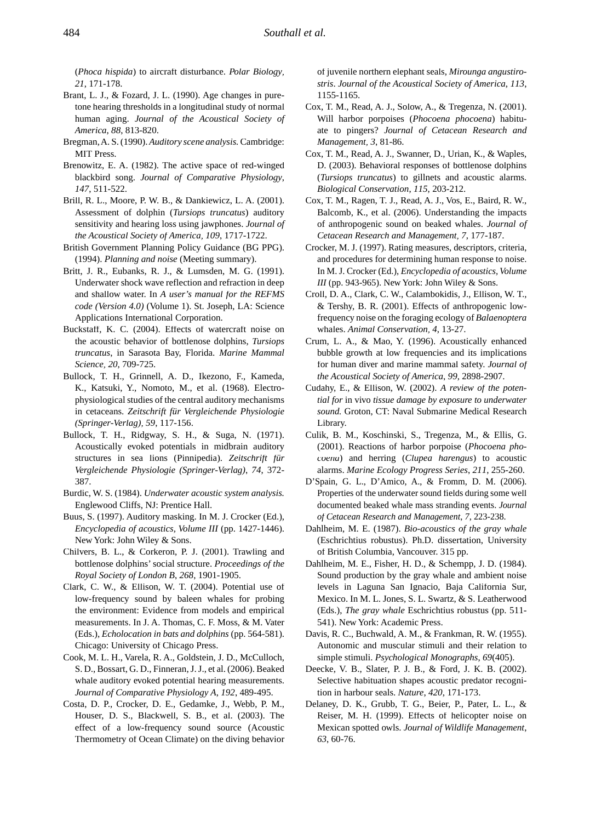(*Phoca hispida*) to aircraft disturbance. *Polar Biology*, *21*, 171-178.

- Brant, L. J., & Fozard, J. L. (1990). Age changes in puretone hearing thresholds in a longitudinal study of normal human aging. *Journal of the Acoustical Society of America*, *88*, 813-820.
- Bregman, A. S. (1990). *Auditory scene analysis.* Cambridge: MIT Press.
- Brenowitz, E. A. (1982). The active space of red-winged blackbird song. *Journal of Comparative Physiology*, *147*, 511-522.
- Brill, R. L., Moore, P. W. B., & Dankiewicz, L. A. (2001). Assessment of dolphin (*Tursiops truncatus*) auditory sensitivity and hearing loss using jawphones. *Journal of the Acoustical Society of America*, *109*, 1717-1722.
- British Government Planning Policy Guidance (BG PPG). (1994). *Planning and noise* (Meeting summary).
- Britt, J. R., Eubanks, R. J., & Lumsden, M. G. (1991). Underwater shock wave reflection and refraction in deep and shallow water. In *A user's manual for the REFMS code (Version 4.0)* (Volume 1). St. Joseph, LA: Science Applications International Corporation.
- Buckstaff, K. C. (2004). Effects of watercraft noise on the acoustic behavior of bottlenose dolphins, *Tursiops truncatus*, in Sarasota Bay, Florida. *Marine Mammal Science*, *20*, 709-725.
- Bullock, T. H., Grinnell, A. D., Ikezono, F., Kameda, K., Katsuki, Y., Nomoto, M., et al. (1968). Electrophysiological studies of the central auditory mechanisms in cetaceans. *Zeitschrift für Vergleichende Physiologie (Springer-Verlag)*, *59*, 117-156.
- Bullock, T. H., Ridgway, S. H., & Suga, N. (1971). Acoustically evoked potentials in midbrain auditory structures in sea lions (Pinnipedia). *Zeitschrift für Vergleichende Physiologie (Springer-Verlag)*, *74*, 372- 387.
- Burdic, W. S. (1984). *Underwater acoustic system analysis.* Englewood Cliffs, NJ: Prentice Hall.
- Buus, S. (1997). Auditory masking. In M. J. Crocker (Ed.), *Encyclopedia of acoustics, Volume III* (pp. 1427-1446). New York: John Wiley & Sons.
- Chilvers, B. L., & Corkeron, P. J. (2001). Trawling and bottlenose dolphins' social structure. *Proceedings of the Royal Society of London B*, *268*, 1901-1905.
- Clark, C. W., & Ellison, W. T. (2004). Potential use of low-frequency sound by baleen whales for probing the environment: Evidence from models and empirical measurements. In J. A. Thomas, C. F. Moss, & M. Vater (Eds.), *Echolocation in bats and dolphins* (pp. 564-581). Chicago: University of Chicago Press.
- Cook, M. L. H., Varela, R. A., Goldstein, J. D., McCulloch, S. D., Bossart, G. D., Finneran, J. J., et al. (2006). Beaked whale auditory evoked potential hearing measurements. *Journal of Comparative Physiology A*, *192*, 489-495.
- Costa, D. P., Crocker, D. E., Gedamke, J., Webb, P. M., Houser, D. S., Blackwell, S. B., et al. (2003). The effect of a low-frequency sound source (Acoustic Thermometry of Ocean Climate) on the diving behavior

of juvenile northern elephant seals, *Mirounga angustirostris*. *Journal of the Acoustical Society of America*, *113*, 1155-1165.

- Cox, T. M., Read, A. J., Solow, A., & Tregenza, N. (2001). Will harbor porpoises (*Phocoena phocoena*) habituate to pingers? *Journal of Cetacean Research and Management*, *3*, 81-86.
- Cox, T. M., Read, A. J., Swanner, D., Urian, K., & Waples, D. (2003). Behavioral responses of bottlenose dolphins (*Tursiops truncatus*) to gillnets and acoustic alarms. *Biological Conservation*, *115*, 203-212.
- Cox, T. M., Ragen, T. J., Read, A. J., Vos, E., Baird, R. W., Balcomb, K., et al. (2006). Understanding the impacts of anthropogenic sound on beaked whales. *Journal of Cetacean Research and Management*, *7*, 177-187.
- Crocker, M. J. (1997). Rating measures, descriptors, criteria, and procedures for determining human response to noise. In M. J. Crocker (Ed.), *Encyclopedia of acoustics, Volume III* (pp. 943-965). New York: John Wiley & Sons.
- Croll, D. A., Clark, C. W., Calambokidis, J., Ellison, W. T., & Tershy, B. R. (2001). Effects of anthropogenic lowfrequency noise on the foraging ecology of *Balaenoptera* whales. *Animal Conservation*, *4*, 13-27.
- Crum, L. A., & Mao, Y. (1996). Acoustically enhanced bubble growth at low frequencies and its implications for human diver and marine mammal safety. *Journal of the Acoustical Society of America*, *99*, 2898-2907.
- Cudahy, E., & Ellison, W. (2002). *A review of the potential for* in vivo *tissue damage by exposure to underwater sound.* Groton, CT: Naval Submarine Medical Research Library.
- Culik, B. M., Koschinski, S., Tregenza, M., & Ellis, G. (2001). Reactions of harbor porpoise (*Phocoena phocoena*) and herring (*Clupea harengus*) to acoustic alarms. *Marine Ecology Progress Series*, *211*, 255-260.
- D'Spain, G. L., D'Amico, A., & Fromm, D. M. (2006). Properties of the underwater sound fields during some well documented beaked whale mass stranding events. *Journal of Cetacean Research and Management*, *7*, 223-238.
- Dahlheim, M. E. (1987). *Bio-acoustics of the gray whale*  (Eschrichtius robustus). Ph.D. dissertation, University of British Columbia, Vancouver. 315 pp.
- Dahlheim, M. E., Fisher, H. D., & Schempp, J. D. (1984). Sound production by the gray whale and ambient noise levels in Laguna San Ignacio, Baja California Sur, Mexico. In M. L. Jones, S. L. Swartz, & S. Leatherwood (Eds.), *The gray whale* Eschrichtius robustus (pp. 511- 541). New York: Academic Press.
- Davis, R. C., Buchwald, A. M., & Frankman, R. W. (1955). Autonomic and muscular stimuli and their relation to simple stimuli. *Psychological Monographs*, *69*(405).
- Deecke, V. B., Slater, P. J. B., & Ford, J. K. B. (2002). Selective habituation shapes acoustic predator recognition in harbour seals. *Nature*, *420*, 171-173.
- Delaney, D. K., Grubb, T. G., Beier, P., Pater, L. L., & Reiser, M. H. (1999). Effects of helicopter noise on Mexican spotted owls. *Journal of Wildlife Management*, *63*, 60-76.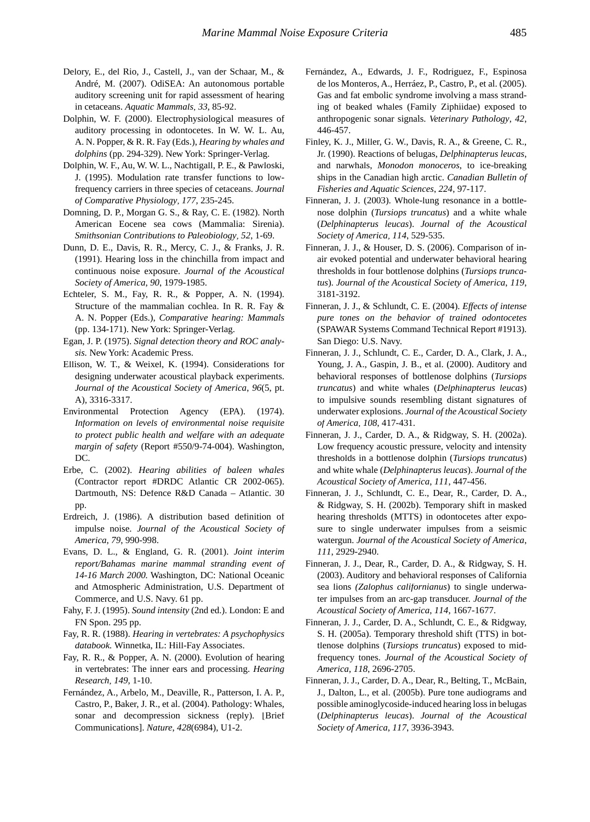- Delory, E., del Rio, J., Castell, J., van der Schaar, M., & André, M. (2007). OdiSEA: An autonomous portable auditory screening unit for rapid assessment of hearing in cetaceans. *Aquatic Mammals*, *33*, 85-92.
- Dolphin, W. F. (2000). Electrophysiological measures of auditory processing in odontocetes. In W. W. L. Au, A. N. Popper, & R. R. Fay (Eds.), *Hearing by whales and dolphins* (pp. 294-329). New York: Springer-Verlag.
- Dolphin, W. F., Au, W. W. L., Nachtigall, P. E., & Pawloski, J. (1995). Modulation rate transfer functions to lowfrequency carriers in three species of cetaceans. *Journal of Comparative Physiology*, *177*, 235-245.
- Domning, D. P., Morgan G. S., & Ray, C. E. (1982). North American Eocene sea cows (Mammalia: Sirenia). *Smithsonian Contributions to Paleobiology*, *52*, 1-69.
- Dunn, D. E., Davis, R. R., Mercy, C. J., & Franks, J. R. (1991). Hearing loss in the chinchilla from impact and continuous noise exposure. *Journal of the Acoustical Society of America*, *90*, 1979-1985.
- Echteler, S. M., Fay, R. R., & Popper, A. N. (1994). Structure of the mammalian cochlea. In R. R. Fay & A. N. Popper (Eds.), *Comparative hearing: Mammals* (pp. 134-171). New York: Springer-Verlag.
- Egan, J. P. (1975). *Signal detection theory and ROC analysis.* New York: Academic Press.
- Ellison, W. T., & Weixel, K. (1994). Considerations for designing underwater acoustical playback experiments. *Journal of the Acoustical Society of America*, *96*(5, pt. A), 3316-3317.
- Environmental Protection Agency (EPA). (1974). *Information on levels of environmental noise requisite to protect public health and welfare with an adequate margin of safety* (Report #550/9-74-004). Washington, DC.
- Erbe, C. (2002). *Hearing abilities of baleen whales* (Contractor report #DRDC Atlantic CR 2002-065). Dartmouth, NS: Defence R&D Canada – Atlantic. 30 pp.
- Erdreich, J. (1986). A distribution based definition of impulse noise. *Journal of the Acoustical Society of America*, *79*, 990-998.
- Evans, D. L., & England, G. R. (2001). *Joint interim report/Bahamas marine mammal stranding event of 14-16 March 2000.* Washington, DC: National Oceanic and Atmospheric Administration, U.S. Department of Commerce, and U.S. Navy. 61 pp.
- Fahy, F. J. (1995). *Sound intensity* (2nd ed.). London: E and FN Spon. 295 pp.
- Fay, R. R. (1988). *Hearing in vertebrates: A psychophysics databook.* Winnetka, IL: Hill-Fay Associates.
- Fay, R. R., & Popper, A. N. (2000). Evolution of hearing in vertebrates: The inner ears and processing. *Hearing Research*, *149*, 1-10.
- Fernández, A., Arbelo, M., Deaville, R., Patterson, I. A. P., Castro, P., Baker, J. R., et al. (2004). Pathology: Whales, sonar and decompression sickness (reply). [Brief Communications]. *Nature*, *428*(6984), U1-2.
- Fernández, A., Edwards, J. F., Rodríguez, F., Espinosa de los Monteros, A., Herráez, P., Castro, P., et al. (2005). Gas and fat embolic syndrome involving a mass stranding of beaked whales (Family Ziphiidae) exposed to anthropogenic sonar signals. *Veterinary Pathology*, *42*, 446-457.
- Finley, K. J., Miller, G. W., Davis, R. A., & Greene, C. R., Jr. (1990). Reactions of belugas, *Delphinapterus leucas*, and narwhals, *Monodon monoceros*, to ice-breaking ships in the Canadian high arctic. *Canadian Bulletin of Fisheries and Aquatic Sciences*, *224*, 97-117.
- Finneran, J. J. (2003). Whole-lung resonance in a bottlenose dolphin (*Tursiops truncatus*) and a white whale (*Delphinapterus leucas*). *Journal of the Acoustical Society of America*, *114*, 529-535.
- Finneran, J. J., & Houser, D. S. (2006). Comparison of inair evoked potential and underwater behavioral hearing thresholds in four bottlenose dolphins (*Tursiops truncatus*). *Journal of the Acoustical Society of America*, *119*, 3181-3192.
- Finneran, J. J., & Schlundt, C. E. (2004). *Effects of intense pure tones on the behavior of trained odontocetes* (SPAWAR Systems Command Technical Report #1913). San Diego: U.S. Navy.
- Finneran, J. J., Schlundt, C. E., Carder, D. A., Clark, J. A., Young, J. A., Gaspin, J. B., et al. (2000). Auditory and behavioral responses of bottlenose dolphins (*Tursiops truncatus*) and white whales (*Delphinapterus leucas*) to impulsive sounds resembling distant signatures of underwater explosions. *Journal of the Acoustical Society of America*, *108*, 417-431.
- Finneran, J. J., Carder, D. A., & Ridgway, S. H. (2002a). Low frequency acoustic pressure, velocity and intensity thresholds in a bottlenose dolphin (*Tursiops truncatus*) and white whale (*Delphinapterus leucas*). *Journal of the Acoustical Society of America*, *111*, 447-456.
- Finneran, J. J., Schlundt, C. E., Dear, R., Carder, D. A., & Ridgway, S. H. (2002b). Temporary shift in masked hearing thresholds (MTTS) in odontocetes after exposure to single underwater impulses from a seismic watergun. *Journal of the Acoustical Society of America*, *111*, 2929-2940.
- Finneran, J. J., Dear, R., Carder, D. A., & Ridgway, S. H. (2003). Auditory and behavioral responses of California sea lions *(Zalophus californianus*) to single underwater impulses from an arc-gap transducer. *Journal of the Acoustical Society of America*, *114*, 1667-1677.
- Finneran, J. J., Carder, D. A., Schlundt, C. E., & Ridgway, S. H. (2005a). Temporary threshold shift (TTS) in bottlenose dolphins (*Tursiops truncatus*) exposed to midfrequency tones. *Journal of the Acoustical Society of America*, *118*, 2696-2705.
- Finneran, J. J., Carder, D. A., Dear, R., Belting, T., McBain, J., Dalton, L., et al. (2005b). Pure tone audiograms and possible aminoglycoside-induced hearing loss in belugas (*Delphinapterus leucas*). *Journal of the Acoustical Society of America*, *117*, 3936-3943.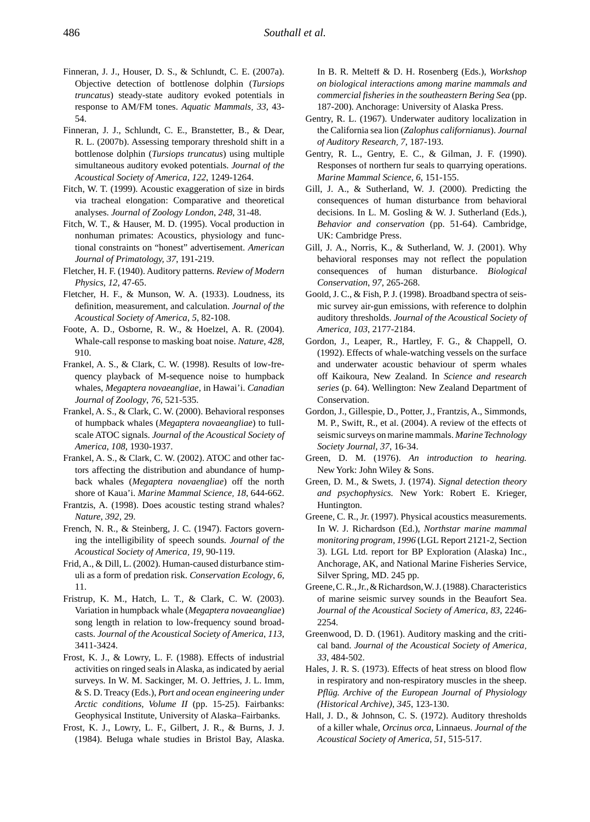- Finneran, J. J., Houser, D. S., & Schlundt, C. E. (2007a). Objective detection of bottlenose dolphin (*Tursiops truncatus*) steady-state auditory evoked potentials in response to AM/FM tones. *Aquatic Mammals*, *33*, 43- 54.
- Finneran, J. J., Schlundt, C. E., Branstetter, B., & Dear, R. L. (2007b). Assessing temporary threshold shift in a bottlenose dolphin (*Tursiops truncatus*) using multiple simultaneous auditory evoked potentials. *Journal of the Acoustical Society of America*, *122*, 1249-1264.
- Fitch, W. T. (1999). Acoustic exaggeration of size in birds via tracheal elongation: Comparative and theoretical analyses. *Journal of Zoology London*, *248*, 31-48.
- Fitch, W. T., & Hauser, M. D. (1995). Vocal production in nonhuman primates: Acoustics, physiology and functional constraints on "honest" advertisement. *American Journal of Primatology, 37*, 191-219.
- Fletcher, H. F. (1940). Auditory patterns. *Review of Modern Physics*, *12*, 47-65.
- Fletcher, H. F., & Munson, W. A. (1933). Loudness, its definition, measurement, and calculation. *Journal of the Acoustical Society of America*, *5*, 82-108.
- Foote, A. D., Osborne, R. W., & Hoelzel, A. R. (2004). Whale-call response to masking boat noise. *Nature*, *428*, 910.
- Frankel, A. S., & Clark, C. W. (1998). Results of low-frequency playback of M-sequence noise to humpback whales, *Megaptera novaeangliae*, in Hawai'i. *Canadian Journal of Zoology*, *76*, 521-535.
- Frankel, A. S., & Clark, C. W. (2000). Behavioral responses of humpback whales (*Megaptera novaeangliae*) to fullscale ATOC signals. *Journal of the Acoustical Society of America*, *108*, 1930-1937.
- Frankel, A. S., & Clark, C. W. (2002). ATOC and other factors affecting the distribution and abundance of humpback whales (*Megaptera novaengliae*) off the north shore of Kaua'i. *Marine Mammal Science*, *18*, 644-662.
- Frantzis, A. (1998). Does acoustic testing strand whales? *Nature*, *392*, 29.
- French, N. R., & Steinberg, J. C. (1947). Factors governing the intelligibility of speech sounds. *Journal of the Acoustical Society of America*, *19*, 90-119.
- Frid, A., & Dill, L. (2002). Human-caused disturbance stimuli as a form of predation risk. *Conservation Ecology*, *6*, 11.
- Fristrup, K. M., Hatch, L. T., & Clark, C. W. (2003). Variation in humpback whale (*Megaptera novaeangliae*) song length in relation to low-frequency sound broadcasts. *Journal of the Acoustical Society of America*, *113*, 3411-3424.
- Frost, K. J., & Lowry, L. F. (1988). Effects of industrial activities on ringed seals in Alaska, as indicated by aerial surveys. In W. M. Sackinger, M. O. Jeffries, J. L. Imm, & S. D. Treacy (Eds.), *Port and ocean engineering under Arctic conditions, Volume II* (pp. 15-25). Fairbanks: Geophysical Institute, University of Alaska–Fairbanks.
- Frost, K. J., Lowry, L. F., Gilbert, J. R., & Burns, J. J. (1984). Beluga whale studies in Bristol Bay, Alaska.

In B. R. Melteff & D. H. Rosenberg (Eds.), *Workshop on biological interactions among marine mammals and commercial fisheries in the southeastern Bering Sea* (pp. 187-200). Anchorage: University of Alaska Press.

- Gentry, R. L. (1967). Underwater auditory localization in the California sea lion (*Zalophus californianus*). *Journal of Auditory Research*, *7*, 187-193.
- Gentry, R. L., Gentry, E. C., & Gilman, J. F. (1990). Responses of northern fur seals to quarrying operations. *Marine Mammal Science*, *6*, 151-155.
- Gill, J. A., & Sutherland, W. J. (2000). Predicting the consequences of human disturbance from behavioral decisions. In L. M. Gosling & W. J. Sutherland (Eds.), *Behavior and conservation* (pp. 51-64). Cambridge, UK: Cambridge Press.
- Gill, J. A., Norris, K., & Sutherland, W. J. (2001). Why behavioral responses may not reflect the population consequences of human disturbance. *Biological Conservation*, *97*, 265-268.
- Goold, J. C., & Fish, P. J. (1998). Broadband spectra of seismic survey air-gun emissions, with reference to dolphin auditory thresholds. *Journal of the Acoustical Society of America*, *103*, 2177-2184.
- Gordon, J., Leaper, R., Hartley, F. G., & Chappell, O. (1992). Effects of whale-watching vessels on the surface and underwater acoustic behaviour of sperm whales off Kaikoura, New Zealand. In *Science and research series* (p. 64). Wellington: New Zealand Department of Conservation.
- Gordon, J., Gillespie, D., Potter, J., Frantzis, A., Simmonds, M. P., Swift, R., et al. (2004). A review of the effects of seismic surveys on marine mammals. *Marine Technology Society Journal*, *37*, 16-34.
- Green, D. M. (1976). *An introduction to hearing.*  New York: John Wiley & Sons.
- Green, D. M., & Swets, J. (1974). *Signal detection theory and psychophysics.* New York: Robert E. Krieger, Huntington.
- Greene, C. R., Jr. (1997). Physical acoustics measurements. In W. J. Richardson (Ed.), *Northstar marine mammal monitoring program, 1996* (LGL Report 2121-2, Section 3). LGL Ltd. report for BP Exploration (Alaska) Inc., Anchorage, AK, and National Marine Fisheries Service, Silver Spring, MD. 245 pp.
- Greene, C. R., Jr., & Richardson, W. J. (1988). Characteristics of marine seismic survey sounds in the Beaufort Sea. *Journal of the Acoustical Society of America*, *83*, 2246- 2254.
- Greenwood, D. D. (1961). Auditory masking and the critical band. *Journal of the Acoustical Society of America*, *33*, 484-502.
- Hales, J. R. S. (1973). Effects of heat stress on blood flow in respiratory and non-respiratory muscles in the sheep. *Pflüg. Archive of the European Journal of Physiology (Historical Archive)*, *345*, 123-130.
- Hall, J. D., & Johnson, C. S. (1972). Auditory thresholds of a killer whale, *Orcinus orca*, Linnaeus. *Journal of the Acoustical Society of America*, *51*, 515-517.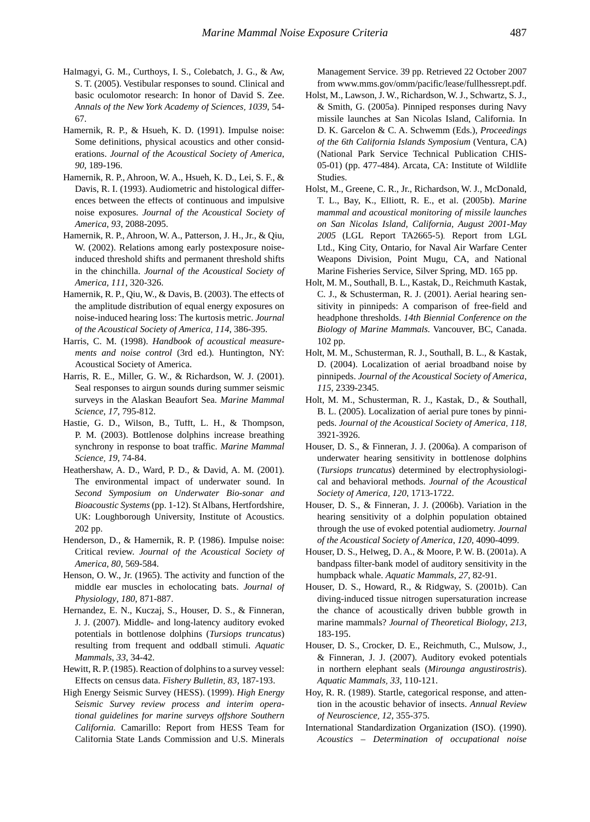- Halmagyi, G. M., Curthoys, I. S., Colebatch, J. G., & Aw, S. T. (2005). Vestibular responses to sound. Clinical and basic oculomotor research: In honor of David S. Zee. *Annals of the New York Academy of Sciences*, *1039*, 54- 67.
- Hamernik, R. P., & Hsueh, K. D. (1991). Impulse noise: Some definitions, physical acoustics and other considerations. *Journal of the Acoustical Society of America*, *90*, 189-196.
- Hamernik, R. P., Ahroon, W. A., Hsueh, K. D., Lei, S. F., & Davis, R. I. (1993). Audiometric and histological differences between the effects of continuous and impulsive noise exposures. *Journal of the Acoustical Society of America*, *93*, 2088-2095.
- Hamernik, R. P., Ahroon, W. A., Patterson, J. H., Jr., & Qiu, W. (2002). Relations among early postexposure noiseinduced threshold shifts and permanent threshold shifts in the chinchilla. *Journal of the Acoustical Society of America*, *111*, 320-326.
- Hamernik, R. P., Qiu, W., & Davis, B. (2003). The effects of the amplitude distribution of equal energy exposures on noise-induced hearing loss: The kurtosis metric. *Journal of the Acoustical Society of America*, *114*, 386-395.
- Harris, C. M. (1998). *Handbook of acoustical measurements and noise control* (3rd ed.)*.* Huntington, NY: Acoustical Society of America.
- Harris, R. E., Miller, G. W., & Richardson, W. J. (2001). Seal responses to airgun sounds during summer seismic surveys in the Alaskan Beaufort Sea. *Marine Mammal Science*, *17*, 795-812.
- Hastie, G. D., Wilson, B., Tufft, L. H., & Thompson, P. M. (2003). Bottlenose dolphins increase breathing synchrony in response to boat traffic. *Marine Mammal Science*, *19*, 74-84.
- Heathershaw, A. D., Ward, P. D., & David, A. M. (2001). The environmental impact of underwater sound. In *Second Symposium on Underwater Bio-sonar and Bioacoustic Systems* (pp. 1-12). St Albans, Hertfordshire, UK: Loughborough University, Institute of Acoustics. 202 pp.
- Henderson, D., & Hamernik, R. P. (1986). Impulse noise: Critical review. *Journal of the Acoustical Society of America*, *80*, 569-584.
- Henson, O. W., Jr. (1965). The activity and function of the middle ear muscles in echolocating bats. *Journal of Physiology*, *180*, 871-887.
- Hernandez, E. N., Kuczaj, S., Houser, D. S., & Finneran, J. J. (2007). Middle- and long-latency auditory evoked potentials in bottlenose dolphins (*Tursiops truncatus*) resulting from frequent and oddball stimuli. *Aquatic Mammals*, *33*, 34-42.
- Hewitt, R. P. (1985). Reaction of dolphins to a survey vessel: Effects on census data. *Fishery Bulletin*, *83*, 187-193.
- High Energy Seismic Survey (HESS). (1999). *High Energy Seismic Survey review process and interim operational guidelines for marine surveys offshore Southern California.* Camarillo: Report from HESS Team for California State Lands Commission and U.S. Minerals

Management Service. 39 pp. Retrieved 22 October 2007 from www.mms.gov/omm/pacific/lease/fullhessrept.pdf.

- Holst, M., Lawson, J. W., Richardson, W. J., Schwartz, S. J., & Smith, G. (2005a). Pinniped responses during Navy missile launches at San Nicolas Island, California. In D. K. Garcelon & C. A. Schwemm (Eds.), *Proceedings of the 6th California Islands Symposium* (Ventura, CA) (National Park Service Technical Publication CHIS-05-01) (pp. 477-484). Arcata, CA: Institute of Wildlife Studies.
- Holst, M., Greene, C. R., Jr., Richardson, W. J., McDonald, T. L., Bay, K., Elliott, R. E., et al. (2005b). *Marine mammal and acoustical monitoring of missile launches on San Nicolas Island, California, August 2001-May 2005* (LGL Report TA2665-5)*.* Report from LGL Ltd., King City, Ontario, for Naval Air Warfare Center Weapons Division, Point Mugu, CA, and National Marine Fisheries Service, Silver Spring, MD. 165 pp.
- Holt, M. M., Southall, B. L., Kastak, D., Reichmuth Kastak, C. J., & Schusterman, R. J. (2001). Aerial hearing sensitivity in pinnipeds: A comparison of free-field and headphone thresholds. *14th Biennial Conference on the Biology of Marine Mammals.* Vancouver, BC, Canada. 102 pp.
- Holt, M. M., Schusterman, R. J., Southall, B. L., & Kastak, D. (2004). Localization of aerial broadband noise by pinnipeds. *Journal of the Acoustical Society of America*, *115*, 2339-2345.
- Holt, M. M., Schusterman, R. J., Kastak, D., & Southall, B. L. (2005). Localization of aerial pure tones by pinnipeds. *Journal of the Acoustical Society of America*, *118*, 3921-3926.
- Houser, D. S., & Finneran, J. J. (2006a). A comparison of underwater hearing sensitivity in bottlenose dolphins (*Tursiops truncatus*) determined by electrophysiological and behavioral methods. *Journal of the Acoustical Society of America*, *120*, 1713-1722.
- Houser, D. S., & Finneran, J. J. (2006b). Variation in the hearing sensitivity of a dolphin population obtained through the use of evoked potential audiometry. *Journal of the Acoustical Society of America*, *120*, 4090-4099.
- Houser, D. S., Helweg, D. A., & Moore, P. W. B. (2001a). A bandpass filter-bank model of auditory sensitivity in the humpback whale. *Aquatic Mammals*, *27*, 82-91.
- Houser, D. S., Howard, R., & Ridgway, S. (2001b). Can diving-induced tissue nitrogen supersaturation increase the chance of acoustically driven bubble growth in marine mammals? *Journal of Theoretical Biology*, *213*, 183-195.
- Houser, D. S., Crocker, D. E., Reichmuth, C., Mulsow, J., & Finneran, J. J. (2007). Auditory evoked potentials in northern elephant seals (*Mirounga angustirostris*). *Aquatic Mammals*, *33*, 110-121.
- Hoy, R. R. (1989). Startle, categorical response, and attention in the acoustic behavior of insects. *Annual Review of Neuroscience*, *12*, 355-375.
- International Standardization Organization (ISO). (1990). *Acoustics – Determination of occupational noise*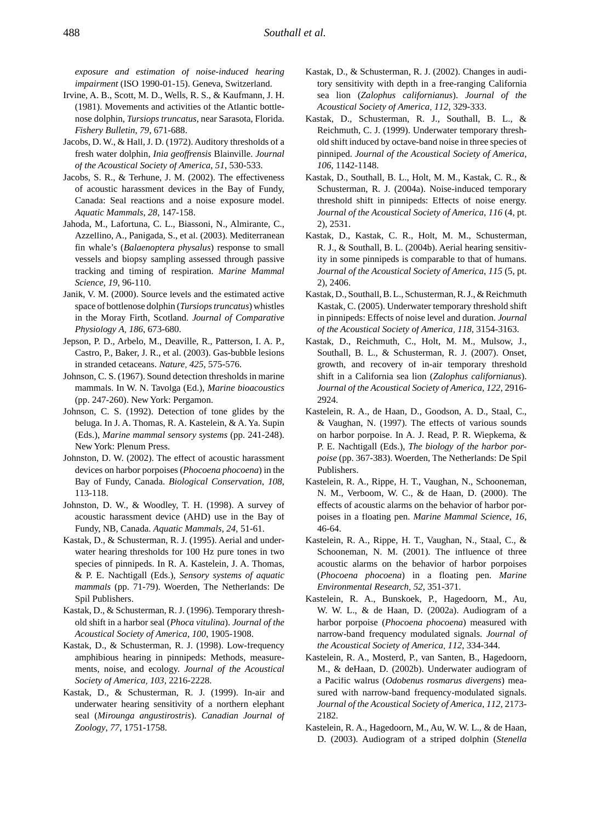*exposure and estimation of noise-induced hearing impairment* (ISO 1990-01-15). Geneva, Switzerland.

- Irvine, A. B., Scott, M. D., Wells, R. S., & Kaufmann, J. H. (1981). Movements and activities of the Atlantic bottlenose dolphin, *Tursiops truncatus*, near Sarasota, Florida. *Fishery Bulletin*, *79*, 671-688.
- Jacobs, D. W., & Hall, J. D. (1972). Auditory thresholds of a fresh water dolphin, *Inia geoffrensis* Blainville. *Journal of the Acoustical Society of America*, *51*, 530-533.
- Jacobs, S. R., & Terhune, J. M. (2002). The effectiveness of acoustic harassment devices in the Bay of Fundy, Canada: Seal reactions and a noise exposure model. *Aquatic Mammals*, *28*, 147-158.
- Jahoda, M., Lafortuna, C. L., Biassoni, N., Almirante, C., Azzellino, A., Panigada, S., et al. (2003). Mediterranean fin whale's (*Balaenoptera physalus*) response to small vessels and biopsy sampling assessed through passive tracking and timing of respiration. *Marine Mammal Science*, *19*, 96-110.
- Janik, V. M. (2000). Source levels and the estimated active space of bottlenose dolphin (*Tursiops truncatus*) whistles in the Moray Firth, Scotland. *Journal of Comparative Physiology A*, *186*, 673-680.
- Jepson, P. D., Arbelo, M., Deaville, R., Patterson, I. A. P., Castro, P., Baker, J. R., et al. (2003). Gas-bubble lesions in stranded cetaceans. *Nature*, *425*, 575-576.
- Johnson, C. S. (1967). Sound detection thresholds in marine mammals. In W. N. Tavolga (Ed.), *Marine bioacoustics*  (pp. 247-260). New York: Pergamon.
- Johnson, C. S. (1992). Detection of tone glides by the beluga. In J. A. Thomas, R. A. Kastelein, & A. Ya. Supin (Eds.), *Marine mammal sensory systems* (pp. 241-248). New York: Plenum Press.
- Johnston, D. W. (2002). The effect of acoustic harassment devices on harbor porpoises (*Phocoena phocoena*) in the Bay of Fundy, Canada. *Biological Conservation*, *108*, 113-118.
- Johnston, D. W., & Woodley, T. H. (1998). A survey of acoustic harassment device (AHD) use in the Bay of Fundy, NB, Canada. *Aquatic Mammals*, *24*, 51-61.
- Kastak, D., & Schusterman, R. J. (1995). Aerial and underwater hearing thresholds for 100 Hz pure tones in two species of pinnipeds. In R. A. Kastelein, J. A. Thomas, & P. E. Nachtigall (Eds.), *Sensory systems of aquatic mammals* (pp. 71-79). Woerden, The Netherlands: De Spil Publishers.
- Kastak, D., & Schusterman, R. J. (1996). Temporary threshold shift in a harbor seal (*Phoca vitulina*). *Journal of the Acoustical Society of America*, *100*, 1905-1908.
- Kastak, D., & Schusterman, R. J. (1998). Low-frequency amphibious hearing in pinnipeds: Methods, measurements, noise, and ecology. *Journal of the Acoustical Society of America*, *103*, 2216-2228.
- Kastak, D., & Schusterman, R. J. (1999). In-air and underwater hearing sensitivity of a northern elephant seal (*Mirounga angustirostris*). *Canadian Journal of Zoology*, *77*, 1751-1758.
- Kastak, D., & Schusterman, R. J. (2002). Changes in auditory sensitivity with depth in a free-ranging California sea lion (*Zalophus californianus*). *Journal of the Acoustical Society of America*, *112*, 329-333.
- Kastak, D., Schusterman, R. J., Southall, B. L., & Reichmuth, C. J. (1999). Underwater temporary threshold shift induced by octave-band noise in three species of pinniped. *Journal of the Acoustical Society of America*, *106*, 1142-1148.
- Kastak, D., Southall, B. L., Holt, M. M., Kastak, C. R., & Schusterman, R. J. (2004a). Noise-induced temporary threshold shift in pinnipeds: Effects of noise energy. *Journal of the Acoustical Society of America*, *116* (4, pt. 2), 2531.
- Kastak, D., Kastak, C. R., Holt, M. M., Schusterman, R. J., & Southall, B. L. (2004b). Aerial hearing sensitivity in some pinnipeds is comparable to that of humans. *Journal of the Acoustical Society of America*, *115* (5, pt. 2), 2406.
- Kastak, D., Southall, B. L., Schusterman, R. J., & Reichmuth Kastak, C. (2005). Underwater temporary threshold shift in pinnipeds: Effects of noise level and duration. *Journal of the Acoustical Society of America*, *118*, 3154-3163.
- Kastak, D., Reichmuth, C., Holt, M. M., Mulsow, J., Southall, B. L., & Schusterman, R. J. (2007). Onset, growth, and recovery of in-air temporary threshold shift in a California sea lion (*Zalophus californianus*). *Journal of the Acoustical Society of America, 122*, 2916- 2924.
- Kastelein, R. A., de Haan, D., Goodson, A. D., Staal, C., & Vaughan, N. (1997). The effects of various sounds on harbor porpoise. In A. J. Read, P. R. Wiepkema, & P. E. Nachtigall (Eds.), *The biology of the harbor porpoise* (pp. 367-383). Woerden, The Netherlands: De Spil Publishers.
- Kastelein, R. A., Rippe, H. T., Vaughan, N., Schooneman, N. M., Verboom, W. C., & de Haan, D. (2000). The effects of acoustic alarms on the behavior of harbor porpoises in a floating pen. *Marine Mammal Science*, *16*, 46-64.
- Kastelein, R. A., Rippe, H. T., Vaughan, N., Staal, C., & Schooneman, N. M. (2001). The influence of three acoustic alarms on the behavior of harbor porpoises (*Phocoena phocoena*) in a floating pen. *Marine Environmental Research*, *52*, 351-371.
- Kastelein, R. A., Bunskoek, P., Hagedoorn, M., Au, W. W. L., & de Haan, D. (2002a). Audiogram of a harbor porpoise (*Phocoena phocoena*) measured with narrow-band frequency modulated signals. *Journal of the Acoustical Society of America*, *112*, 334-344.
- Kastelein, R. A., Mosterd, P., van Santen, B., Hagedoorn, M., & deHaan, D. (2002b). Underwater audiogram of a Pacific walrus (*Odobenus rosmarus divergens*) measured with narrow-band frequency-modulated signals. *Journal of the Acoustical Society of America*, *112*, 2173- 2182.
- Kastelein, R. A., Hagedoorn, M., Au, W. W. L., & de Haan, D. (2003). Audiogram of a striped dolphin (*Stenella*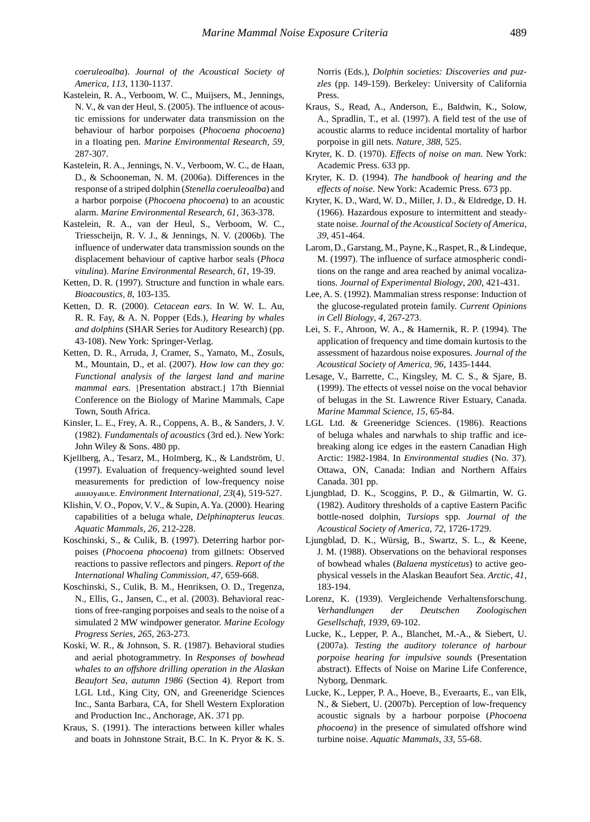*coeruleoalba*). *Journal of the Acoustical Society of America*, *113*, 1130-1137.

- Kastelein, R. A., Verboom, W. C., Muijsers, M., Jennings, N. V., & van der Heul, S. (2005). The influence of acoustic emissions for underwater data transmission on the behaviour of harbor porpoises (*Phocoena phocoena*) in a floating pen. *Marine Environmental Research*, *59*, 287-307.
- Kastelein, R. A., Jennings, N. V., Verboom, W. C., de Haan, D., & Schooneman, N. M. (2006a). Differences in the response of a striped dolphin (*Stenella coeruleoalba*) and a harbor porpoise (*Phocoena phocoena*) to an acoustic alarm. *Marine Environmental Research*, *61*, 363-378.
- Kastelein, R. A., van der Heul, S., Verboom, W. C., Triesscheijn, R. V. J., & Jennings, N. V. (2006b). The influence of underwater data transmission sounds on the displacement behaviour of captive harbor seals (*Phoca vitulina*). *Marine Environmental Research*, *61*, 19-39.
- Ketten, D. R. (1997). Structure and function in whale ears. *Bioacoustics*, *8*, 103-135.
- Ketten, D. R. (2000). *Cetacean ears*. In W. W. L. Au, R. R. Fay, & A. N. Popper (Eds.), *Hearing by whales and dolphins* (SHAR Series for Auditory Research) (pp. 43-108). New York: Springer-Verlag.
- Ketten, D. R., Arruda, J, Cramer, S., Yamato, M., Zosuls, M., Mountain, D., et al. (2007). *How low can they go: Functional analysis of the largest land and marine mammal ears.* [Presentation abstract.] 17th Biennial Conference on the Biology of Marine Mammals, Cape Town, South Africa.
- Kinsler, L. E., Frey, A. R., Coppens, A. B., & Sanders, J. V. (1982). *Fundamentals of acoustics* (3rd ed.). New York: John Wiley & Sons. 480 pp.
- Kjellberg, A., Tesarz, M., Holmberg, K., & Landström, U. (1997). Evaluation of frequency-weighted sound level measurements for prediction of low-frequency noise annoyance. *Environment International*, *23*(4), 519-527.
- Klishin, V. O., Popov, V. V., & Supin, A. Ya. (2000). Hearing capabilities of a beluga whale, *Delphinapterus leucas*. *Aquatic Mammals*, *26*, 212-228.
- Koschinski, S., & Culik, B. (1997). Deterring harbor porpoises (*Phocoena phocoena*) from gillnets: Observed reactions to passive reflectors and pingers. *Report of the International Whaling Commission*, *47*, 659-668.
- Koschinski, S., Culik, B. M., Henriksen, O. D., Tregenza, N., Ellis, G., Jansen, C., et al. (2003). Behavioral reactions of free-ranging porpoises and seals to the noise of a simulated 2 MW windpower generator. *Marine Ecology Progress Series*, *265*, 263-273.
- Koski, W. R., & Johnson, S. R. (1987). Behavioral studies and aerial photogrammetry. In *Responses of bowhead whales to an offshore drilling operation in the Alaskan Beaufort Sea, autumn 1986* (Section 4)*.* Report from LGL Ltd., King City, ON, and Greeneridge Sciences Inc., Santa Barbara, CA, for Shell Western Exploration and Production Inc., Anchorage, AK. 371 pp.
- Kraus, S. (1991). The interactions between killer whales and boats in Johnstone Strait, B.C. In K. Pryor & K. S.

Norris (Eds.), *Dolphin societies: Discoveries and puzzles* (pp. 149-159). Berkeley: University of California Press.

- Kraus, S., Read, A., Anderson, E., Baldwin, K., Solow, A., Spradlin, T., et al. (1997). A field test of the use of acoustic alarms to reduce incidental mortality of harbor porpoise in gill nets. *Nature*, *388*, 525.
- Kryter, K. D. (1970). *Effects of noise on man.* New York: Academic Press. 633 pp.
- Kryter, K. D. (1994). *The handbook of hearing and the effects of noise*. New York: Academic Press. 673 pp.
- Kryter, K. D., Ward, W. D., Miller, J. D., & Eldredge, D. H. (1966). Hazardous exposure to intermittent and steadystate noise. *Journal of the Acoustical Society of America*, *39*, 451-464.
- Larom, D., Garstang, M., Payne, K., Raspet, R., & Lindeque, M. (1997). The influence of surface atmospheric conditions on the range and area reached by animal vocalizations. *Journal of Experimental Biology*, *200*, 421-431.
- Lee, A. S. (1992). Mammalian stress response: Induction of the glucose-regulated protein family. *Current Opinions in Cell Biology*, *4*, 267-273.
- Lei, S. F., Ahroon, W. A., & Hamernik, R. P. (1994). The application of frequency and time domain kurtosis to the assessment of hazardous noise exposures. *Journal of the Acoustical Society of America*, *96*, 1435-1444.
- Lesage, V., Barrette, C., Kingsley, M. C. S., & Sjare, B. (1999). The effects of vessel noise on the vocal behavior of belugas in the St. Lawrence River Estuary, Canada. *Marine Mammal Science*, *15*, 65-84.
- LGL Ltd. & Greeneridge Sciences. (1986). Reactions of beluga whales and narwhals to ship traffic and icebreaking along ice edges in the eastern Canadian High Arctic: 1982-1984. In *Environmental studies* (No. 37). Ottawa, ON, Canada: Indian and Northern Affairs Canada. 301 pp.
- Ljungblad, D. K., Scoggins, P. D., & Gilmartin, W. G. (1982). Auditory thresholds of a captive Eastern Pacific bottle-nosed dolphin, *Tursiops* spp. *Journal of the Acoustical Society of America*, *72*, 1726-1729.
- Ljungblad, D. K., Würsig, B., Swartz, S. L., & Keene, J. M. (1988). Observations on the behavioral responses of bowhead whales (*Balaena mysticetus*) to active geophysical vessels in the Alaskan Beaufort Sea. *Arctic*, *41*, 183-194.
- Lorenz, K. (1939). Vergleichende Verhaltensforschung. *Verhandlungen der Deutschen Zoologischen Gesellschaft*, *1939*, 69-102.
- Lucke, K., Lepper, P. A., Blanchet, M.-A., & Siebert, U. (2007a). *Testing the auditory tolerance of harbour porpoise hearing for impulsive sounds* (Presentation abstract). Effects of Noise on Marine Life Conference, Nyborg, Denmark.
- Lucke, K., Lepper, P. A., Hoeve, B., Everaarts, E., van Elk, N., & Siebert, U. (2007b). Perception of low-frequency acoustic signals by a harbour porpoise (*Phocoena phocoena*) in the presence of simulated offshore wind turbine noise. *Aquatic Mammals*, *33*, 55-68.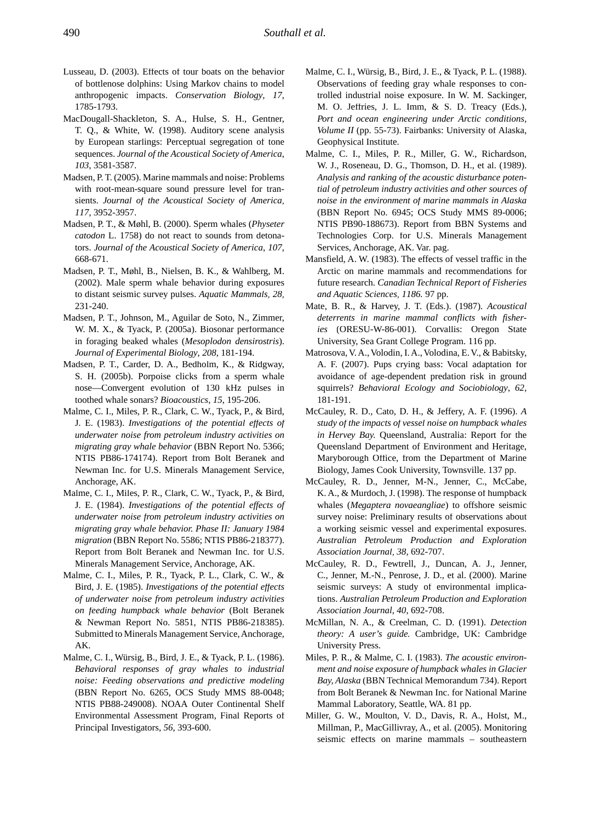- Lusseau, D. (2003). Effects of tour boats on the behavior of bottlenose dolphins: Using Markov chains to model anthropogenic impacts. *Conservation Biology*, *17*, 1785-1793.
- MacDougall-Shackleton, S. A., Hulse, S. H., Gentner, T. Q., & White, W. (1998). Auditory scene analysis by European starlings: Perceptual segregation of tone sequences. *Journal of the Acoustical Society of America*, *103*, 3581-3587.
- Madsen, P. T. (2005). Marine mammals and noise: Problems with root-mean-square sound pressure level for transients. *Journal of the Acoustical Society of America*, *117*, 3952-3957.
- Madsen, P. T., & Møhl, B. (2000). Sperm whales (*Physeter catodon* L. 1758) do not react to sounds from detonators. *Journal of the Acoustical Society of America*, *107*, 668-671.
- Madsen, P. T., Møhl, B., Nielsen, B. K., & Wahlberg, M. (2002). Male sperm whale behavior during exposures to distant seismic survey pulses. *Aquatic Mammals*, *28*, 231-240.
- Madsen, P. T., Johnson, M., Aguilar de Soto, N., Zimmer, W. M. X., & Tyack, P. (2005a). Biosonar performance in foraging beaked whales (*Mesoplodon densirostris*). *Journal of Experimental Biology*, *208*, 181-194.
- Madsen, P. T., Carder, D. A., Bedholm, K., & Ridgway, S. H. (2005b). Porpoise clicks from a sperm whale nose—Convergent evolution of 130 kHz pulses in toothed whale sonars? *Bioacoustics*, *15*, 195-206.
- Malme, C. I., Miles, P. R., Clark, C. W., Tyack, P., & Bird, J. E. (1983). *Investigations of the potential effects of underwater noise from petroleum industry activities on migrating gray whale behavior* (BBN Report No. 5366; NTIS PB86-174174). Report from Bolt Beranek and Newman Inc. for U.S. Minerals Management Service, Anchorage, AK.
- Malme, C. I., Miles, P. R., Clark, C. W., Tyack, P., & Bird, J. E. (1984). *Investigations of the potential effects of underwater noise from petroleum industry activities on migrating gray whale behavior. Phase II: January 1984 migration* (BBN Report No. 5586; NTIS PB86-218377). Report from Bolt Beranek and Newman Inc. for U.S. Minerals Management Service, Anchorage, AK.
- Malme, C. I., Miles, P. R., Tyack, P. L., Clark, C. W., & Bird, J. E. (1985). *Investigations of the potential effects of underwater noise from petroleum industry activities on feeding humpback whale behavior* (Bolt Beranek & Newman Report No. 5851, NTIS PB86-218385). Submitted to Minerals Management Service, Anchorage, AK.
- Malme, C. I., Würsig, B., Bird, J. E., & Tyack, P. L. (1986). *Behavioral responses of gray whales to industrial noise: Feeding observations and predictive modeling*  (BBN Report No. 6265, OCS Study MMS 88-0048; NTIS PB88-249008). NOAA Outer Continental Shelf Environmental Assessment Program, Final Reports of Principal Investigators, *56*, 393-600.
- Malme, C. I., Würsig, B., Bird, J. E., & Tyack, P. L. (1988). Observations of feeding gray whale responses to controlled industrial noise exposure. In W. M. Sackinger, M. O. Jeffries, J. L. Imm, & S. D. Treacy (Eds.), *Port and ocean engineering under Arctic conditions, Volume II* (pp. 55-73). Fairbanks: University of Alaska, Geophysical Institute.
- Malme, C. I., Miles, P. R., Miller, G. W., Richardson, W. J., Roseneau, D. G., Thomson, D. H., et al. (1989). *Analysis and ranking of the acoustic disturbance potential of petroleum industry activities and other sources of noise in the environment of marine mammals in Alaska* (BBN Report No. 6945; OCS Study MMS 89-0006; NTIS PB90-188673). Report from BBN Systems and Technologies Corp. for U.S. Minerals Management Services, Anchorage, AK. Var. pag.
- Mansfield, A. W. (1983). The effects of vessel traffic in the Arctic on marine mammals and recommendations for future research. *Canadian Technical Report of Fisheries and Aquatic Sciences*, *1186.* 97 pp.
- Mate, B. R., & Harvey, J. T. (Eds.). (1987). *Acoustical deterrents in marine mammal conflicts with fisheries* (ORESU-W-86-001). Corvallis: Oregon State University, Sea Grant College Program. 116 pp.
- Matrosova, V. A., Volodin, I. A., Volodina, E. V., & Babitsky, A. F. (2007). Pups crying bass: Vocal adaptation for avoidance of age-dependent predation risk in ground squirrels? *Behavioral Ecology and Sociobiology*, *62*, 181-191.
- McCauley, R. D., Cato, D. H., & Jeffery, A. F. (1996). *A study of the impacts of vessel noise on humpback whales in Hervey Bay.* Queensland, Australia: Report for the Queensland Department of Environment and Heritage, Maryborough Office, from the Department of Marine Biology, James Cook University, Townsville. 137 pp.
- McCauley, R. D., Jenner, M-N., Jenner, C., McCabe, K. A., & Murdoch, J. (1998). The response of humpback whales (*Megaptera novaeangliae*) to offshore seismic survey noise: Preliminary results of observations about a working seismic vessel and experimental exposures. *Australian Petroleum Production and Exploration Association Journal*, *38*, 692-707.
- McCauley, R. D., Fewtrell, J., Duncan, A. J., Jenner, C., Jenner, M.-N., Penrose, J. D., et al. (2000). Marine seismic surveys: A study of environmental implications. *Australian Petroleum Production and Exploration Association Journal*, *40*, 692-708.
- McMillan, N. A., & Creelman, C. D. (1991). *Detection theory: A user's guide.* Cambridge, UK: Cambridge University Press.
- Miles, P. R., & Malme, C. I. (1983). *The acoustic environment and noise exposure of humpback whales in Glacier Bay, Alaska* (BBN Technical Memorandum 734). Report from Bolt Beranek & Newman Inc. for National Marine Mammal Laboratory, Seattle, WA. 81 pp.
- Miller, G. W., Moulton, V. D., Davis, R. A., Holst, M., Millman, P., MacGillivray, A., et al. (2005). Monitoring seismic effects on marine mammals – southeastern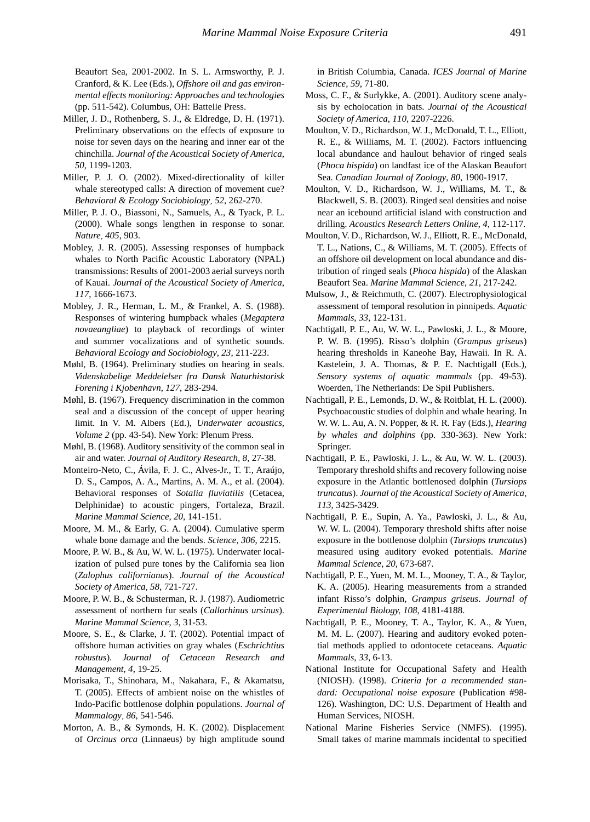Beaufort Sea, 2001-2002. In S. L. Armsworthy, P. J. Cranford, & K. Lee (Eds.), *Offshore oil and gas environmental effects monitoring: Approaches and technologies* (pp. 511-542). Columbus, OH: Battelle Press.

- Miller, J. D., Rothenberg, S. J., & Eldredge, D. H. (1971). Preliminary observations on the effects of exposure to noise for seven days on the hearing and inner ear of the chinchilla. *Journal of the Acoustical Society of America*, *50*, 1199-1203.
- Miller, P. J. O. (2002). Mixed-directionality of killer whale stereotyped calls: A direction of movement cue? *Behavioral & Ecology Sociobiology*, *52*, 262-270.
- Miller, P. J. O., Biassoni, N., Samuels, A., & Tyack, P. L. (2000). Whale songs lengthen in response to sonar. *Nature*, *405*, 903.
- Mobley, J. R. (2005). Assessing responses of humpback whales to North Pacific Acoustic Laboratory (NPAL) transmissions: Results of 2001-2003 aerial surveys north of Kauai. *Journal of the Acoustical Society of America*, *117*, 1666-1673.
- Mobley, J. R., Herman, L. M., & Frankel, A. S. (1988). Responses of wintering humpback whales (*Megaptera novaeangliae*) to playback of recordings of winter and summer vocalizations and of synthetic sounds. *Behavioral Ecology and Sociobiology*, *23*, 211-223.
- Møhl, B. (1964). Preliminary studies on hearing in seals. *Videnskabelige Meddelelser fra Dansk Naturhistorisk Forening i Kjobenhavn*, *127*, 283-294.
- Møhl, B. (1967). Frequency discrimination in the common seal and a discussion of the concept of upper hearing limit. In V. M. Albers (Ed.), *Underwater acoustics*, *Volume 2* (pp. 43-54). New York: Plenum Press.
- Møhl, B. (1968). Auditory sensitivity of the common seal in air and water. *Journal of Auditory Research*, *8*, 27-38.
- Monteiro-Neto, C., Ávila, F. J. C., Alves-Jr., T. T., Araújo, D. S., Campos, A. A., Martins, A. M. A., et al. (2004). Behavioral responses of *Sotalia fluviatilis* (Cetacea, Delphinidae) to acoustic pingers, Fortaleza, Brazil. *Marine Mammal Science*, *20*, 141-151.
- Moore, M. M., & Early, G. A. (2004). Cumulative sperm whale bone damage and the bends. *Science*, *306*, 2215.
- Moore, P. W. B., & Au, W. W. L. (1975). Underwater localization of pulsed pure tones by the California sea lion (*Zalophus californianus*). *Journal of the Acoustical Society of America*, *58*, 721-727.
- Moore, P. W. B., & Schusterman, R. J. (1987). Audiometric assessment of northern fur seals (*Callorhinus ursinus*). *Marine Mammal Science*, *3*, 31-53.
- Moore, S. E., & Clarke, J. T. (2002). Potential impact of offshore human activities on gray whales (*Eschrichtius robustus*). *Journal of Cetacean Research and Management*, *4*, 19-25.
- Morisaka, T., Shinohara, M., Nakahara, F., & Akamatsu, T. (2005). Effects of ambient noise on the whistles of Indo-Pacific bottlenose dolphin populations. *Journal of Mammalogy*, *86*, 541-546.
- Morton, A. B., & Symonds, H. K. (2002). Displacement of *Orcinus orca* (Linnaeus) by high amplitude sound

in British Columbia, Canada. *ICES Journal of Marine Science*, *59*, 71-80.

- Moss, C. F., & Surlykke, A. (2001). Auditory scene analysis by echolocation in bats. *Journal of the Acoustical Society of America*, *110*, 2207-2226.
- Moulton, V. D., Richardson, W. J., McDonald, T. L., Elliott, R. E., & Williams, M. T. (2002). Factors influencing local abundance and haulout behavior of ringed seals (*Phoca hispida*) on landfast ice of the Alaskan Beaufort Sea. *Canadian Journal of Zoology*, *80*, 1900-1917.
- Moulton, V. D., Richardson, W. J., Williams, M. T., & Blackwell, S. B. (2003). Ringed seal densities and noise near an icebound artificial island with construction and drilling. *Acoustics Research Letters Online*, *4*, 112-117.
- Moulton, V. D., Richardson, W. J., Elliott, R. E., McDonald, T. L., Nations, C., & Williams, M. T. (2005). Effects of an offshore oil development on local abundance and distribution of ringed seals (*Phoca hispida*) of the Alaskan Beaufort Sea. *Marine Mammal Science*, *21*, 217-242.
- Mulsow, J., & Reichmuth, C. (2007). Electrophysiological assessment of temporal resolution in pinnipeds. *Aquatic Mammals*, *33*, 122-131.
- Nachtigall, P. E., Au, W. W. L., Pawloski, J. L., & Moore, P. W. B. (1995). Risso's dolphin (*Grampus griseus*) hearing thresholds in Kaneohe Bay, Hawaii. In R. A. Kastelein, J. A. Thomas, & P. E. Nachtigall (Eds.), *Sensory systems of aquatic mammals* (pp. 49-53). Woerden, The Netherlands: De Spil Publishers.
- Nachtigall, P. E., Lemonds, D. W., & Roitblat, H. L. (2000). Psychoacoustic studies of dolphin and whale hearing. In W. W. L. Au, A. N. Popper, & R. R. Fay (Eds.), *Hearing by whales and dolphins* (pp. 330-363). New York: Springer.
- Nachtigall, P. E., Pawloski, J. L., & Au, W. W. L. (2003). Temporary threshold shifts and recovery following noise exposure in the Atlantic bottlenosed dolphin (*Tursiops truncatus*). *Journal of the Acoustical Society of America*, *113*, 3425-3429.
- Nachtigall, P. E., Supin, A. Ya., Pawloski, J. L., & Au, W. W. L. (2004). Temporary threshold shifts after noise exposure in the bottlenose dolphin (*Tursiops truncatus*) measured using auditory evoked potentials. *Marine Mammal Science*, *20*, 673-687.
- Nachtigall, P. E., Yuen, M. M. L., Mooney, T. A., & Taylor, K. A. (2005). Hearing measurements from a stranded infant Risso's dolphin, *Grampus griseus*. *Journal of Experimental Biology, 108*, 4181-4188.
- Nachtigall, P. E., Mooney, T. A., Taylor, K. A., & Yuen, M. M. L. (2007). Hearing and auditory evoked potential methods applied to odontocete cetaceans. *Aquatic Mammals*, *33*, 6-13.
- National Institute for Occupational Safety and Health (NIOSH). (1998). *Criteria for a recommended standard: Occupational noise exposure* (Publication #98- 126). Washington, DC: U.S. Department of Health and Human Services, NIOSH.
- National Marine Fisheries Service (NMFS). (1995). Small takes of marine mammals incidental to specified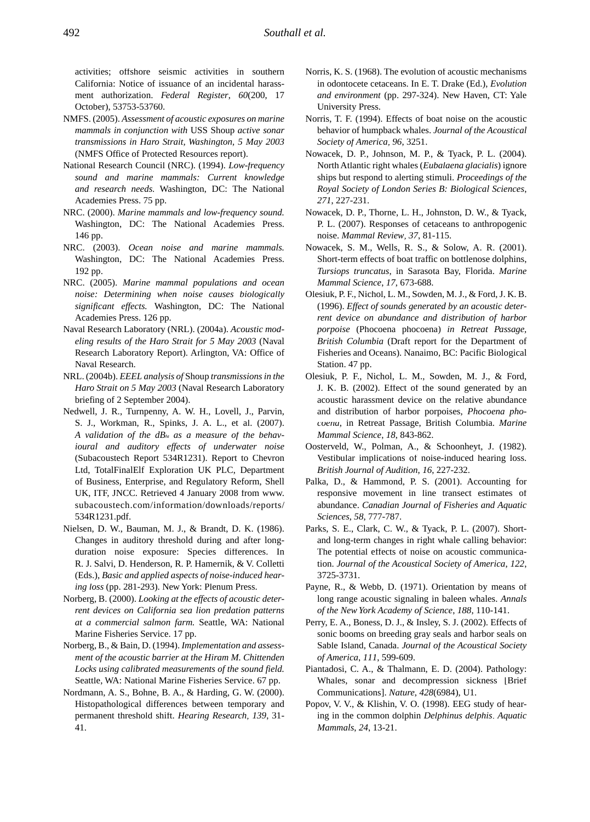activities; offshore seismic activities in southern California: Notice of issuance of an incidental harassment authorization. *Federal Register*, *60*(200, 17 October), 53753-53760.

- NMFS. (2005). *Assessment of acoustic exposures on marine mammals in conjunction with* USS Shoup *active sonar transmissions in Haro Strait, Washington, 5 May 2003*  (NMFS Office of Protected Resources report).
- National Research Council (NRC). (1994). *Low-frequency sound and marine mammals: Current knowledge and research needs.* Washington, DC: The National Academies Press. 75 pp.
- NRC. (2000). *Marine mammals and low-frequency sound.*  Washington, DC: The National Academies Press. 146 pp.
- NRC. (2003). *Ocean noise and marine mammals.*  Washington, DC: The National Academies Press. 192 pp.
- NRC. (2005). *Marine mammal populations and ocean noise: Determining when noise causes biologically significant effects.* Washington, DC: The National Academies Press. 126 pp.
- Naval Research Laboratory (NRL). (2004a). *Acoustic modeling results of the Haro Strait for 5 May 2003* (Naval Research Laboratory Report). Arlington, VA: Office of Naval Research.
- NRL. (2004b). *EEEL analysis of* Shoup *transmissions in the Haro Strait on 5 May 2003* (Naval Research Laboratory briefing of 2 September 2004).
- Nedwell, J. R., Turnpenny, A. W. H., Lovell, J., Parvin, S. J., Workman, R., Spinks, J. A. L., et al. (2007). *A validation of the dBht as a measure of the behavioural and auditory effects of underwater noise* (Subacoustech Report 534R1231). Report to Chevron Ltd, TotalFinalElf Exploration UK PLC, Department of Business, Enterprise, and Regulatory Reform, Shell UK, ITF, JNCC. Retrieved 4 January 2008 from www. subacoustech.com/information/downloads/reports/ 534R1231.pdf.
- Nielsen, D. W., Bauman, M. J., & Brandt, D. K. (1986). Changes in auditory threshold during and after longduration noise exposure: Species differences. In R. J. Salvi, D. Henderson, R. P. Hamernik, & V. Colletti (Eds.), *Basic and applied aspects of noise-induced hearing loss* (pp. 281-293). New York: Plenum Press.
- Norberg, B. (2000). *Looking at the effects of acoustic deterrent devices on California sea lion predation patterns at a commercial salmon farm.* Seattle, WA: National Marine Fisheries Service. 17 pp.
- Norberg, B., & Bain, D. (1994). *Implementation and assessment of the acoustic barrier at the Hiram M. Chittenden Locks using calibrated measurements of the sound field.*  Seattle, WA: National Marine Fisheries Service. 67 pp.
- Nordmann, A. S., Bohne, B. A., & Harding, G. W. (2000). Histopathological differences between temporary and permanent threshold shift. *Hearing Research*, *139*, 31- 41.
- Norris, K. S. (1968). The evolution of acoustic mechanisms in odontocete cetaceans. In E. T. Drake (Ed.), *Evolution and environment* (pp. 297-324). New Haven, CT: Yale University Press.
- Norris, T. F. (1994). Effects of boat noise on the acoustic behavior of humpback whales. *Journal of the Acoustical Society of America*, *96*, 3251.
- Nowacek, D. P., Johnson, M. P., & Tyack, P. L. (2004). North Atlantic right whales (*Eubalaena glacialis*) ignore ships but respond to alerting stimuli. *Proceedings of the Royal Society of London Series B: Biological Sciences*, *271*, 227-231.
- Nowacek, D. P., Thorne, L. H., Johnston, D. W., & Tyack, P. L. (2007). Responses of cetaceans to anthropogenic noise. *Mammal Review*, *37*, 81-115.
- Nowacek, S. M., Wells, R. S., & Solow, A. R. (2001). Short-term effects of boat traffic on bottlenose dolphins, *Tursiops truncatus*, in Sarasota Bay, Florida. *Marine Mammal Science*, *17*, 673-688.
- Olesiuk, P. F., Nichol, L. M., Sowden, M. J., & Ford, J. K. B. (1996). *Effect of sounds generated by an acoustic deterrent device on abundance and distribution of harbor porpoise* (Phocoena phocoena) *in Retreat Passage, British Columbia* (Draft report for the Department of Fisheries and Oceans). Nanaimo, BC: Pacific Biological Station. 47 pp.
- Olesiuk, P. F., Nichol, L. M., Sowden, M. J., & Ford, J. K. B. (2002). Effect of the sound generated by an acoustic harassment device on the relative abundance and distribution of harbor porpoises, *Phocoena phocoena*, in Retreat Passage, British Columbia. *Marine Mammal Science*, *18*, 843-862.
- Oosterveld, W., Polman, A., & Schoonheyt, J. (1982). Vestibular implications of noise-induced hearing loss. *British Journal of Audition*, *16*, 227-232.
- Palka, D., & Hammond, P. S. (2001). Accounting for responsive movement in line transect estimates of abundance. *Canadian Journal of Fisheries and Aquatic Sciences*, *58*, 777-787.
- Parks, S. E., Clark, C. W., & Tyack, P. L. (2007). Shortand long-term changes in right whale calling behavior: The potential effects of noise on acoustic communication. *Journal of the Acoustical Society of America*, *122*, 3725-3731.
- Payne, R., & Webb, D. (1971). Orientation by means of long range acoustic signaling in baleen whales. *Annals of the New York Academy of Science*, *188*, 110-141.
- Perry, E. A., Boness, D. J., & Insley, S. J. (2002). Effects of sonic booms on breeding gray seals and harbor seals on Sable Island, Canada. *Journal of the Acoustical Society of America*, *111*, 599-609.
- Piantadosi, C. A., & Thalmann, E. D. (2004). Pathology: Whales, sonar and decompression sickness [Brief Communications]. *Nature*, *428*(6984), U1.
- Popov, V. V., & Klishin, V. O. (1998). EEG study of hearing in the common dolphin *Delphinus delphis*. *Aquatic Mammals*, *24*, 13-21.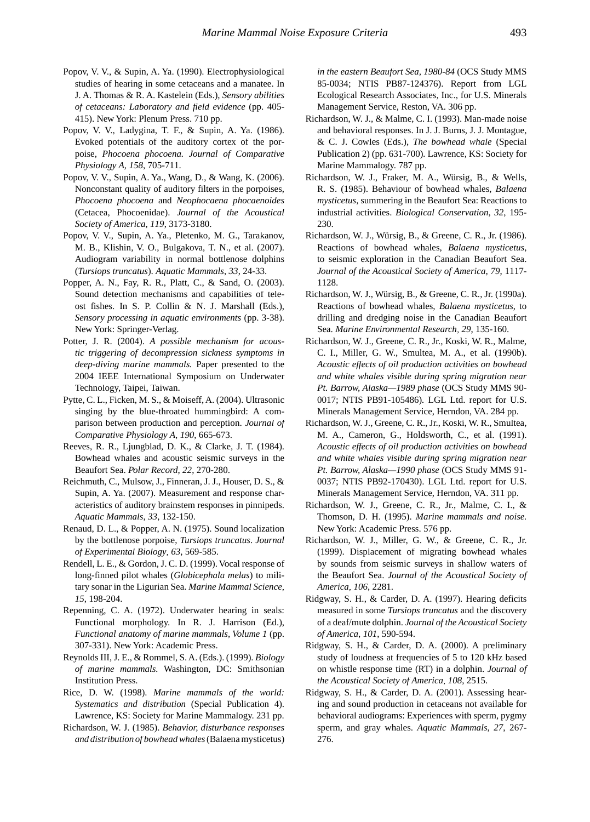- Popov, V. V., & Supin, A. Ya. (1990). Electrophysiological studies of hearing in some cetaceans and a manatee. In J. A. Thomas & R. A. Kastelein (Eds.), *Sensory abilities of cetaceans: Laboratory and field evidence* (pp. 405- 415). New York: Plenum Press. 710 pp.
- Popov, V. V., Ladygina, T. F., & Supin, A. Ya. (1986). Evoked potentials of the auditory cortex of the porpoise, *Phocoena phocoena. Journal of Comparative Physiology A, 158*, 705-711.
- Popov, V. V., Supin, A. Ya., Wang, D., & Wang, K. (2006). Nonconstant quality of auditory filters in the porpoises, *Phocoena phocoena* and *Neophocaena phocaenoides*  (Cetacea, Phocoenidae). *Journal of the Acoustical Society of America*, *119*, 3173-3180.
- Popov, V. V., Supin, A. Ya., Pletenko, M. G., Tarakanov, M. B., Klishin, V. O., Bulgakova, T. N., et al. (2007). Audiogram variability in normal bottlenose dolphins (*Tursiops truncatus*). *Aquatic Mammals*, *33*, 24-33.
- Popper, A. N., Fay, R. R., Platt, C., & Sand, O. (2003). Sound detection mechanisms and capabilities of teleost fishes. In S. P. Collin & N. J. Marshall (Eds.), *Sensory processing in aquatic environments* (pp. 3-38). New York: Springer-Verlag.
- Potter, J. R. (2004). *A possible mechanism for acoustic triggering of decompression sickness symptoms in deep-diving marine mammals.* Paper presented to the 2004 IEEE International Symposium on Underwater Technology, Taipei, Taiwan.
- Pytte, C. L., Ficken, M. S., & Moiseff, A. (2004). Ultrasonic singing by the blue-throated hummingbird: A comparison between production and perception. *Journal of Comparative Physiology A*, *190*, 665-673.
- Reeves, R. R., Ljungblad, D. K., & Clarke, J. T. (1984). Bowhead whales and acoustic seismic surveys in the Beaufort Sea. *Polar Record*, *22*, 270-280.
- Reichmuth, C., Mulsow, J., Finneran, J. J., Houser, D. S., & Supin, A. Ya. (2007). Measurement and response characteristics of auditory brainstem responses in pinnipeds. *Aquatic Mammals*, *33*, 132-150.
- Renaud, D. L., & Popper, A. N. (1975). Sound localization by the bottlenose porpoise, *Tursiops truncatus*. *Journal of Experimental Biology*, *63*, 569-585.
- Rendell, L. E., & Gordon, J. C. D. (1999). Vocal response of long-finned pilot whales (*Globicephala melas*) to military sonar in the Ligurian Sea. *Marine Mammal Science*, *15*, 198-204.
- Repenning, C. A. (1972). Underwater hearing in seals: Functional morphology. In R. J. Harrison (Ed.), *Functional anatomy of marine mammals, Volume 1* (pp. 307-331). New York: Academic Press.
- Reynolds III, J. E., & Rommel, S. A. (Eds.). (1999). *Biology of marine mammals.* Washington, DC: Smithsonian Institution Press.
- Rice, D. W. (1998). *Marine mammals of the world: Systematics and distribution* (Special Publication 4). Lawrence, KS: Society for Marine Mammalogy. 231 pp.
- Richardson, W. J. (1985). *Behavior, disturbance responses and distribution of bowhead whales* (Balaena mysticetus)

*in the eastern Beaufort Sea, 1980-84* (OCS Study MMS 85-0034; NTIS PB87-124376). Report from LGL Ecological Research Associates, Inc., for U.S. Minerals Management Service, Reston, VA. 306 pp.

- Richardson, W. J., & Malme, C. I. (1993). Man-made noise and behavioral responses. In J. J. Burns, J. J. Montague, & C. J. Cowles (Eds.), *The bowhead whale* (Special Publication 2) (pp. 631-700)*.* Lawrence, KS: Society for Marine Mammalogy. 787 pp.
- Richardson, W. J., Fraker, M. A., Würsig, B., & Wells, R. S. (1985). Behaviour of bowhead whales, *Balaena mysticetus*, summering in the Beaufort Sea: Reactions to industrial activities. *Biological Conservation*, *32*, 195- 230.
- Richardson, W. J., Würsig, B., & Greene, C. R., Jr. (1986). Reactions of bowhead whales, *Balaena mysticetus*, to seismic exploration in the Canadian Beaufort Sea. *Journal of the Acoustical Society of America*, *79*, 1117- 1128.
- Richardson, W. J., Würsig, B., & Greene, C. R., Jr. (1990a). Reactions of bowhead whales, *Balaena mysticetus*, to drilling and dredging noise in the Canadian Beaufort Sea. *Marine Environmental Research*, *29*, 135-160.
- Richardson, W. J., Greene, C. R., Jr., Koski, W. R., Malme, C. I., Miller, G. W., Smultea, M. A., et al. (1990b). *Acoustic effects of oil production activities on bowhead and white whales visible during spring migration near Pt. Barrow, Alaska—1989 phase* (OCS Study MMS 90- 0017; NTIS PB91-105486)*.* LGL Ltd. report for U.S. Minerals Management Service, Herndon, VA. 284 pp.
- Richardson, W. J., Greene, C. R., Jr., Koski, W. R., Smultea, M. A., Cameron, G., Holdsworth, C., et al. (1991). *Acoustic effects of oil production activities on bowhead and white whales visible during spring migration near Pt. Barrow, Alaska—1990 phase* (OCS Study MMS 91- 0037; NTIS PB92-170430). LGL Ltd. report for U.S. Minerals Management Service, Herndon, VA. 311 pp.
- Richardson, W. J., Greene, C. R., Jr., Malme, C. I., & Thomson, D. H. (1995). *Marine mammals and noise.*  New York: Academic Press. 576 pp.
- Richardson, W. J., Miller, G. W., & Greene, C. R., Jr. (1999). Displacement of migrating bowhead whales by sounds from seismic surveys in shallow waters of the Beaufort Sea. *Journal of the Acoustical Society of America*, *106*, 2281.
- Ridgway, S. H., & Carder, D. A. (1997). Hearing deficits measured in some *Tursiops truncatus* and the discovery of a deaf/mute dolphin. *Journal of the Acoustical Society of America*, *101*, 590-594.
- Ridgway, S. H., & Carder, D. A. (2000). A preliminary study of loudness at frequencies of 5 to 120 kHz based on whistle response time (RT) in a dolphin. *Journal of the Acoustical Society of America*, *108*, 2515.
- Ridgway, S. H., & Carder, D. A. (2001). Assessing hearing and sound production in cetaceans not available for behavioral audiograms: Experiences with sperm, pygmy sperm, and gray whales. *Aquatic Mammals*, *27*, 267- 276.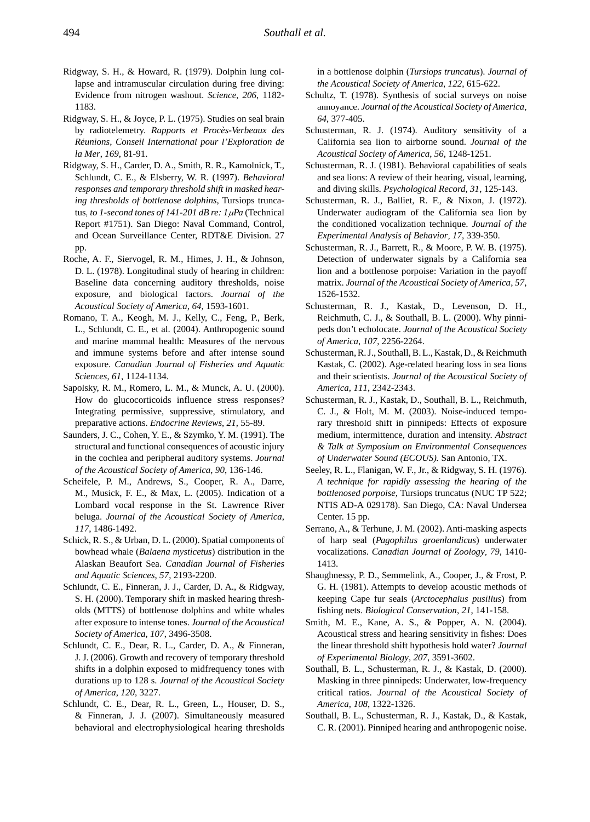- Ridgway, S. H., & Howard, R. (1979). Dolphin lung collapse and intramuscular circulation during free diving: Evidence from nitrogen washout. *Science*, *206*, 1182- 1183.
- Ridgway, S. H., & Joyce, P. L. (1975). Studies on seal brain by radiotelemetry. *Rapports et Procès-Verbeaux des Réunions, Conseil International pour l'Exploration de la Mer*, *169*, 81-91.
- Ridgway, S. H., Carder, D. A., Smith, R. R., Kamolnick, T., Schlundt, C. E., & Elsberry, W. R. (1997). *Behavioral responses and temporary threshold shift in masked hearing thresholds of bottlenose dolphins,* Tursiops truncatus, to 1-second tones of 141-201 dB re: 1µPa (Technical Report #1751). San Diego: Naval Command, Control, and Ocean Surveillance Center, RDT&E Division. 27 pp.
- Roche, A. F., Siervogel, R. M., Himes, J. H., & Johnson, D. L. (1978). Longitudinal study of hearing in children: Baseline data concerning auditory thresholds, noise exposure, and biological factors. *Journal of the Acoustical Society of America*, *64*, 1593-1601.
- Romano, T. A., Keogh, M. J., Kelly, C., Feng, P., Berk, L., Schlundt, C. E., et al. (2004). Anthropogenic sound and marine mammal health: Measures of the nervous and immune systems before and after intense sound exposure. *Canadian Journal of Fisheries and Aquatic Sciences*, *61*, 1124-1134.
- Sapolsky, R. M., Romero, L. M., & Munck, A. U. (2000). How do glucocorticoids influence stress responses? Integrating permissive, suppressive, stimulatory, and preparative actions. *Endocrine Reviews*, *21*, 55-89.
- Saunders, J. C., Cohen, Y. E., & Szymko, Y. M. (1991). The structural and functional consequences of acoustic injury in the cochlea and peripheral auditory systems. *Journal of the Acoustical Society of America*, *90*, 136-146.
- Scheifele, P. M., Andrews, S., Cooper, R. A., Darre, M., Musick, F. E., & Max, L. (2005). Indication of a Lombard vocal response in the St. Lawrence River beluga. *Journal of the Acoustical Society of America*, *117*, 1486-1492.
- Schick, R. S., & Urban, D. L. (2000). Spatial components of bowhead whale (*Balaena mysticetus*) distribution in the Alaskan Beaufort Sea. *Canadian Journal of Fisheries and Aquatic Sciences*, *57*, 2193-2200.
- Schlundt, C. E., Finneran, J. J., Carder, D. A., & Ridgway, S. H. (2000). Temporary shift in masked hearing thresholds (MTTS) of bottlenose dolphins and white whales after exposure to intense tones. *Journal of the Acoustical Society of America*, *107*, 3496-3508.
- Schlundt, C. E., Dear, R. L., Carder, D. A., & Finneran, J. J. (2006). Growth and recovery of temporary threshold shifts in a dolphin exposed to midfrequency tones with durations up to 128 s. *Journal of the Acoustical Society of America*, *120*, 3227.
- Schlundt, C. E., Dear, R. L., Green, L., Houser, D. S., & Finneran, J. J. (2007). Simultaneously measured behavioral and electrophysiological hearing thresholds

in a bottlenose dolphin (*Tursiops truncatus*). *Journal of the Acoustical Society of America*, *122*, 615-622.

- Schultz, T. (1978). Synthesis of social surveys on noise annoyance. *Journal of the Acoustical Society of America*, *64*, 377-405.
- Schusterman, R. J. (1974). Auditory sensitivity of a California sea lion to airborne sound. *Journal of the Acoustical Society of America*, *56*, 1248-1251.
- Schusterman, R. J. (1981). Behavioral capabilities of seals and sea lions: A review of their hearing, visual, learning, and diving skills. *Psychological Record*, *31*, 125-143.
- Schusterman, R. J., Balliet, R. F., & Nixon, J. (1972). Underwater audiogram of the California sea lion by the conditioned vocalization technique. *Journal of the Experimental Analysis of Behavior*, *17*, 339-350.
- Schusterman, R. J., Barrett, R., & Moore, P. W. B. (1975). Detection of underwater signals by a California sea lion and a bottlenose porpoise: Variation in the payoff matrix. *Journal of the Acoustical Society of America*, *57*, 1526-1532.
- Schusterman, R. J., Kastak, D., Levenson, D. H., Reichmuth, C. J., & Southall, B. L. (2000). Why pinnipeds don't echolocate. *Journal of the Acoustical Society of America*, *107*, 2256-2264.
- Schusterman, R. J., Southall, B. L., Kastak, D., & Reichmuth Kastak, C. (2002). Age-related hearing loss in sea lions and their scientists. *Journal of the Acoustical Society of America*, *111*, 2342-2343.
- Schusterman, R. J., Kastak, D., Southall, B. L., Reichmuth, C. J., & Holt, M. M. (2003). Noise-induced temporary threshold shift in pinnipeds: Effects of exposure medium, intermittence, duration and intensity. *Abstract & Talk at Symposium on Environmental Consequences of Underwater Sound (ECOUS).* San Antonio, TX.
- Seeley, R. L., Flanigan, W. F., Jr., & Ridgway, S. H. (1976). *A technique for rapidly assessing the hearing of the bottlenosed porpoise,* Tursiops truncatus (NUC TP 522; NTIS AD-A 029178). San Diego, CA: Naval Undersea Center. 15 pp.
- Serrano, A., & Terhune, J. M. (2002). Anti-masking aspects of harp seal (*Pagophilus groenlandicus*) underwater vocalizations. *Canadian Journal of Zoology*, *79*, 1410- 1413.
- Shaughnessy, P. D., Semmelink, A., Cooper, J., & Frost, P. G. H. (1981). Attempts to develop acoustic methods of keeping Cape fur seals (*Arctocephalus pusillus*) from fishing nets. *Biological Conservation*, *21*, 141-158.
- Smith, M. E., Kane, A. S., & Popper, A. N. (2004). Acoustical stress and hearing sensitivity in fishes: Does the linear threshold shift hypothesis hold water? *Journal of Experimental Biology*, *207*, 3591-3602.
- Southall, B. L., Schusterman, R. J., & Kastak, D. (2000). Masking in three pinnipeds: Underwater, low-frequency critical ratios. *Journal of the Acoustical Society of America*, *108*, 1322-1326.
- Southall, B. L., Schusterman, R. J., Kastak, D., & Kastak, C. R. (2001). Pinniped hearing and anthropogenic noise.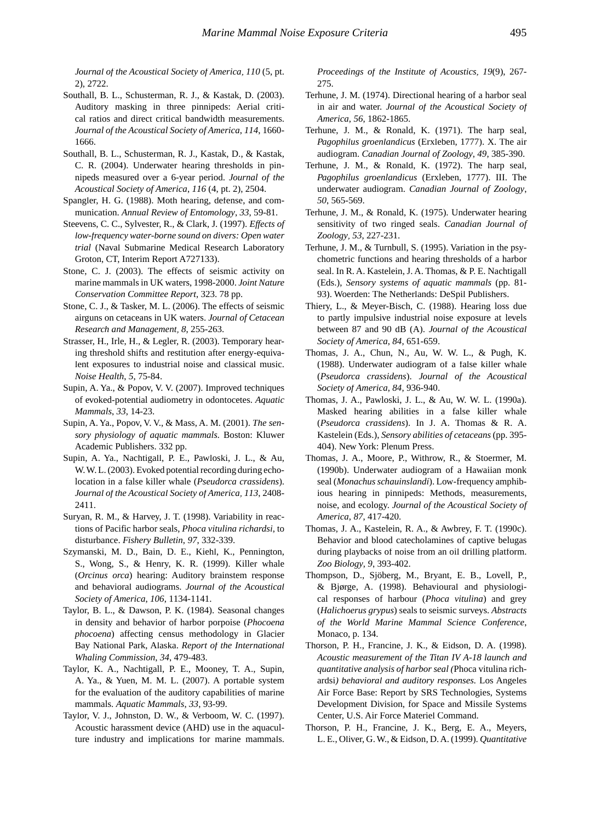*Journal of the Acoustical Society of America*, *110* (5, pt. 2), 2722.

- Southall, B. L., Schusterman, R. J., & Kastak, D. (2003). Auditory masking in three pinnipeds: Aerial critical ratios and direct critical bandwidth measurements. *Journal of the Acoustical Society of America*, *114*, 1660- 1666.
- Southall, B. L., Schusterman, R. J., Kastak, D., & Kastak, C. R. (2004). Underwater hearing thresholds in pinnipeds measured over a 6-year period. *Journal of the Acoustical Society of America*, *116* (4, pt. 2), 2504.
- Spangler, H. G. (1988). Moth hearing, defense, and communication. *Annual Review of Entomology*, *33*, 59-81.
- Steevens, C. C., Sylvester, R., & Clark, J. (1997). *Effects of low-frequency water-borne sound on divers: Open water trial* (Naval Submarine Medical Research Laboratory Groton, CT, Interim Report A727133).
- Stone, C. J. (2003). The effects of seismic activity on marine mammals in UK waters, 1998-2000. *Joint Nature Conservation Committee Report*, 323. 78 pp.
- Stone, C. J., & Tasker, M. L. (2006). The effects of seismic airguns on cetaceans in UK waters. *Journal of Cetacean Research and Management*, *8*, 255-263.
- Strasser, H., Irle, H., & Legler, R. (2003). Temporary hearing threshold shifts and restitution after energy-equivalent exposures to industrial noise and classical music. *Noise Health*, *5*, 75-84.
- Supin, A. Ya., & Popov, V. V. (2007). Improved techniques of evoked-potential audiometry in odontocetes. *Aquatic Mammals*, *33*, 14-23.
- Supin, A. Ya., Popov, V. V., & Mass, A. M. (2001). *The sensory physiology of aquatic mammals.* Boston: Kluwer Academic Publishers. 332 pp.
- Supin, A. Ya., Nachtigall, P. E., Pawloski, J. L., & Au, W. W. L. (2003). Evoked potential recording during echolocation in a false killer whale (*Pseudorca crassidens*). *Journal of the Acoustical Society of America*, *113*, 2408- 2411.
- Suryan, R. M., & Harvey, J. T. (1998). Variability in reactions of Pacific harbor seals, *Phoca vitulina richardsi*, to disturbance. *Fishery Bulletin*, *97*, 332-339.
- Szymanski, M. D., Bain, D. E., Kiehl, K., Pennington, S., Wong, S., & Henry, K. R. (1999). Killer whale (*Orcinus orca*) hearing: Auditory brainstem response and behavioral audiograms. *Journal of the Acoustical Society of America*, *106*, 1134-1141.
- Taylor, B. L., & Dawson, P. K. (1984). Seasonal changes in density and behavior of harbor porpoise (*Phocoena phocoena*) affecting census methodology in Glacier Bay National Park, Alaska. *Report of the International Whaling Commission*, *34*, 479-483.
- Taylor, K. A., Nachtigall, P. E., Mooney, T. A., Supin, A. Ya., & Yuen, M. M. L. (2007). A portable system for the evaluation of the auditory capabilities of marine mammals. *Aquatic Mammals*, *33*, 93-99.
- Taylor, V. J., Johnston, D. W., & Verboom, W. C. (1997). Acoustic harassment device (AHD) use in the aquaculture industry and implications for marine mammals.

*Proceedings of the Institute of Acoustics*, *19*(9), 267- 275.

- Terhune, J. M. (1974). Directional hearing of a harbor seal in air and water. *Journal of the Acoustical Society of America*, *56*, 1862-1865.
- Terhune, J. M., & Ronald, K. (1971). The harp seal, *Pagophilus groenlandicus* (Erxleben, 1777). X. The air audiogram. *Canadian Journal of Zoology*, *49*, 385-390.
- Terhune, J. M., & Ronald, K. (1972). The harp seal, *Pagophilus groenlandicus* (Erxleben, 1777). III. The underwater audiogram. *Canadian Journal of Zoology*, *50*, 565-569.
- Terhune, J. M., & Ronald, K. (1975). Underwater hearing sensitivity of two ringed seals. *Canadian Journal of Zoology*, *53*, 227-231.
- Terhune, J. M., & Turnbull, S. (1995). Variation in the psychometric functions and hearing thresholds of a harbor seal. In R. A. Kastelein, J. A. Thomas, & P. E. Nachtigall (Eds.), *Sensory systems of aquatic mammals* (pp. 81- 93). Woerden: The Netherlands: DeSpil Publishers.
- Thiery, L., & Meyer-Bisch, C. (1988). Hearing loss due to partly impulsive industrial noise exposure at levels between 87 and 90 dB (A). *Journal of the Acoustical Society of America*, *84*, 651-659.
- Thomas, J. A., Chun, N., Au, W. W. L., & Pugh, K. (1988). Underwater audiogram of a false killer whale (*Pseudorca crassidens*). *Journal of the Acoustical Society of America*, *84*, 936-940.
- Thomas, J. A., Pawloski, J. L., & Au, W. W. L. (1990a). Masked hearing abilities in a false killer whale (*Pseudorca crassidens*). In J. A. Thomas & R. A. Kastelein (Eds.), *Sensory abilities of cetaceans* (pp. 395- 404). New York: Plenum Press.
- Thomas, J. A., Moore, P., Withrow, R., & Stoermer, M. (1990b). Underwater audiogram of a Hawaiian monk seal (*Monachus schauinslandi*). Low-frequency amphibious hearing in pinnipeds: Methods, measurements, noise, and ecology. *Journal of the Acoustical Society of America*, *87*, 417-420.
- Thomas, J. A., Kastelein, R. A., & Awbrey, F. T. (1990c). Behavior and blood catecholamines of captive belugas during playbacks of noise from an oil drilling platform. *Zoo Biology*, *9*, 393-402.
- Thompson, D., Sjöberg, M., Bryant, E. B., Lovell, P., & Bjørge, A. (1998). Behavioural and physiological responses of harbour (*Phoca vitulina*) and grey (*Halichoerus grypus*) seals to seismic surveys. *Abstracts of the World Marine Mammal Science Conference*, Monaco, p. 134.
- Thorson, P. H., Francine, J. K., & Eidson, D. A. (1998). *Acoustic measurement of the Titan IV A-18 launch and quantitative analysis of harbor seal (*Phoca vitulina richardsi*) behavioral and auditory responses.* Los Angeles Air Force Base: Report by SRS Technologies, Systems Development Division, for Space and Missile Systems Center, U.S. Air Force Materiel Command.
- Thorson, P. H., Francine, J. K., Berg, E. A., Meyers, L. E., Oliver, G. W., & Eidson, D. A. (1999). *Quantitative*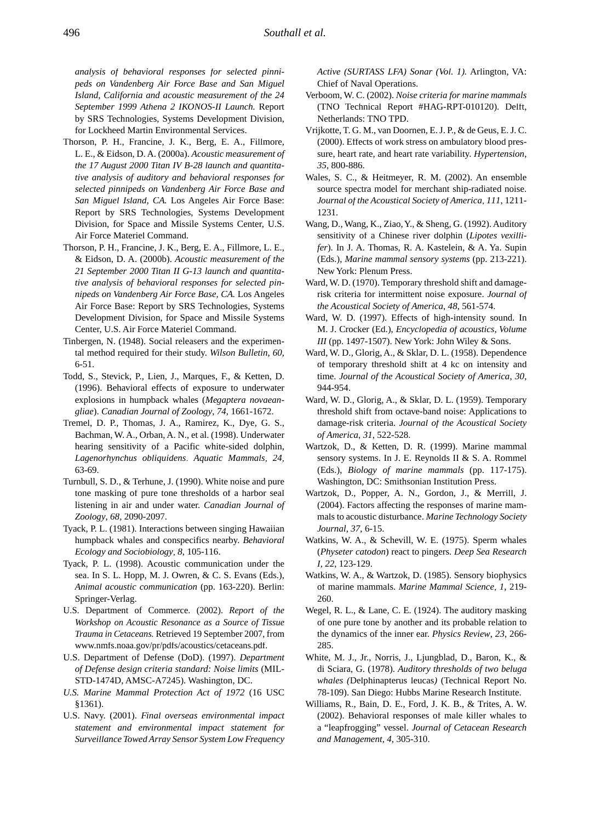*analysis of behavioral responses for selected pinnipeds on Vandenberg Air Force Base and San Miguel Island, California and acoustic measurement of the 24 September 1999 Athena 2 IKONOS-II Launch.* Report by SRS Technologies, Systems Development Division, for Lockheed Martin Environmental Services.

- Thorson, P. H., Francine, J. K., Berg, E. A., Fillmore, L. E., & Eidson, D. A. (2000a). *Acoustic measurement of the 17 August 2000 Titan IV B-28 launch and quantitative analysis of auditory and behavioral responses for selected pinnipeds on Vandenberg Air Force Base and San Miguel Island, CA.* Los Angeles Air Force Base: Report by SRS Technologies, Systems Development Division, for Space and Missile Systems Center, U.S. Air Force Materiel Command.
- Thorson, P. H., Francine, J. K., Berg, E. A., Fillmore, L. E., & Eidson, D. A. (2000b). *Acoustic measurement of the 21 September 2000 Titan II G-13 launch and quantitative analysis of behavioral responses for selected pinnipeds on Vandenberg Air Force Base, CA.* Los Angeles Air Force Base: Report by SRS Technologies, Systems Development Division, for Space and Missile Systems Center, U.S. Air Force Materiel Command.
- Tinbergen, N. (1948). Social releasers and the experimental method required for their study. *Wilson Bulletin*, *60*, 6-51.
- Todd, S., Stevick, P., Lien, J., Marques, F., & Ketten, D. (1996). Behavioral effects of exposure to underwater explosions in humpback whales (*Megaptera novaeangliae*). *Canadian Journal of Zoology*, *74*, 1661-1672.
- Tremel, D. P., Thomas, J. A., Ramirez, K., Dye, G. S., Bachman, W. A., Orban, A. N., et al. (1998). Underwater hearing sensitivity of a Pacific white-sided dolphin, *Lagenorhynchus obliquidens*. *Aquatic Mammals*, *24*, 63-69.
- Turnbull, S. D., & Terhune, J. (1990). White noise and pure tone masking of pure tone thresholds of a harbor seal listening in air and under water. *Canadian Journal of Zoology*, *68*, 2090-2097.
- Tyack, P. L. (1981). Interactions between singing Hawaiian humpback whales and conspecifics nearby. *Behavioral Ecology and Sociobiology*, *8*, 105-116.
- Tyack, P. L. (1998). Acoustic communication under the sea. In S. L. Hopp, M. J. Owren, & C. S. Evans (Eds.), *Animal acoustic communication* (pp. 163-220). Berlin: Springer-Verlag.
- U.S. Department of Commerce. (2002). *Report of the Workshop on Acoustic Resonance as a Source of Tissue Trauma in Cetaceans.* Retrieved 19 September 2007, from www.nmfs.noaa.gov/pr/pdfs/acoustics/cetaceans.pdf.
- U.S. Department of Defense (DoD). (1997). *Department of Defense design criteria standard: Noise limits* (MIL-STD-1474D, AMSC-A7245). Washington, DC.
- *U.S. Marine Mammal Protection Act of 1972* (16 USC §1361).
- U.S. Navy. (2001). *Final overseas environmental impact statement and environmental impact statement for Surveillance Towed Array Sensor System Low Frequency*

*Active (SURTASS LFA) Sonar (Vol. 1).* Arlington, VA: Chief of Naval Operations.

- Verboom, W. C. (2002). *Noise criteria for marine mammals*  (TNO Technical Report #HAG-RPT-010120). Delft, Netherlands: TNO TPD.
- Vrijkotte, T. G. M., van Doornen, E. J. P., & de Geus, E. J. C. (2000). Effects of work stress on ambulatory blood pressure, heart rate, and heart rate variability. *Hypertension*, *35*, 800-886.
- Wales, S. C., & Heitmeyer, R. M. (2002). An ensemble source spectra model for merchant ship-radiated noise. *Journal of the Acoustical Society of America*, *111*, 1211- 1231.
- Wang, D., Wang, K., Ziao, Y., & Sheng, G. (1992). Auditory sensitivity of a Chinese river dolphin (*Lipotes vexillifer*). In J. A. Thomas, R. A. Kastelein, & A. Ya. Supin (Eds.), *Marine mammal sensory systems* (pp. 213-221). New York: Plenum Press.
- Ward, W. D. (1970). Temporary threshold shift and damagerisk criteria for intermittent noise exposure. *Journal of the Acoustical Society of America*, *48*, 561-574.
- Ward, W. D. (1997). Effects of high-intensity sound. In M. J. Crocker (Ed.), *Encyclopedia of acoustics, Volume III* (pp. 1497-1507). New York: John Wiley & Sons.
- Ward, W. D., Glorig, A., & Sklar, D. L. (1958). Dependence of temporary threshold shift at 4 kc on intensity and time. *Journal of the Acoustical Society of America*, *30*, 944-954.
- Ward, W. D., Glorig, A., & Sklar, D. L. (1959). Temporary threshold shift from octave-band noise: Applications to damage-risk criteria. *Journal of the Acoustical Society of America*, *31*, 522-528.
- Wartzok, D., & Ketten, D. R. (1999). Marine mammal sensory systems. In J. E. Reynolds II & S. A. Rommel (Eds.), *Biology of marine mammals* (pp. 117-175). Washington, DC: Smithsonian Institution Press.
- Wartzok, D., Popper, A. N., Gordon, J., & Merrill, J. (2004). Factors affecting the responses of marine mammals to acoustic disturbance. *Marine Technology Society Journal*, *37*, 6-15.
- Watkins, W. A., & Schevill, W. E. (1975). Sperm whales (*Physeter catodon*) react to pingers. *Deep Sea Research I*, *22*, 123-129.
- Watkins, W. A., & Wartzok, D. (1985). Sensory biophysics of marine mammals. *Marine Mammal Science*, *1*, 219- 260.
- Wegel, R. L., & Lane, C. E. (1924). The auditory masking of one pure tone by another and its probable relation to the dynamics of the inner ear. *Physics Review*, *23*, 266- 285.
- White, M. J., Jr., Norris, J., Ljungblad, D., Baron, K., & di Sciara, G. (1978). *Auditory thresholds of two beluga whales (*Delphinapterus leucas*)* (Technical Report No. 78-109). San Diego: Hubbs Marine Research Institute.
- Williams, R., Bain, D. E., Ford, J. K. B., & Trites, A. W. (2002). Behavioral responses of male killer whales to a "leapfrogging" vessel. *Journal of Cetacean Research and Management, 4*, 305-310.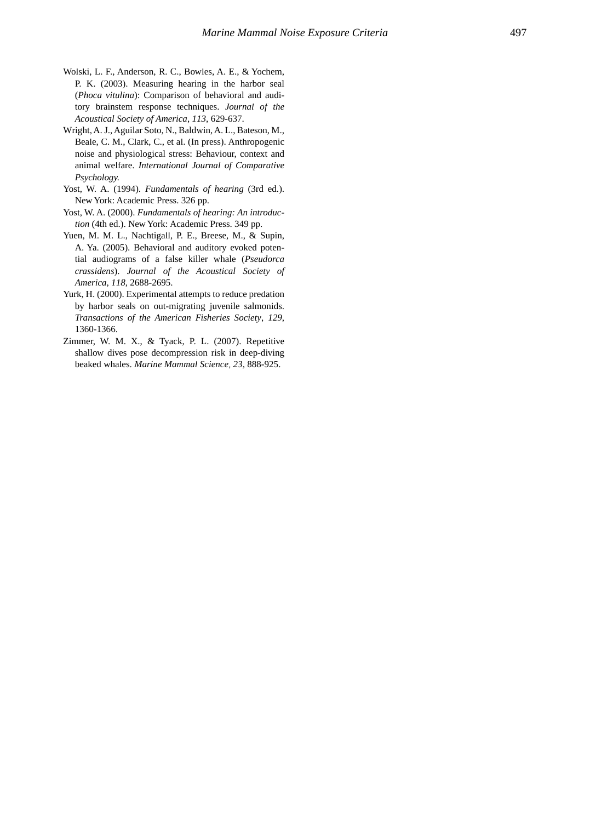- Wolski, L. F., Anderson, R. C., Bowles, A. E., & Yochem, P. K. (2003). Measuring hearing in the harbor seal (*Phoca vitulina*): Comparison of behavioral and auditory brainstem response techniques. *Journal of the Acoustical Society of America*, *113*, 629-637.
- Wright, A. J., Aguilar Soto, N., Baldwin, A. L., Bateson, M., Beale, C. M., Clark, C., et al. (In press). Anthropogenic noise and physiological stress: Behaviour, context and animal welfare. *International Journal of Comparative Psychology.*
- Yost, W. A. (1994). *Fundamentals of hearing* (3rd ed.). New York: Academic Press. 326 pp.
- Yost, W. A. (2000). *Fundamentals of hearing: An introduction* (4th ed.). New York: Academic Press. 349 pp.
- Yuen, M. M. L., Nachtigall, P. E., Breese, M., & Supin, A. Ya. (2005). Behavioral and auditory evoked potential audiograms of a false killer whale (*Pseudorca crassidens*). *Journal of the Acoustical Society of America*, *118*, 2688-2695.
- Yurk, H. (2000). Experimental attempts to reduce predation by harbor seals on out-migrating juvenile salmonids. *Transactions of the American Fisheries Society*, *129*, 1360-1366.
- Zimmer, W. M. X., & Tyack, P. L. (2007). Repetitive shallow dives pose decompression risk in deep-diving beaked whales. *Marine Mammal Science*, *23*, 888-925.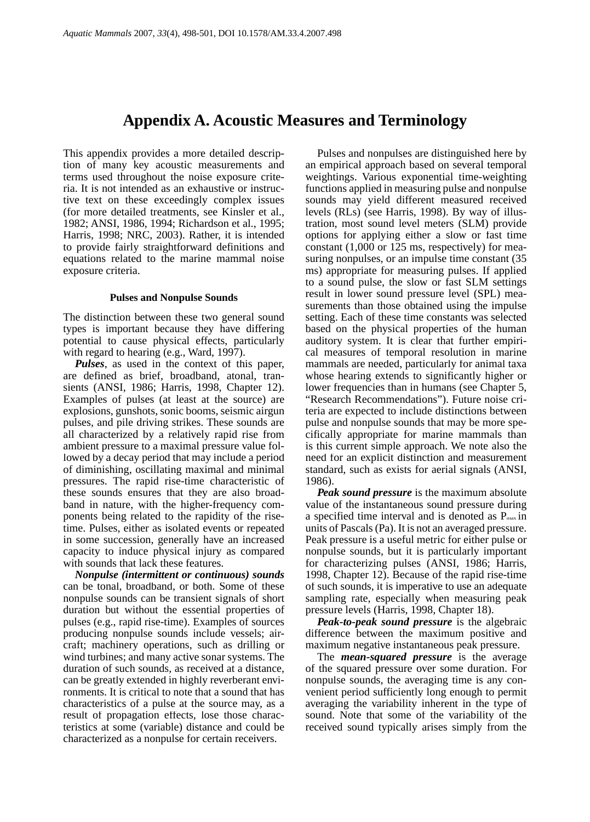## **Appendix A. Acoustic Measures and Terminology**

This appendix provides a more detailed description of many key acoustic measurements and terms used throughout the noise exposure criteria. It is not intended as an exhaustive or instructive text on these exceedingly complex issues (for more detailed treatments, see Kinsler et al., 1982; ANSI, 1986, 1994; Richardson et al., 1995; Harris, 1998; NRC, 2003). Rather, it is intended to provide fairly straightforward definitions and equations related to the marine mammal noise exposure criteria.

#### **Pulses and Nonpulse Sounds**

The distinction between these two general sound types is important because they have differing potential to cause physical effects, particularly with regard to hearing (e.g., Ward, 1997).

*Pulses*, as used in the context of this paper, are defined as brief, broadband, atonal, transients (ANSI, 1986; Harris, 1998, Chapter 12). Examples of pulses (at least at the source) are explosions, gunshots, sonic booms, seismic airgun pulses, and pile driving strikes. These sounds are all characterized by a relatively rapid rise from ambient pressure to a maximal pressure value followed by a decay period that may include a period of diminishing, oscillating maximal and minimal pressures. The rapid rise-time characteristic of these sounds ensures that they are also broadband in nature, with the higher-frequency components being related to the rapidity of the risetime. Pulses, either as isolated events or repeated in some succession, generally have an increased capacity to induce physical injury as compared with sounds that lack these features.

*Nonpulse (intermittent or continuous) sounds* can be tonal, broadband, or both. Some of these nonpulse sounds can be transient signals of short duration but without the essential properties of pulses (e.g., rapid rise-time). Examples of sources producing nonpulse sounds include vessels; aircraft; machinery operations, such as drilling or wind turbines; and many active sonar systems. The duration of such sounds, as received at a distance, can be greatly extended in highly reverberant environments. It is critical to note that a sound that has characteristics of a pulse at the source may, as a result of propagation effects, lose those characteristics at some (variable) distance and could be characterized as a nonpulse for certain receivers.

Pulses and nonpulses are distinguished here by an empirical approach based on several temporal weightings. Various exponential time-weighting functions applied in measuring pulse and nonpulse sounds may yield different measured received levels (RLs) (see Harris, 1998). By way of illustration, most sound level meters (SLM) provide options for applying either a slow or fast time constant (1,000 or 125 ms, respectively) for measuring nonpulses, or an impulse time constant (35 ms) appropriate for measuring pulses. If applied to a sound pulse, the slow or fast SLM settings result in lower sound pressure level (SPL) measurements than those obtained using the impulse setting. Each of these time constants was selected based on the physical properties of the human auditory system. It is clear that further empirical measures of temporal resolution in marine mammals are needed, particularly for animal taxa whose hearing extends to significantly higher or lower frequencies than in humans (see Chapter 5, "Research Recommendations"). Future noise criteria are expected to include distinctions between pulse and nonpulse sounds that may be more specifically appropriate for marine mammals than is this current simple approach. We note also the need for an explicit distinction and measurement standard, such as exists for aerial signals (ANSI, 1986).

*Peak sound pressure* is the maximum absolute value of the instantaneous sound pressure during a specified time interval and is denoted as Pmax in units of Pascals (Pa). It is not an averaged pressure. Peak pressure is a useful metric for either pulse or nonpulse sounds, but it is particularly important for characterizing pulses (ANSI, 1986; Harris, 1998, Chapter 12). Because of the rapid rise-time of such sounds, it is imperative to use an adequate sampling rate, especially when measuring peak pressure levels (Harris, 1998, Chapter 18).

*Peak-to-peak sound pressure* is the algebraic difference between the maximum positive and maximum negative instantaneous peak pressure.

The *mean-squared pressure* is the average of the squared pressure over some duration. For nonpulse sounds, the averaging time is any convenient period sufficiently long enough to permit averaging the variability inherent in the type of sound. Note that some of the variability of the received sound typically arises simply from the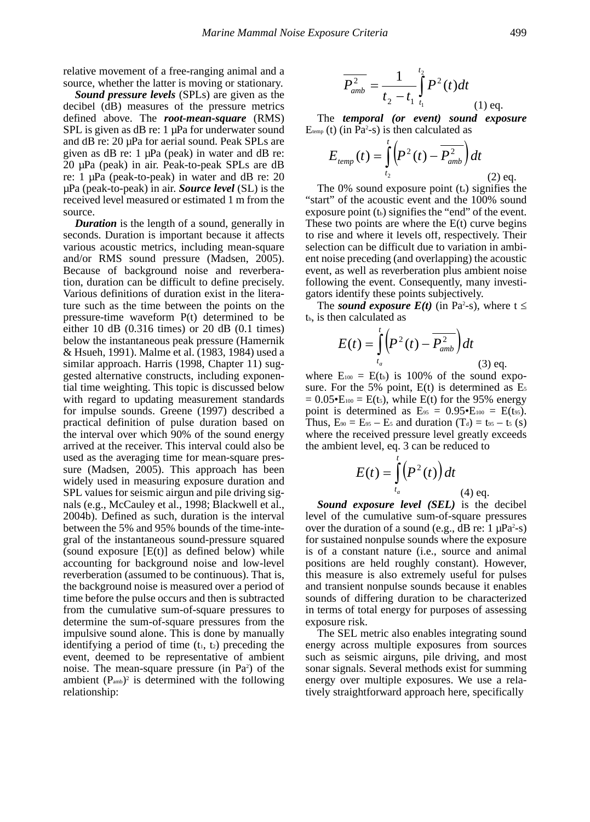relative movement of a free-ranging animal and a source, whether the latter is moving or stationary.

*Sound pressure levels* (SPLs) are given as the decibel (dB) measures of the pressure metrics defined above. The *root-mean-square* (RMS) SPL is given as dB re: 1  $\mu$ Pa for underwater sound and dB re: 20 µPa for aerial sound. Peak SPLs are given as dB re: 1 µPa (peak) in water and dB re: 20 µPa (peak) in air. Peak-to-peak SPLs are dB re: 1 µPa (peak-to-peak) in water and dB re: 20 µPa (peak-to-peak) in air. *Source level* (SL) is the received level measured or estimated 1 m from the source.

*Duration* is the length of a sound, generally in seconds. Duration is important because it affects various acoustic metrics, including mean-square and/or RMS sound pressure (Madsen, 2005). Because of background noise and reverberation, duration can be difficult to define precisely. Various definitions of duration exist in the literature such as the time between the points on the pressure-time waveform P(t) determined to be either 10 dB (0.316 times) or 20 dB (0.1 times) below the instantaneous peak pressure (Hamernik & Hsueh, 1991). Malme et al. (1983, 1984) used a similar approach. Harris (1998, Chapter 11) suggested alternative constructs, including exponential time weighting. This topic is discussed below with regard to updating measurement standards for impulse sounds. Greene (1997) described a practical definition of pulse duration based on the interval over which 90% of the sound energy arrived at the receiver. This interval could also be used as the averaging time for mean-square pressure (Madsen, 2005). This approach has been widely used in measuring exposure duration and SPL values for seismic airgun and pile driving signals (e.g., McCauley et al., 1998; Blackwell et al., 2004b). Defined as such, duration is the interval between the 5% and 95% bounds of the time-integral of the instantaneous sound-pressure squared (sound exposure  $[E(t)]$  as defined below) while accounting for background noise and low-level reverberation (assumed to be continuous). That is, the background noise is measured over a period of time before the pulse occurs and then is subtracted from the cumulative sum-of-square pressures to determine the sum-of-square pressures from the impulsive sound alone. This is done by manually identifying a period of time  $(t_1, t_2)$  preceding the event, deemed to be representative of ambient noise. The mean-square pressure (in  $Pa<sup>2</sup>$ ) of the ambient  $(P_{amb})^2$  is determined with the following relationship:

$$
\overline{P_{amb}^2} = \frac{1}{t_2 - t_1} \int_{t_1}^{t_2} P^2(t) dt
$$
\n(1) eq.

The *temporal (or event) sound exposure*  $E_{temp}$  (t) (in Pa<sup>2</sup>-s) is then calculated as

$$
E_{temp}(t) = \int_{t_2}^{t} \left( P^2(t) - \overline{P_{amb}^2} \right) dt
$$
\n(2) eq.

The 0% sound exposure point (t<sub>a</sub>) signifies the art<sup>1</sup> of the acoustic event and the 100% sound "start" of the acoustic event and the 100% sound event, as well as reverberation plus ambient noise<br>following the event. Consequently, many investi-<br>gators identify these points subjectively. selection can be difficult due to variation in ambi-<br>ent noise preceding (and overlapping) the acoustic gators identify these points subjectively. event, as well as reverberation plus ambient noise to rise and where it levels off, respectively. Their *defiered in the difficult due to variation in ambi-<br>ent noise preceding (and overlapping) the acoustic* exposure point  $(t_b)$  signifies the "end" of the event. These two points are where the  $E(t)$  curve begins

The *sound exposure*  $E(t)$  (in Pa<sup>2</sup>-s), where  $t \le$ tb, is then calculated as

$$
E(t) = \int_{t_a}^{t} \left( P^2(t) - \overline{P_{amb}^2} \right) dt
$$
\n(3) eq.

where  $E_{100} = E(t_b)$  is 100% of the sound expo-<br>sure. For the 5% point. E(t) is determined as  $E_5$ sure. For the 5% point,  $E(t)$  is determined as  $E_5$ eq. 3 can be reduce .<br>∙d Thus,  $E_{90} = E_{95} - E_{5}$  and duration  $(1_d) = 65 - 15$  (*S)*<br>where the received pressure level greatly exceeds ve<br>' ived pi:<br>vel, eq.<br>, *Thus,*  $E_{90} = E_{95} - E_{5}$  and duration  $(T_{d}) = t_{95} - t_{5}$  (s) where the received pressure level greatly of<br>the ambient level, eq. 3 can be reduced to  $= 0.05 \cdot E_{100} = E(t_5)$ , while  $E(t)$  for the 95% energy point is determined as  $E_{95} = 0.95 \cdot E_{100} = E(t_{95})$ .

$$
E(t) = \int_{t_a}^{t} (P^2(t)) dt
$$
\n(4) eq.

eq.

**EVELOCE CONCLUS** IS the decider level of the cumulative sum-of-square pressures *t<sub>a</sub>* (4) eq. (3) (4) eq. *Sound exposure level* (*SEL*) is the decibel and transient nonpulse sounds because it enables<br>and transient nonpulse sounds because it enables Figure 3. Second the energy for purposes of assessing<br>exposure risk. ordination is example in terms of differing duration to be characterized<br>in terms of total energy for purposes of assessing Francisco and *p* constant). However,<br>measure is also extremely useful for pulses<br>repeiont poppulse sounds because it opphles are field foughly constant).<br> *reformals* extremely useful f re<br>∵ over the duration of a sound (e.g., dB re:  $1 \mu Pa^2-s$ )<br>for sustained nonpulse sounds where the exposure<br>is of a constant nature (i.e., source and animal  $\frac{1}{\alpha}$ hever of the cumulative sum-of-square pressures<br>over the duration of a sound (e.g., dB re:  $1 \mu Pa^2$ -s) µ<br>∙ is of a constant nature (i.e., source and animal<br>positions are held roughly constant). However .<br>∫ €<br>∞ا positions are neid roughly constant). However, this measure is also extremely useful for pulses *r* (i.e., s<br>ghly co<br>stremely<br>sounds<br>ration to positions are held roughly constant). However, exposure risk.

tively straightforward approach here, specifically sonar signals. Several methods exist for summing<br>energy over multiple exposures. We use a rela-<br>tively straightforward approach here, specifically energy across multiple exposures from sources<br>such as seismic airguns, pile driving, and most<br>sonar signals. Several methods exist for summing energy across multiple exposures from sources<br>such as seismic airguns, pile driving, and most posure risk.<br>The SEL metric also enables integrating sound energy across multiple exposures from sources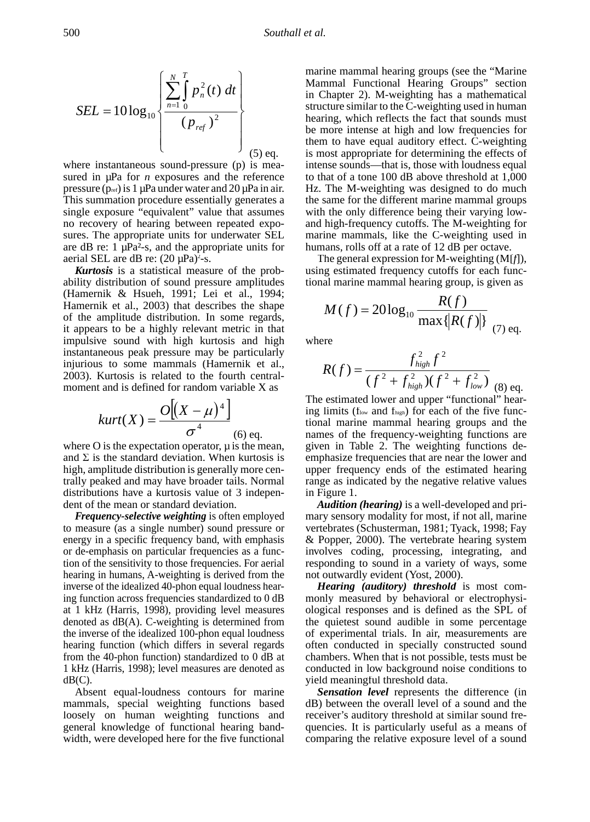$$
SEL = 10 \log_{10} \left\{ \frac{\sum_{n=1}^{N} \int_{0}^{T} p_n^{2}(t) dt}{(p_{ref})^{2}} \right\}
$$
\n
$$
(5) \text{ eq.}
$$

Find summation procedure essentially generates a the same for the direction<br>single exposure "equivalent" value that assumes with the only difference be<br>no recovery of hearing between repeated expo-<br>and high-frequency cutof sures. The appropriate units for underwater SEL no recovery of hearing between repeated expowhere instantaneous sound-pressure (p) is measured in  $\mu$ Pa for *n* exposures and the reference pressure  $(p_{ref})$  is 1 µPa under water and 20 µPa in air. Hz. The M-weighting which is a the same for the different procedure essentially generates a This summation procedure essentially generates a are dB re:  $1 \mu Pa^2$ -s, and the appropriate units for aerial SEL are dB re:  $(20 \mu Pa)^2$ -s.

of the amplitude distribution. In some regards,  $\rho$ Hamernik et al., 2003) that describes the shape<br>of the amplitude distribution. In some regards,<br> $M(f) = 20\log_{10} \frac{1}{n}$ moment and is defined for random variable X as<br> $\Omega$   $\left[ (x, y) \right]$ *Kurtosis* is a statistical measure of the probability distribution of sound pressure amplitudes (Hamernik & Hsueh, 1991; Lei et al., 1994; ° it appears to be a highly relevant metric in that It appears to be a highly relevant metric in that<br>impulsive sound with high kurtosis and high instantaneous peak pressure may be particularly injurious to some mammals (Hamernik et al., 2003). Kurtosis is related to the fourth central-°  $\frac{1}{2}$ on of so *n*

$$
kurt(X) = \frac{O[(X - \mu)^4]}{\sigma^4}
$$
 (6) eq.

stributions have a kurtosis value of 3 indepen-<br>ent of the mean or standard deviation.<br>**Frequency-selective weighting** is often employed distributions have a kurtosis value of 3 indepen-<br>dent of the mean or standard deviation. Audition (hearing) is where O is the expectation operator,  $\mu$  is the mean, and  $\Sigma$  is the standard deviation. When kurtosis is high, amplitude distribution is generally more centrally peaked and may have broader tails. Normal dent of the mean or standard deviation.

inverse of the idealized 40-phon equal<br>ing function across frequencies standa<br>at 1 kHz (Harris, 1998), providing 1 inverse of the idealized 40-phon equal loudness hear*high low ffff* at 1 kHz (Harris, 1998), providing level measures ing function across frequencies standardized to 0 dB monly measured by beat 1 kHz (Harris, 1998), providing level measures ological responses and to measure (as a single number) sound pressure or energy in a specific frequency band, with emphasis or de-emphasis on particular frequencies as a function of the sensitivity to those frequencies. For aerial hearing in humans, A-weighting is derived from the denoted as dB(A). C-weighting is determined from the inverse of the idealized 100-phon equal loudness hearing function (which differs in several regards from the 40-phon function) standardized to 0 dB at 1 kHz (Harris, 1998); level measures are denoted as  $dB(C)$ .

Absent equal-loudness contours for marine mammals, special weighting functions based loosely on human weighting functions and general knowledge of functional hearing bandwidth, were developed here for the five functional

 $\text{SEL} = 10 \log_{10} \left\{ \frac{2.1 \text{ J} \cdot \text{m}^{-3}}{n-1.0 \text{ s}} \right\}$  in Chapter 2). M-weighting used in human structure similar to the C-weighting used in human structure similar to the C-weighting used in human *dt*<br>  $\left| \sum_{n=1}^{\infty} \int_{0}^{2} p_n^2(t) dt \right|$  Mammal Functional Hearing Groups" section<br>
structure similar to the C-weighting used in human marine mammal hearing groups (see the "Marine marine mammal hearing groups (see the "Marine"<br>Mammal Functional Hearing Groups" section<br>in Chaptar 2) M waishting has a mathematical structure similar to the C-weighting used in human<br>hearing, which reflects the fact that sounds must<br>*p* be more intense at high and low frequencies for them to have equal auditory effect. C-weighting is most appropriate for determining the effects of intense sounds—that is, those with loudness equal to that of a tone  $100$  dB above threshold at  $1,000$ <br> $\overline{Hz}$ . The M weighting was designed to do much to that of a tone 100 dB above threshold at 1,000<br>Hz. The M-weighting was designed to do much the same for the different marine mammal groups with the only difference being their varying low-<br>and high-frequency cutoffs. The M-weighting for and high-frequency cutoffs. The M-weighting for marine mammals, like the C-weighting used in humans, rolls off at a rate of 12 dB per octave. *p* ine mammal hearing groups (see the "Marine"<br>nmal Eunctional Hearing Groups" section

> The general expression for M-weighting (M[*f*]), In general expression for the weighting (*FR*<sub>*FIFI</sub>*), using estimated frequency cutoffs for each func-<br>tional marine mammal hearing group, is given as</sub> tional marine mammal hearing group, is given as

$$
M(f) = 20\log_{10}\frac{R(f)}{\max\{|R(f)|\}}\bigg(7\bigg)
$$

where

$$
R(f) = \frac{f_{high}^2 f^2}{(f^2 + f_{high}^2)(f^2 + f_{low}^2)}
$$
 (8) eq.

 $\frac{O[(X-\mu)^4]}{P(X-\mu)^4}$  The estimated lower and upper "functional" hear-<br>ing limits (flow and fhigh) for each of the five func-<br>time and manipulate interval health continuously begins a state of the five  $kurt(X) = \frac{O[(X - \mu)^4]}{4}$  ing limits (flow and flugh) for each of the five func-<br>tional marine mammal hearing groups and the The estimated lower and upper "functional" hear-<br>in a limit  $(f \cdot \text{gcd } f)$  of graph of the first function names of the frequency-weighting functions are given in Table 2. The weighting functions deemphasize frequencies that are near the lower and upper frequency ends of the estimated hearing range as indicated by the negative relative values in Figure 1.

> *Audition (hearing)* is a well-developed and primary sensory modality for most, if not all, marine vertebrates (Schusterman, 1981; Tyack, 1998; Fay & Popper, 2000). The vertebrate hearing system involves coding, processing, integrating, and responding to sound in a variety of ways, some not outwardly evident (Yost, 2000).

> *Hearing (auditory) threshold* is most commonly measured by behavioral or electrophysiological responses and is defined as the SPL of the quietest sound audible in some percentage of experimental trials. In air, measurements are often conducted in specially constructed sound chambers. When that is not possible, tests must be conducted in low background noise conditions to yield meaningful threshold data.

> *Sensation level* represents the difference (in dB) between the overall level of a sound and the receiver's auditory threshold at similar sound frequencies. It is particularly useful as a means of comparing the relative exposure level of a sound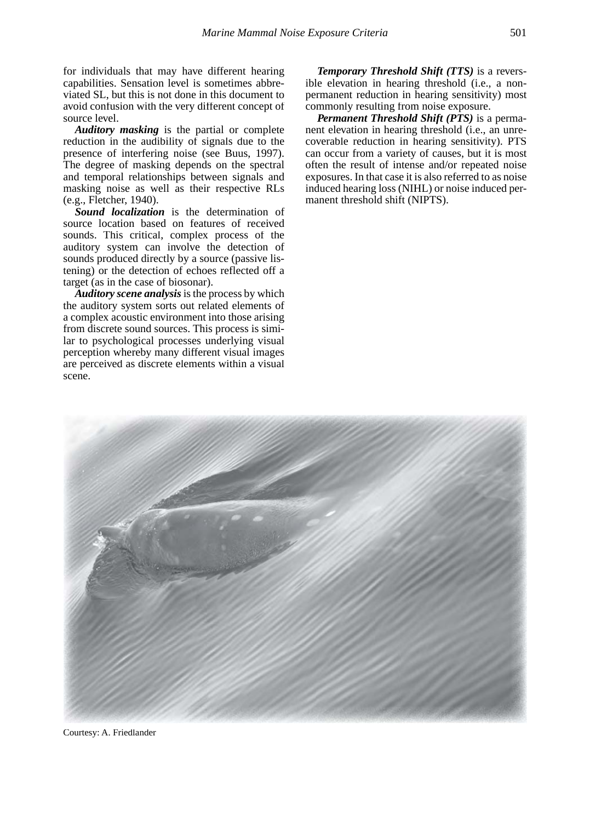for individuals that may have different hearing capabilities. Sensation level is sometimes abbreviated SL, but this is not done in this document to avoid confusion with the very different concept of source level.

*Auditory masking* is the partial or complete reduction in the audibility of signals due to the presence of interfering noise (see Buus, 1997). The degree of masking depends on the spectral and temporal relationships between signals and masking noise as well as their respective RLs (e.g., Fletcher, 1940).

*Sound localization* is the determination of source location based on features of received sounds. This critical, complex process of the auditory system can involve the detection of sounds produced directly by a source (passive listening) or the detection of echoes reflected off a target (as in the case of biosonar).

*Auditory scene analysis* is the process by which the auditory system sorts out related elements of a complex acoustic environment into those arising from discrete sound sources. This process is similar to psychological processes underlying visual perception whereby many different visual images are perceived as discrete elements within a visual scene.

*Temporary Threshold Shift (TTS)* is a reversible elevation in hearing threshold (i.e., a nonpermanent reduction in hearing sensitivity) most commonly resulting from noise exposure.

*Permanent Threshold Shift (PTS)* is a permanent elevation in hearing threshold (i.e., an unrecoverable reduction in hearing sensitivity). PTS can occur from a variety of causes, but it is most often the result of intense and/or repeated noise exposures. In that case it is also referred to as noise induced hearing loss (NIHL) or noise induced permanent threshold shift (NIPTS).



Courtesy: A. Friedlander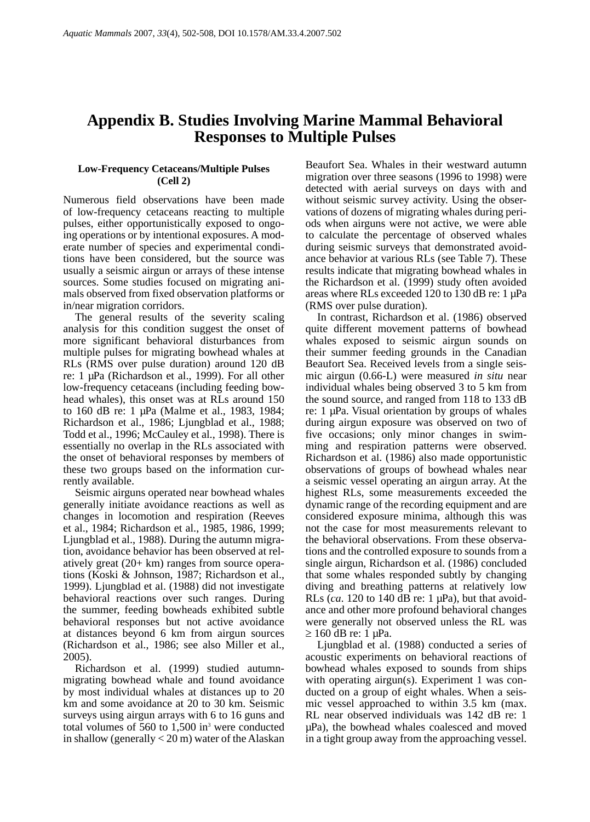# **Appendix B. Studies Involving Marine Mammal Behavioral Responses to Multiple Pulses**

## **Low-Frequency Cetaceans/Multiple Pulses (Cell 2)**

Numerous field observations have been made of low-frequency cetaceans reacting to multiple pulses, either opportunistically exposed to ongoing operations or by intentional exposures. A moderate number of species and experimental conditions have been considered, but the source was usually a seismic airgun or arrays of these intense sources. Some studies focused on migrating animals observed from fixed observation platforms or in/near migration corridors.

The general results of the severity scaling analysis for this condition suggest the onset of more significant behavioral disturbances from multiple pulses for migrating bowhead whales at RLs (RMS over pulse duration) around 120 dB re: 1 µPa (Richardson et al., 1999). For all other low-frequency cetaceans (including feeding bowhead whales), this onset was at RLs around 150 to 160 dB re: 1 µPa (Malme et al., 1983, 1984; Richardson et al., 1986; Ljungblad et al., 1988; Todd et al., 1996; McCauley et al., 1998). There is essentially no overlap in the RLs associated with the onset of behavioral responses by members of these two groups based on the information currently available.

Seismic airguns operated near bowhead whales generally initiate avoidance reactions as well as changes in locomotion and respiration (Reeves et al., 1984; Richardson et al., 1985, 1986, 1999; Ljungblad et al., 1988). During the autumn migration, avoidance behavior has been observed at relatively great (20+ km) ranges from source operations (Koski & Johnson, 1987; Richardson et al., 1999). Ljungblad et al. (1988) did not investigate behavioral reactions over such ranges. During the summer, feeding bowheads exhibited subtle behavioral responses but not active avoidance at distances beyond 6 km from airgun sources (Richardson et al., 1986; see also Miller et al., 2005).

Richardson et al. (1999) studied autumnmigrating bowhead whale and found avoidance by most individual whales at distances up to 20 km and some avoidance at 20 to 30 km. Seismic surveys using airgun arrays with 6 to 16 guns and total volumes of  $560$  to  $1,500$  in<sup>3</sup> were conducted in shallow (generally < 20 m) water of the Alaskan

Beaufort Sea. Whales in their westward autumn migration over three seasons (1996 to 1998) were detected with aerial surveys on days with and without seismic survey activity. Using the observations of dozens of migrating whales during periods when airguns were not active, we were able to calculate the percentage of observed whales during seismic surveys that demonstrated avoidance behavior at various RLs (see Table 7). These results indicate that migrating bowhead whales in the Richardson et al. (1999) study often avoided areas where RLs exceeded 120 to 130 dB re: 1 µPa (RMS over pulse duration).

In contrast, Richardson et al. (1986) observed quite different movement patterns of bowhead whales exposed to seismic airgun sounds on their summer feeding grounds in the Canadian Beaufort Sea. Received levels from a single seismic airgun (0.66-L) were measured *in situ* near individual whales being observed 3 to 5 km from the sound source, and ranged from 118 to 133 dB re: 1 µPa. Visual orientation by groups of whales during airgun exposure was observed on two of five occasions; only minor changes in swimming and respiration patterns were observed. Richardson et al. (1986) also made opportunistic observations of groups of bowhead whales near a seismic vessel operating an airgun array. At the highest RLs, some measurements exceeded the dynamic range of the recording equipment and are considered exposure minima, although this was not the case for most measurements relevant to the behavioral observations. From these observations and the controlled exposure to sounds from a single airgun, Richardson et al. (1986) concluded that some whales responded subtly by changing diving and breathing patterns at relatively low RLs ( $ca$ . 120 to 140 dB re: 1  $\mu$ Pa), but that avoidance and other more profound behavioral changes were generally not observed unless the RL was  $\geq 160$  dB re: 1  $\mu$ Pa.

Ljungblad et al. (1988) conducted a series of acoustic experiments on behavioral reactions of bowhead whales exposed to sounds from ships with operating airgun(s). Experiment 1 was conducted on a group of eight whales. When a seismic vessel approached to within 3.5 km (max. RL near observed individuals was 142 dB re: 1 µPa), the bowhead whales coalesced and moved in a tight group away from the approaching vessel.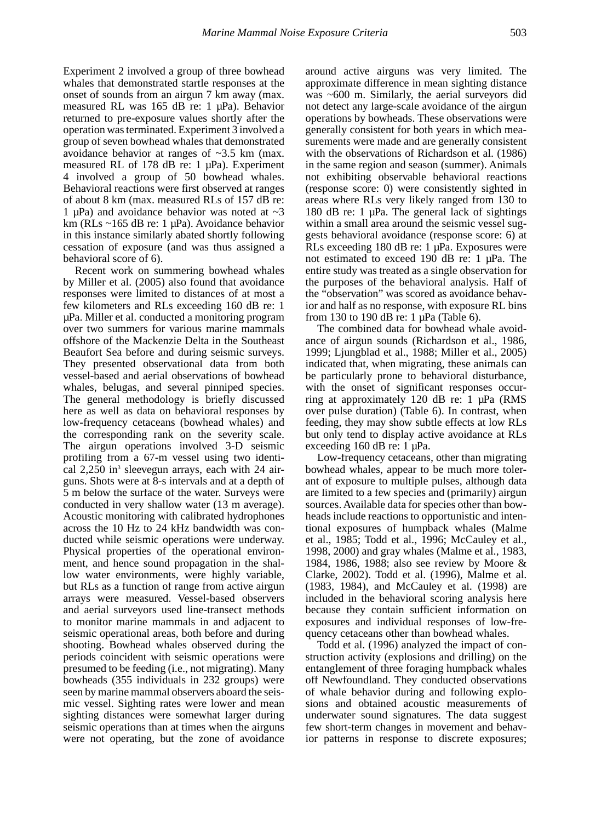Experiment 2 involved a group of three bowhead whales that demonstrated startle responses at the onset of sounds from an airgun 7 km away (max. measured RL was 165 dB re: 1 µPa). Behavior returned to pre-exposure values shortly after the operation was terminated. Experiment 3 involved a group of seven bowhead whales that demonstrated avoidance behavior at ranges of ~3.5 km (max. measured RL of 178 dB re: 1 µPa). Experiment 4 involved a group of 50 bowhead whales. Behavioral reactions were first observed at ranges of about 8 km (max. measured RLs of 157 dB re: 1  $\mu$ Pa) and avoidance behavior was noted at  $\sim$ 3 km (RLs ~165 dB re: 1 µPa). Avoidance behavior in this instance similarly abated shortly following cessation of exposure (and was thus assigned a behavioral score of 6).

Recent work on summering bowhead whales by Miller et al. (2005) also found that avoidance responses were limited to distances of at most a few kilometers and RLs exceeding 160 dB re: 1 µPa. Miller et al. conducted a monitoring program over two summers for various marine mammals offshore of the Mackenzie Delta in the Southeast Beaufort Sea before and during seismic surveys. They presented observational data from both vessel-based and aerial observations of bowhead whales, belugas, and several pinniped species. The general methodology is briefly discussed here as well as data on behavioral responses by low-frequency cetaceans (bowhead whales) and the corresponding rank on the severity scale. The airgun operations involved 3-D seismic profiling from a 67-m vessel using two identical 2,250 in<sup>3</sup> sleevegun arrays, each with 24 airguns. Shots were at 8-s intervals and at a depth of 5 m below the surface of the water. Surveys were conducted in very shallow water (13 m average). Acoustic monitoring with calibrated hydrophones across the 10 Hz to 24 kHz bandwidth was conducted while seismic operations were underway. Physical properties of the operational environment, and hence sound propagation in the shallow water environments, were highly variable, but RLs as a function of range from active airgun arrays were measured. Vessel-based observers and aerial surveyors used line-transect methods to monitor marine mammals in and adjacent to seismic operational areas, both before and during shooting. Bowhead whales observed during the periods coincident with seismic operations were presumed to be feeding (i.e., not migrating). Many bowheads (355 individuals in 232 groups) were seen by marine mammal observers aboard the seismic vessel. Sighting rates were lower and mean sighting distances were somewhat larger during seismic operations than at times when the airguns were not operating, but the zone of avoidance around active airguns was very limited. The approximate difference in mean sighting distance was ~600 m. Similarly, the aerial surveyors did not detect any large-scale avoidance of the airgun operations by bowheads. These observations were generally consistent for both years in which measurements were made and are generally consistent with the observations of Richardson et al. (1986) in the same region and season (summer). Animals not exhibiting observable behavioral reactions (response score: 0) were consistently sighted in areas where RLs very likely ranged from 130 to 180 dB re:  $1 \mu$ Pa. The general lack of sightings within a small area around the seismic vessel suggests behavioral avoidance (response score: 6) at RLs exceeding 180 dB re: 1 µPa. Exposures were not estimated to exceed 190 dB re: 1 µPa. The entire study was treated as a single observation for the purposes of the behavioral analysis. Half of the "observation" was scored as avoidance behavior and half as no response, with exposure RL bins from 130 to 190 dB re: 1 µPa (Table 6).

The combined data for bowhead whale avoidance of airgun sounds (Richardson et al., 1986, 1999; Ljungblad et al., 1988; Miller et al., 2005) indicated that, when migrating, these animals can be particularly prone to behavioral disturbance, with the onset of significant responses occurring at approximately 120 dB re: 1 µPa (RMS over pulse duration) (Table 6). In contrast, when feeding, they may show subtle effects at low RLs but only tend to display active avoidance at RLs exceeding 160 dB re: 1 µPa.

Low-frequency cetaceans, other than migrating bowhead whales, appear to be much more tolerant of exposure to multiple pulses, although data are limited to a few species and (primarily) airgun sources. Available data for species other than bowheads include reactions to opportunistic and intentional exposures of humpback whales (Malme et al., 1985; Todd et al., 1996; McCauley et al., 1998, 2000) and gray whales (Malme et al., 1983, 1984, 1986, 1988; also see review by Moore & Clarke, 2002). Todd et al. (1996), Malme et al. (1983, 1984), and McCauley et al. (1998) are included in the behavioral scoring analysis here because they contain sufficient information on exposures and individual responses of low-frequency cetaceans other than bowhead whales.

Todd et al. (1996) analyzed the impact of construction activity (explosions and drilling) on the entanglement of three foraging humpback whales off Newfoundland. They conducted observations of whale behavior during and following explosions and obtained acoustic measurements of underwater sound signatures. The data suggest few short-term changes in movement and behavior patterns in response to discrete exposures;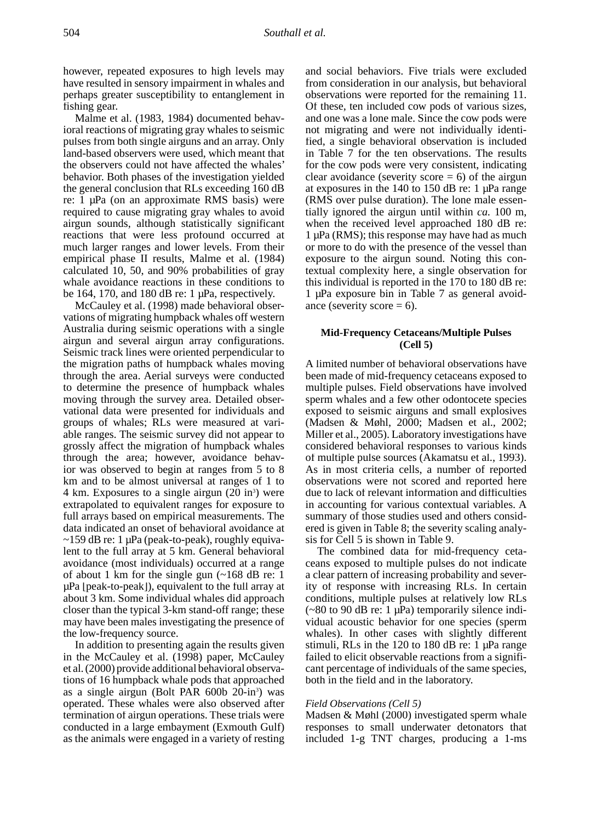however, repeated exposures to high levels may have resulted in sensory impairment in whales and perhaps greater susceptibility to entanglement in fishing gear.

Malme et al. (1983, 1984) documented behavioral reactions of migrating gray whales to seismic pulses from both single airguns and an array. Only land-based observers were used, which meant that the observers could not have affected the whales' behavior. Both phases of the investigation yielded the general conclusion that RLs exceeding 160 dB re: 1 µPa (on an approximate RMS basis) were required to cause migrating gray whales to avoid airgun sounds, although statistically significant reactions that were less profound occurred at much larger ranges and lower levels. From their empirical phase II results, Malme et al. (1984) calculated 10, 50, and 90% probabilities of gray whale avoidance reactions in these conditions to be 164, 170, and 180 dB re:  $1 \mu Pa$ , respectively.

McCauley et al. (1998) made behavioral observations of migrating humpback whales off western Australia during seismic operations with a single airgun and several airgun array configurations. Seismic track lines were oriented perpendicular to the migration paths of humpback whales moving through the area. Aerial surveys were conducted to determine the presence of humpback whales moving through the survey area. Detailed observational data were presented for individuals and groups of whales; RLs were measured at variable ranges. The seismic survey did not appear to grossly affect the migration of humpback whales through the area; however, avoidance behavior was observed to begin at ranges from 5 to 8 km and to be almost universal at ranges of 1 to  $4 \text{ km}$ . Exposures to a single airgun  $(20 \text{ in}^3)$  were extrapolated to equivalent ranges for exposure to full arrays based on empirical measurements. The data indicated an onset of behavioral avoidance at  $\sim$ 159 dB re: 1 µPa (peak-to-peak), roughly equivalent to the full array at 5 km. General behavioral avoidance (most individuals) occurred at a range of about 1 km for the single gun (~168 dB re: 1 µPa [peak-to-peak]), equivalent to the full array at about 3 km. Some individual whales did approach closer than the typical 3-km stand-off range; these may have been males investigating the presence of the low-frequency source.

In addition to presenting again the results given in the McCauley et al. (1998) paper, McCauley et al. (2000) provide additional behavioral observations of 16 humpback whale pods that approached as a single airgun (Bolt PAR 600b 20-in<sup>3</sup>) was operated. These whales were also observed after termination of airgun operations. These trials were conducted in a large embayment (Exmouth Gulf) as the animals were engaged in a variety of resting

and social behaviors. Five trials were excluded from consideration in our analysis, but behavioral observations were reported for the remaining 11. Of these, ten included cow pods of various sizes, and one was a lone male. Since the cow pods were not migrating and were not individually identified, a single behavioral observation is included in Table 7 for the ten observations. The results for the cow pods were very consistent, indicating clear avoidance (severity score  $= 6$ ) of the airgun at exposures in the 140 to 150 dB re: 1 µPa range (RMS over pulse duration). The lone male essentially ignored the airgun until within *ca.* 100 m, when the received level approached 180 dB re:  $1 \mu Pa$  (RMS); this response may have had as much or more to do with the presence of the vessel than exposure to the airgun sound. Noting this contextual complexity here, a single observation for this individual is reported in the 170 to 180 dB re: 1 µPa exposure bin in Table 7 as general avoidance (severity score  $= 6$ ).

#### **Mid-Frequency Cetaceans/Multiple Pulses (Cell 5)**

A limited number of behavioral observations have been made of mid-frequency cetaceans exposed to multiple pulses. Field observations have involved sperm whales and a few other odontocete species exposed to seismic airguns and small explosives (Madsen & Møhl, 2000; Madsen et al., 2002; Miller et al., 2005). Laboratory investigations have considered behavioral responses to various kinds of multiple pulse sources (Akamatsu et al., 1993). As in most criteria cells, a number of reported observations were not scored and reported here due to lack of relevant information and difficulties in accounting for various contextual variables. A summary of those studies used and others considered is given in Table 8; the severity scaling analysis for Cell 5 is shown in Table 9.

The combined data for mid-frequency cetaceans exposed to multiple pulses do not indicate a clear pattern of increasing probability and severity of response with increasing RLs. In certain conditions, multiple pulses at relatively low RLs  $(-80 \text{ to } 90 \text{ dB} \text{ re: } 1 \text{ µPa})$  temporarily silence individual acoustic behavior for one species (sperm whales). In other cases with slightly different stimuli, RLs in the 120 to 180 dB re: 1 µPa range failed to elicit observable reactions from a significant percentage of individuals of the same species, both in the field and in the laboratory.

#### *Field Observations (Cell 5)*

Madsen & Møhl (2000) investigated sperm whale responses to small underwater detonators that included 1-g TNT charges, producing a 1-ms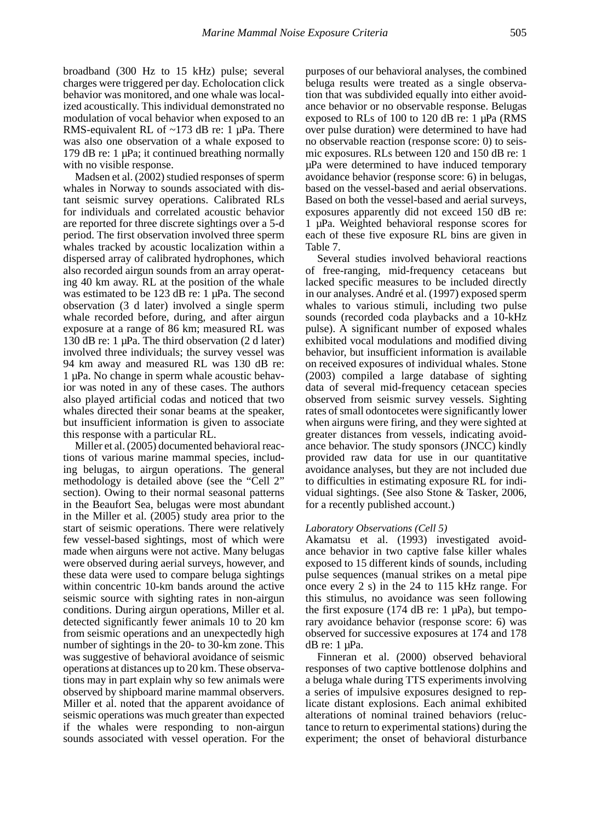broadband (300 Hz to 15 kHz) pulse; several charges were triggered per day. Echolocation click behavior was monitored, and one whale was localized acoustically. This individual demonstrated no modulation of vocal behavior when exposed to an RMS-equivalent RL of  $\sim$ 173 dB re: 1 µPa. There was also one observation of a whale exposed to 179 dB re: 1 µPa; it continued breathing normally with no visible response.

Madsen et al. (2002) studied responses of sperm whales in Norway to sounds associated with distant seismic survey operations. Calibrated RLs for individuals and correlated acoustic behavior are reported for three discrete sightings over a 5-d period. The first observation involved three sperm whales tracked by acoustic localization within a dispersed array of calibrated hydrophones, which also recorded airgun sounds from an array operating 40 km away. RL at the position of the whale was estimated to be 123 dB re: 1 µPa. The second observation (3 d later) involved a single sperm whale recorded before, during, and after airgun exposure at a range of 86 km; measured RL was 130 dB re: 1 µPa. The third observation (2 d later) involved three individuals; the survey vessel was 94 km away and measured RL was 130 dB re: 1 µPa. No change in sperm whale acoustic behavior was noted in any of these cases. The authors also played artificial codas and noticed that two whales directed their sonar beams at the speaker, but insufficient information is given to associate this response with a particular RL.

Miller et al. (2005) documented behavioral reactions of various marine mammal species, including belugas, to airgun operations. The general methodology is detailed above (see the "Cell 2" section). Owing to their normal seasonal patterns in the Beaufort Sea, belugas were most abundant in the Miller et al. (2005) study area prior to the start of seismic operations. There were relatively few vessel-based sightings, most of which were made when airguns were not active. Many belugas were observed during aerial surveys, however, and these data were used to compare beluga sightings within concentric 10-km bands around the active seismic source with sighting rates in non-airgun conditions. During airgun operations, Miller et al. detected significantly fewer animals 10 to 20 km from seismic operations and an unexpectedly high number of sightings in the 20- to 30-km zone. This was suggestive of behavioral avoidance of seismic operations at distances up to 20 km. These observations may in part explain why so few animals were observed by shipboard marine mammal observers. Miller et al. noted that the apparent avoidance of seismic operations was much greater than expected if the whales were responding to non-airgun sounds associated with vessel operation. For the

purposes of our behavioral analyses, the combined beluga results were treated as a single observation that was subdivided equally into either avoidance behavior or no observable response. Belugas exposed to RLs of 100 to 120 dB re: 1 µPa (RMS over pulse duration) were determined to have had no observable reaction (response score: 0) to seismic exposures. RLs between 120 and 150 dB re: 1 µPa were determined to have induced temporary avoidance behavior (response score: 6) in belugas, based on the vessel-based and aerial observations. Based on both the vessel-based and aerial surveys, exposures apparently did not exceed 150 dB re: 1 µPa. Weighted behavioral response scores for each of these five exposure RL bins are given in Table 7.

Several studies involved behavioral reactions of free-ranging, mid-frequency cetaceans but lacked specific measures to be included directly in our analyses. André et al. (1997) exposed sperm whales to various stimuli, including two pulse sounds (recorded coda playbacks and a 10-kHz pulse). A significant number of exposed whales exhibited vocal modulations and modified diving behavior, but insufficient information is available on received exposures of individual whales. Stone (2003) compiled a large database of sighting data of several mid-frequency cetacean species observed from seismic survey vessels. Sighting rates of small odontocetes were significantly lower when airguns were firing, and they were sighted at greater distances from vessels, indicating avoidance behavior. The study sponsors (JNCC) kindly provided raw data for use in our quantitative avoidance analyses, but they are not included due to difficulties in estimating exposure RL for individual sightings. (See also Stone & Tasker, 2006, for a recently published account.)

#### *Laboratory Observations (Cell 5)*

Akamatsu et al. (1993) investigated avoidance behavior in two captive false killer whales exposed to 15 different kinds of sounds, including pulse sequences (manual strikes on a metal pipe once every 2 s) in the 24 to 115 kHz range. For this stimulus, no avoidance was seen following the first exposure (174 dB re: 1  $\mu$ Pa), but temporary avoidance behavior (response score: 6) was observed for successive exposures at 174 and 178 dB re: 1 µPa.

Finneran et al. (2000) observed behavioral responses of two captive bottlenose dolphins and a beluga whale during TTS experiments involving a series of impulsive exposures designed to replicate distant explosions. Each animal exhibited alterations of nominal trained behaviors (reluctance to return to experimental stations) during the experiment; the onset of behavioral disturbance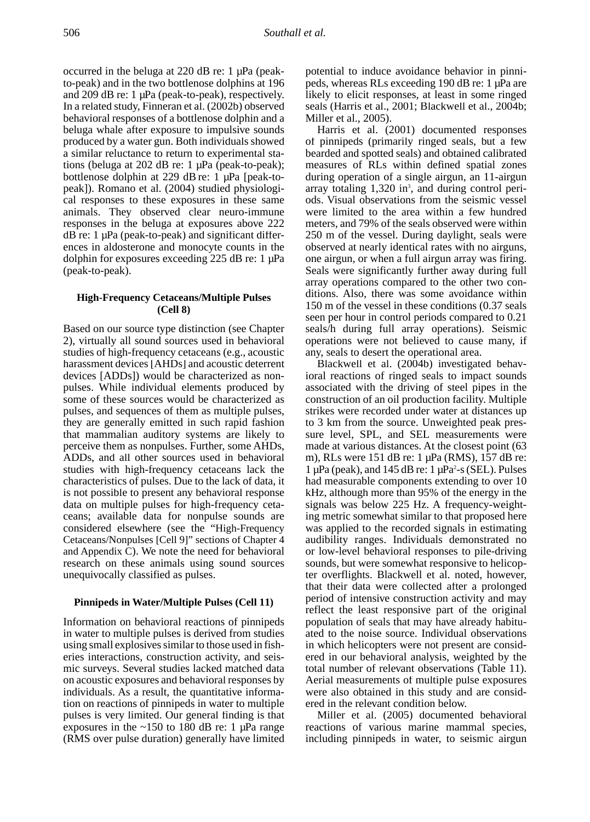occurred in the beluga at 220 dB re: 1 µPa (peakto-peak) and in the two bottlenose dolphins at 196 and 209 dB re: 1 µPa (peak-to-peak), respectively. In a related study, Finneran et al. (2002b) observed behavioral responses of a bottlenose dolphin and a beluga whale after exposure to impulsive sounds produced by a water gun. Both individuals showed a similar reluctance to return to experimental stations (beluga at 202 dB re: 1 µPa (peak-to-peak); bottlenose dolphin at 229 dB re: 1 µPa [peak-topeak]). Romano et al. (2004) studied physiological responses to these exposures in these same animals. They observed clear neuro-immune responses in the beluga at exposures above 222  $dB$  re: 1  $\mu$ Pa (peak-to-peak) and significant differences in aldosterone and monocyte counts in the dolphin for exposures exceeding 225 dB re: 1 µPa (peak-to-peak).

#### **High-Frequency Cetaceans/Multiple Pulses (Cell 8)**

Based on our source type distinction (see Chapter 2), virtually all sound sources used in behavioral studies of high-frequency cetaceans (e.g., acoustic harassment devices [AHDs] and acoustic deterrent devices [ADDs]) would be characterized as nonpulses. While individual elements produced by some of these sources would be characterized as pulses, and sequences of them as multiple pulses, they are generally emitted in such rapid fashion that mammalian auditory systems are likely to perceive them as nonpulses. Further, some AHDs, ADDs, and all other sources used in behavioral studies with high-frequency cetaceans lack the characteristics of pulses. Due to the lack of data, it is not possible to present any behavioral response data on multiple pulses for high-frequency cetaceans; available data for nonpulse sounds are considered elsewhere (see the "High-Frequency Cetaceans/Nonpulses [Cell 9]" sections of Chapter 4 and Appendix C). We note the need for behavioral research on these animals using sound sources unequivocally classified as pulses.

#### **Pinnipeds in Water/Multiple Pulses (Cell 11)**

Information on behavioral reactions of pinnipeds in water to multiple pulses is derived from studies using small explosives similar to those used in fisheries interactions, construction activity, and seismic surveys. Several studies lacked matched data on acoustic exposures and behavioral responses by individuals. As a result, the quantitative information on reactions of pinnipeds in water to multiple pulses is very limited. Our general finding is that exposures in the  $~150$  to 180 dB re: 1  $~\mu$ Pa range (RMS over pulse duration) generally have limited potential to induce avoidance behavior in pinnipeds, whereas RLs exceeding 190 dB re: 1 µPa are likely to elicit responses, at least in some ringed seals (Harris et al., 2001; Blackwell et al., 2004b; Miller et al., 2005).

Harris et al. (2001) documented responses of pinnipeds (primarily ringed seals, but a few bearded and spotted seals) and obtained calibrated measures of RLs within defined spatial zones during operation of a single airgun, an 11-airgun array totaling 1,320 in<sup>3</sup>, and during control periods. Visual observations from the seismic vessel were limited to the area within a few hundred meters, and 79% of the seals observed were within 250 m of the vessel. During daylight, seals were observed at nearly identical rates with no airguns, one airgun, or when a full airgun array was firing. Seals were significantly further away during full array operations compared to the other two conditions. Also, there was some avoidance within 150 m of the vessel in these conditions (0.37 seals seen per hour in control periods compared to 0.21 seals/h during full array operations). Seismic operations were not believed to cause many, if any, seals to desert the operational area.

Blackwell et al. (2004b) investigated behavioral reactions of ringed seals to impact sounds associated with the driving of steel pipes in the construction of an oil production facility. Multiple strikes were recorded under water at distances up to 3 km from the source. Unweighted peak pressure level, SPL, and SEL measurements were made at various distances. At the closest point (63 m), RLs were 151 dB re: 1 μPa (RMS), 157 dB re:  $1 \mu Pa$  (peak), and  $145 dB$  re:  $1 \mu Pa^2$ -s (SEL). Pulses had measurable components extending to over 10 kHz, although more than 95% of the energy in the signals was below 225 Hz. A frequency-weighting metric somewhat similar to that proposed here was applied to the recorded signals in estimating audibility ranges. Individuals demonstrated no or low-level behavioral responses to pile-driving sounds, but were somewhat responsive to helicopter overflights. Blackwell et al. noted, however, that their data were collected after a prolonged period of intensive construction activity and may reflect the least responsive part of the original population of seals that may have already habituated to the noise source. Individual observations in which helicopters were not present are considered in our behavioral analysis, weighted by the total number of relevant observations (Table 11). Aerial measurements of multiple pulse exposures were also obtained in this study and are considered in the relevant condition below.

Miller et al. (2005) documented behavioral reactions of various marine mammal species, including pinnipeds in water, to seismic airgun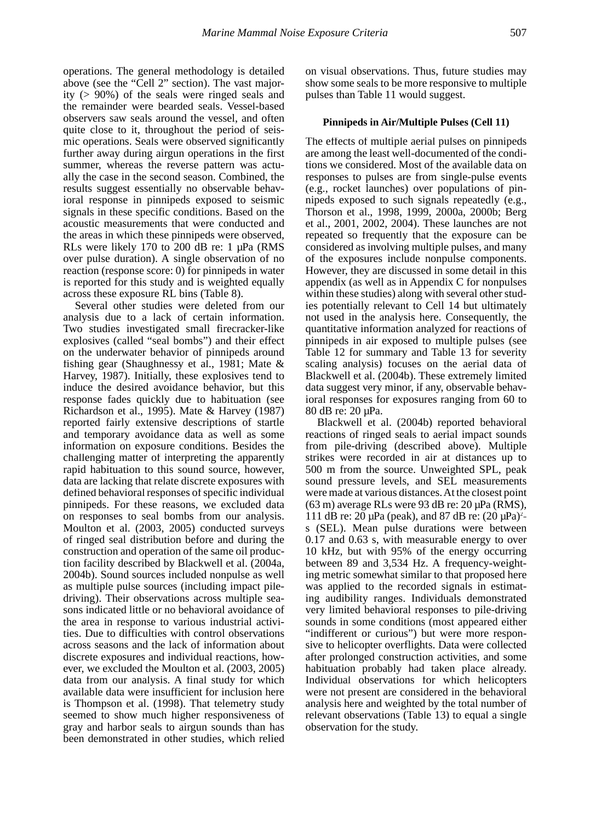operations. The general methodology is detailed above (see the "Cell 2" section). The vast majority (> 90%) of the seals were ringed seals and the remainder were bearded seals. Vessel-based observers saw seals around the vessel, and often quite close to it, throughout the period of seismic operations. Seals were observed significantly further away during airgun operations in the first summer, whereas the reverse pattern was actually the case in the second season. Combined, the results suggest essentially no observable behavioral response in pinnipeds exposed to seismic signals in these specific conditions. Based on the acoustic measurements that were conducted and the areas in which these pinnipeds were observed, RLs were likely 170 to 200 dB re: 1 µPa (RMS over pulse duration). A single observation of no reaction (response score: 0) for pinnipeds in water is reported for this study and is weighted equally across these exposure RL bins (Table 8).

Several other studies were deleted from our analysis due to a lack of certain information. Two studies investigated small firecracker-like explosives (called "seal bombs") and their effect on the underwater behavior of pinnipeds around fishing gear (Shaughnessy et al., 1981; Mate & Harvey, 1987). Initially, these explosives tend to induce the desired avoidance behavior, but this response fades quickly due to habituation (see Richardson et al., 1995). Mate & Harvey (1987) reported fairly extensive descriptions of startle and temporary avoidance data as well as some information on exposure conditions. Besides the challenging matter of interpreting the apparently rapid habituation to this sound source, however, data are lacking that relate discrete exposures with defined behavioral responses of specific individual pinnipeds. For these reasons, we excluded data on responses to seal bombs from our analysis. Moulton et al. (2003, 2005) conducted surveys of ringed seal distribution before and during the construction and operation of the same oil production facility described by Blackwell et al. (2004a, 2004b). Sound sources included nonpulse as well as multiple pulse sources (including impact piledriving). Their observations across multiple seasons indicated little or no behavioral avoidance of the area in response to various industrial activities. Due to difficulties with control observations across seasons and the lack of information about discrete exposures and individual reactions, however, we excluded the Moulton et al. (2003, 2005) data from our analysis. A final study for which available data were insufficient for inclusion here is Thompson et al. (1998). That telemetry study seemed to show much higher responsiveness of gray and harbor seals to airgun sounds than has been demonstrated in other studies, which relied

on visual observations. Thus, future studies may show some seals to be more responsive to multiple pulses than Table 11 would suggest.

#### **Pinnipeds in Air/Multiple Pulses (Cell 11)**

The effects of multiple aerial pulses on pinnipeds are among the least well-documented of the conditions we considered. Most of the available data on responses to pulses are from single-pulse events (e.g., rocket launches) over populations of pinnipeds exposed to such signals repeatedly (e.g., Thorson et al., 1998, 1999, 2000a, 2000b; Berg et al., 2001, 2002, 2004). These launches are not repeated so frequently that the exposure can be considered as involving multiple pulses, and many of the exposures include nonpulse components. However, they are discussed in some detail in this appendix (as well as in Appendix C for nonpulses within these studies) along with several other studies potentially relevant to Cell 14 but ultimately not used in the analysis here. Consequently, the quantitative information analyzed for reactions of pinnipeds in air exposed to multiple pulses (see Table 12 for summary and Table 13 for severity scaling analysis) focuses on the aerial data of Blackwell et al. (2004b). These extremely limited data suggest very minor, if any, observable behavioral responses for exposures ranging from 60 to 80 dB re: 20 µPa.

Blackwell et al. (2004b) reported behavioral reactions of ringed seals to aerial impact sounds from pile-driving (described above). Multiple strikes were recorded in air at distances up to 500 m from the source. Unweighted SPL, peak sound pressure levels, and SEL measurements were made at various distances. At the closest point (63 m) average RLs were 93 dB re: 20 µPa (RMS), 111 dB re:  $20 \mu Pa$  (peak), and 87 dB re:  $(20 \mu Pa)^2$ s (SEL). Mean pulse durations were between 0.17 and 0.63 s, with measurable energy to over 10 kHz, but with 95% of the energy occurring between 89 and 3,534 Hz. A frequency-weighting metric somewhat similar to that proposed here was applied to the recorded signals in estimating audibility ranges. Individuals demonstrated very limited behavioral responses to pile-driving sounds in some conditions (most appeared either "indifferent or curious") but were more responsive to helicopter overflights. Data were collected after prolonged construction activities, and some habituation probably had taken place already. Individual observations for which helicopters were not present are considered in the behavioral analysis here and weighted by the total number of relevant observations (Table 13) to equal a single observation for the study.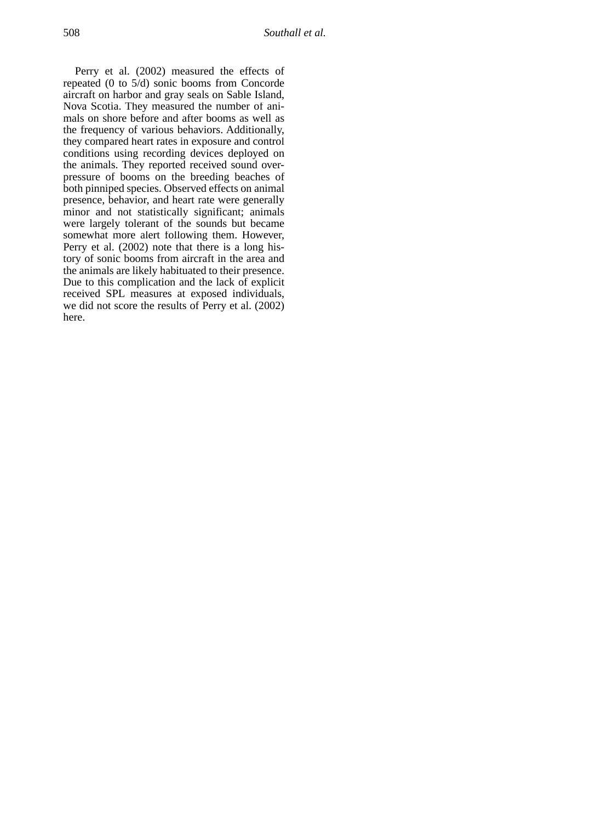Perry et al. (2002) measured the effects of repeated (0 to 5/d) sonic booms from Concorde aircraft on harbor and gray seals on Sable Island, Nova Scotia. They measured the number of animals on shore before and after booms as well as the frequency of various behaviors. Additionally, they compared heart rates in exposure and control conditions using recording devices deployed on the animals. They reported received sound overpressure of booms on the breeding beaches of both pinniped species. Observed effects on animal presence, behavior, and heart rate were generally minor and not statistically significant; animals were largely tolerant of the sounds but became somewhat more alert following them. However, Perry et al. (2002) note that there is a long history of sonic booms from aircraft in the area and the animals are likely habituated to their presence. Due to this complication and the lack of explicit received SPL measures at exposed individuals, we did not score the results of Perry et al. (2002) here.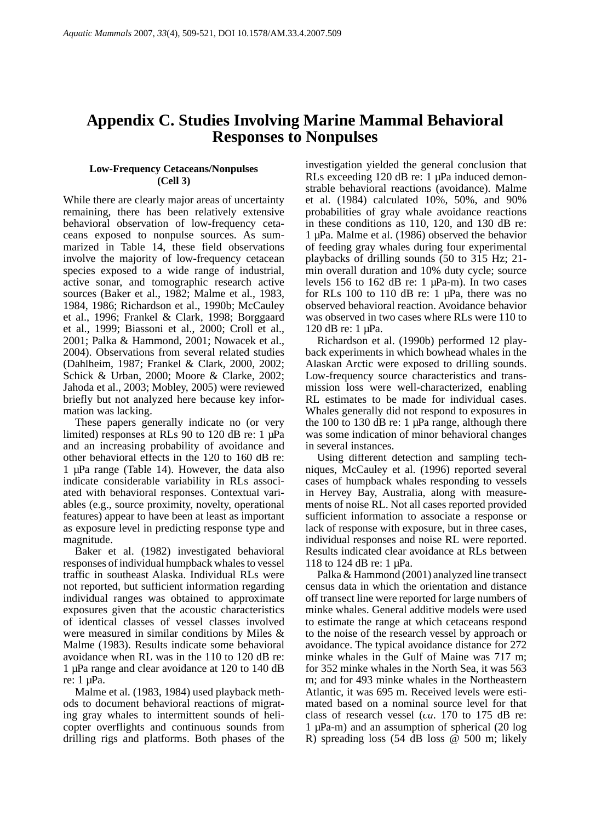# **Appendix C. Studies Involving Marine Mammal Behavioral Responses to Nonpulses**

## **Low-Frequency Cetaceans/Nonpulses (Cell 3)**

While there are clearly major areas of uncertainty remaining, there has been relatively extensive behavioral observation of low-frequency cetaceans exposed to nonpulse sources. As summarized in Table 14, these field observations involve the majority of low-frequency cetacean species exposed to a wide range of industrial, active sonar, and tomographic research active sources (Baker et al., 1982; Malme et al., 1983, 1984, 1986; Richardson et al., 1990b; McCauley et al., 1996; Frankel & Clark, 1998; Borggaard et al., 1999; Biassoni et al., 2000; Croll et al., 2001; Palka & Hammond, 2001; Nowacek et al., 2004). Observations from several related studies (Dahlheim, 1987; Frankel & Clark, 2000, 2002; Schick & Urban, 2000; Moore & Clarke, 2002; Jahoda et al., 2003; Mobley, 2005) were reviewed briefly but not analyzed here because key information was lacking.

These papers generally indicate no (or very limited) responses at RLs 90 to 120 dB re: 1 µPa and an increasing probability of avoidance and other behavioral effects in the 120 to 160 dB re: 1 µPa range (Table 14). However, the data also indicate considerable variability in RLs associated with behavioral responses. Contextual variables (e.g., source proximity, novelty, operational features) appear to have been at least as important as exposure level in predicting response type and magnitude.

Baker et al. (1982) investigated behavioral responses of individual humpback whales to vessel traffic in southeast Alaska. Individual RLs were not reported, but sufficient information regarding individual ranges was obtained to approximate exposures given that the acoustic characteristics of identical classes of vessel classes involved were measured in similar conditions by Miles & Malme (1983). Results indicate some behavioral avoidance when RL was in the 110 to 120 dB re: 1 µPa range and clear avoidance at 120 to 140 dB re: 1 µPa.

Malme et al. (1983, 1984) used playback methods to document behavioral reactions of migrating gray whales to intermittent sounds of helicopter overflights and continuous sounds from drilling rigs and platforms. Both phases of the

investigation yielded the general conclusion that RLs exceeding 120 dB re: 1 µPa induced demonstrable behavioral reactions (avoidance). Malme et al. (1984) calculated 10%, 50%, and 90% probabilities of gray whale avoidance reactions in these conditions as 110, 120, and 130 dB re: 1 µPa. Malme et al. (1986) observed the behavior of feeding gray whales during four experimental playbacks of drilling sounds (50 to 315 Hz; 21 min overall duration and 10% duty cycle; source levels 156 to 162 dB re: 1  $\mu$ Pa-m). In two cases for RLs 100 to 110 dB re:  $1 \mu Pa$ , there was no observed behavioral reaction. Avoidance behavior was observed in two cases where RLs were 110 to 120 dB re: 1 µPa.

Richardson et al. (1990b) performed 12 playback experiments in which bowhead whales in the Alaskan Arctic were exposed to drilling sounds. Low-frequency source characteristics and transmission loss were well-characterized, enabling RL estimates to be made for individual cases. Whales generally did not respond to exposures in the 100 to 130 dB re:  $1 \mu Pa$  range, although there was some indication of minor behavioral changes in several instances.

Using different detection and sampling techniques, McCauley et al. (1996) reported several cases of humpback whales responding to vessels in Hervey Bay, Australia, along with measurements of noise RL. Not all cases reported provided sufficient information to associate a response or lack of response with exposure, but in three cases, individual responses and noise RL were reported. Results indicated clear avoidance at RLs between 118 to 124 dB re: 1 µPa.

Palka & Hammond (2001) analyzed line transect census data in which the orientation and distance off transect line were reported for large numbers of minke whales. General additive models were used to estimate the range at which cetaceans respond to the noise of the research vessel by approach or avoidance. The typical avoidance distance for 272 minke whales in the Gulf of Maine was 717 m; for 352 minke whales in the North Sea, it was 563 m; and for 493 minke whales in the Northeastern Atlantic, it was 695 m. Received levels were estimated based on a nominal source level for that class of research vessel (*ca*. 170 to 175 dB re: 1 µPa-m) and an assumption of spherical (20 log R) spreading loss (54 dB loss @ 500 m; likely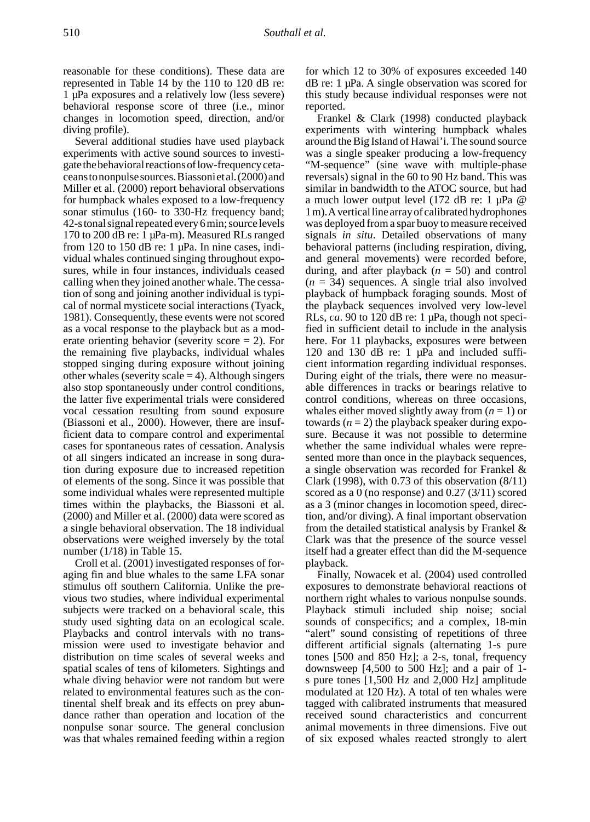reasonable for these conditions). These data are represented in Table 14 by the 110 to 120 dB re: 1 µPa exposures and a relatively low (less severe) behavioral response score of three (i.e., minor changes in locomotion speed, direction, and/or diving profile).

Several additional studies have used playback experiments with active sound sources to investigate the behavioral reactions of low-frequency cetaceans to nonpulse sources. Biassoni et al. (2000) and Miller et al. (2000) report behavioral observations for humpback whales exposed to a low-frequency sonar stimulus (160- to 330-Hz frequency band; 42-s tonal signal repeated every 6 min; source levels 170 to 200 dB re: 1 µPa-m). Measured RLs ranged from 120 to 150 dB re:  $1 \mu Pa$ . In nine cases, individual whales continued singing throughout exposures, while in four instances, individuals ceased calling when they joined another whale. The cessation of song and joining another individual is typical of normal mysticete social interactions (Tyack, 1981). Consequently, these events were not scored as a vocal response to the playback but as a moderate orienting behavior (severity score  $= 2$ ). For the remaining five playbacks, individual whales stopped singing during exposure without joining other whales (severity scale  $=$  4). Although singers also stop spontaneously under control conditions, the latter five experimental trials were considered vocal cessation resulting from sound exposure (Biassoni et al., 2000). However, there are insufficient data to compare control and experimental cases for spontaneous rates of cessation. Analysis of all singers indicated an increase in song duration during exposure due to increased repetition of elements of the song. Since it was possible that some individual whales were represented multiple times within the playbacks, the Biassoni et al. (2000) and Miller et al. (2000) data were scored as a single behavioral observation. The 18 individual observations were weighed inversely by the total number (1/18) in Table 15.

Croll et al. (2001) investigated responses of foraging fin and blue whales to the same LFA sonar stimulus off southern California. Unlike the previous two studies, where individual experimental subjects were tracked on a behavioral scale, this study used sighting data on an ecological scale. Playbacks and control intervals with no transmission were used to investigate behavior and distribution on time scales of several weeks and spatial scales of tens of kilometers. Sightings and whale diving behavior were not random but were related to environmental features such as the continental shelf break and its effects on prey abundance rather than operation and location of the nonpulse sonar source. The general conclusion was that whales remained feeding within a region

for which 12 to 30% of exposures exceeded 140 dB re: 1 µPa. A single observation was scored for this study because individual responses were not reported.

Frankel & Clark (1998) conducted playback experiments with wintering humpback whales around the Big Island of Hawai'i. The sound source was a single speaker producing a low-frequency "M-sequence" (sine wave with multiple-phase reversals) signal in the 60 to 90 Hz band. This was similar in bandwidth to the ATOC source, but had a much lower output level (172 dB re: 1 µPa @ 1 m). A vertical line array of calibrated hydrophones was deployed from a spar buoy to measure received signals *in situ*. Detailed observations of many behavioral patterns (including respiration, diving, and general movements) were recorded before, during, and after playback (*n* = 50) and control  $(n = 34)$  sequences. A single trial also involved playback of humpback foraging sounds. Most of the playback sequences involved very low-level RLs,  $ca$ . 90 to 120 dB re: 1  $\mu$ Pa, though not specified in sufficient detail to include in the analysis here. For 11 playbacks, exposures were between 120 and 130 dB re: 1 µPa and included sufficient information regarding individual responses. During eight of the trials, there were no measurable differences in tracks or bearings relative to control conditions, whereas on three occasions, whales either moved slightly away from  $(n = 1)$  or towards  $(n = 2)$  the playback speaker during exposure. Because it was not possible to determine whether the same individual whales were represented more than once in the playback sequences, a single observation was recorded for Frankel & Clark (1998), with 0.73 of this observation (8/11) scored as a 0 (no response) and 0.27 (3/11) scored as a 3 (minor changes in locomotion speed, direction, and/or diving). A final important observation from the detailed statistical analysis by Frankel & Clark was that the presence of the source vessel itself had a greater effect than did the M-sequence playback.

Finally, Nowacek et al. (2004) used controlled exposures to demonstrate behavioral reactions of northern right whales to various nonpulse sounds. Playback stimuli included ship noise; social sounds of conspecifics; and a complex, 18-min "alert" sound consisting of repetitions of three different artificial signals (alternating 1-s pure tones [500 and 850 Hz]; a 2-s, tonal, frequency downsweep [4,500 to 500 Hz]; and a pair of 1 s pure tones [1,500 Hz and 2,000 Hz] amplitude modulated at 120 Hz). A total of ten whales were tagged with calibrated instruments that measured received sound characteristics and concurrent animal movements in three dimensions. Five out of six exposed whales reacted strongly to alert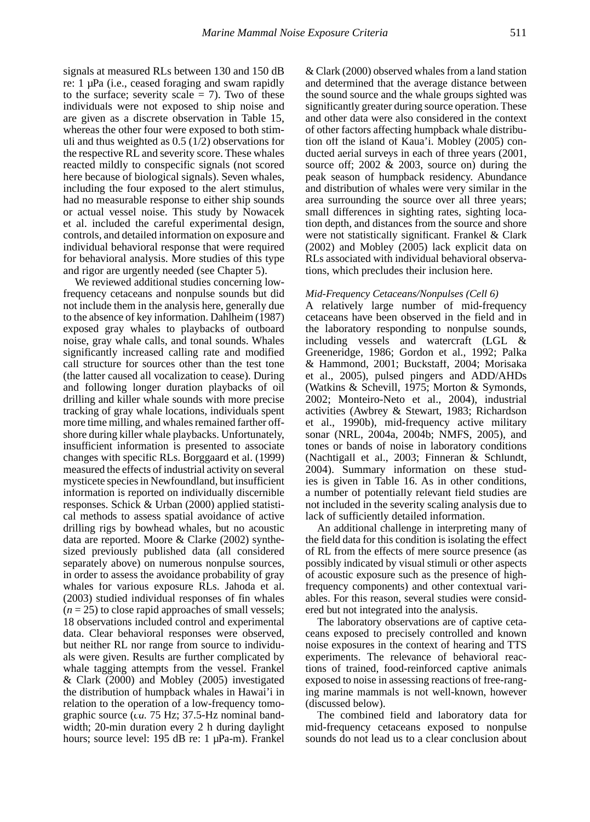signals at measured RLs between 130 and 150 dB re: 1 µPa (i.e., ceased foraging and swam rapidly to the surface; severity scale  $= 7$ ). Two of these individuals were not exposed to ship noise and are given as a discrete observation in Table 15, whereas the other four were exposed to both stimuli and thus weighted as 0.5 (1/2) observations for the respective RL and severity score. These whales reacted mildly to conspecific signals (not scored here because of biological signals). Seven whales, including the four exposed to the alert stimulus, had no measurable response to either ship sounds or actual vessel noise. This study by Nowacek et al. included the careful experimental design, controls, and detailed information on exposure and individual behavioral response that were required for behavioral analysis. More studies of this type and rigor are urgently needed (see Chapter 5).

We reviewed additional studies concerning lowfrequency cetaceans and nonpulse sounds but did not include them in the analysis here, generally due to the absence of key information. Dahlheim (1987) exposed gray whales to playbacks of outboard noise, gray whale calls, and tonal sounds. Whales significantly increased calling rate and modified call structure for sources other than the test tone (the latter caused all vocalization to cease). During and following longer duration playbacks of oil drilling and killer whale sounds with more precise tracking of gray whale locations, individuals spent more time milling, and whales remained farther offshore during killer whale playbacks. Unfortunately, insufficient information is presented to associate changes with specific RLs. Borggaard et al. (1999) measured the effects of industrial activity on several mysticete species in Newfoundland, but insufficient information is reported on individually discernible responses. Schick & Urban (2000) applied statistical methods to assess spatial avoidance of active drilling rigs by bowhead whales, but no acoustic data are reported. Moore & Clarke (2002) synthesized previously published data (all considered separately above) on numerous nonpulse sources, in order to assess the avoidance probability of gray whales for various exposure RLs. Jahoda et al. (2003) studied individual responses of fin whales  $(n = 25)$  to close rapid approaches of small vessels; 18 observations included control and experimental data. Clear behavioral responses were observed, but neither RL nor range from source to individuals were given. Results are further complicated by whale tagging attempts from the vessel. Frankel & Clark (2000) and Mobley (2005) investigated the distribution of humpback whales in Hawai'i in relation to the operation of a low-frequency tomographic source (*ca.* 75 Hz; 37.5-Hz nominal bandwidth; 20-min duration every 2 h during daylight hours; source level: 195 dB re: 1 µPa-m). Frankel

& Clark (2000) observed whales from a land station and determined that the average distance between the sound source and the whale groups sighted was significantly greater during source operation. These and other data were also considered in the context of other factors affecting humpback whale distribution off the island of Kaua'i. Mobley (2005) conducted aerial surveys in each of three years (2001, source off; 2002 & 2003, source on) during the peak season of humpback residency. Abundance and distribution of whales were very similar in the area surrounding the source over all three years; small differences in sighting rates, sighting location depth, and distances from the source and shore were not statistically significant. Frankel & Clark (2002) and Mobley (2005) lack explicit data on RLs associated with individual behavioral observations, which precludes their inclusion here.

#### *Mid-Frequency Cetaceans/Nonpulses (Cell 6)*

A relatively large number of mid-frequency cetaceans have been observed in the field and in the laboratory responding to nonpulse sounds, including vessels and watercraft (LGL & Greeneridge, 1986; Gordon et al., 1992; Palka & Hammond, 2001; Buckstaff, 2004; Morisaka et al., 2005), pulsed pingers and ADD/AHDs (Watkins & Schevill, 1975; Morton & Symonds, 2002; Monteiro-Neto et al., 2004), industrial activities (Awbrey & Stewart, 1983; Richardson et al., 1990b), mid-frequency active military sonar (NRL, 2004a, 2004b; NMFS, 2005), and tones or bands of noise in laboratory conditions (Nachtigall et al., 2003; Finneran & Schlundt, 2004). Summary information on these studies is given in Table 16. As in other conditions, a number of potentially relevant field studies are not included in the severity scaling analysis due to lack of sufficiently detailed information.

An additional challenge in interpreting many of the field data for this condition is isolating the effect of RL from the effects of mere source presence (as possibly indicated by visual stimuli or other aspects of acoustic exposure such as the presence of highfrequency components) and other contextual variables. For this reason, several studies were considered but not integrated into the analysis.

The laboratory observations are of captive cetaceans exposed to precisely controlled and known noise exposures in the context of hearing and TTS experiments. The relevance of behavioral reactions of trained, food-reinforced captive animals exposed to noise in assessing reactions of free-ranging marine mammals is not well-known, however (discussed below).

The combined field and laboratory data for mid-frequency cetaceans exposed to nonpulse sounds do not lead us to a clear conclusion about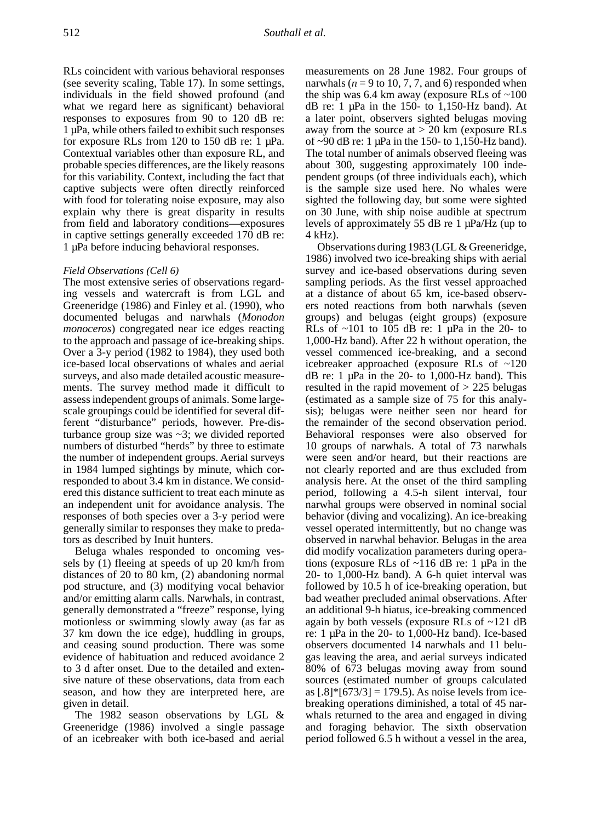RLs coincident with various behavioral responses (see severity scaling, Table 17). In some settings, individuals in the field showed profound (and what we regard here as significant) behavioral responses to exposures from 90 to 120 dB re: 1 µPa, while others failed to exhibit such responses for exposure RLs from 120 to 150 dB re: 1 µPa. Contextual variables other than exposure RL, and probable species differences, are the likely reasons for this variability. Context, including the fact that captive subjects were often directly reinforced with food for tolerating noise exposure, may also explain why there is great disparity in results from field and laboratory conditions—exposures in captive settings generally exceeded 170 dB re: 1 µPa before inducing behavioral responses.

#### *Field Observations (Cell 6)*

The most extensive series of observations regarding vessels and watercraft is from LGL and Greeneridge (1986) and Finley et al. (1990), who documented belugas and narwhals (*Monodon monoceros*) congregated near ice edges reacting to the approach and passage of ice-breaking ships. Over a 3-y period (1982 to 1984), they used both ice-based local observations of whales and aerial surveys, and also made detailed acoustic measurements. The survey method made it difficult to assess independent groups of animals. Some largescale groupings could be identified for several different "disturbance" periods, however. Pre-disturbance group size was ~3; we divided reported numbers of disturbed "herds" by three to estimate the number of independent groups. Aerial surveys in 1984 lumped sightings by minute, which corresponded to about 3.4 km in distance. We considered this distance sufficient to treat each minute as an independent unit for avoidance analysis. The responses of both species over a 3-y period were generally similar to responses they make to predators as described by Inuit hunters.

Beluga whales responded to oncoming vessels by (1) fleeing at speeds of up 20 km/h from distances of 20 to 80 km, (2) abandoning normal pod structure, and (3) modifying vocal behavior and/or emitting alarm calls. Narwhals, in contrast, generally demonstrated a "freeze" response, lying motionless or swimming slowly away (as far as 37 km down the ice edge), huddling in groups, and ceasing sound production. There was some evidence of habituation and reduced avoidance 2 to 3 d after onset. Due to the detailed and extensive nature of these observations, data from each season, and how they are interpreted here, are given in detail.

The 1982 season observations by LGL & Greeneridge (1986) involved a single passage of an icebreaker with both ice-based and aerial

measurements on 28 June 1982. Four groups of narwhals ( $n = 9$  to 10, 7, 7, and 6) responded when the ship was  $6.4 \text{ km}$  away (exposure RLs of  $\sim 100$ ) dB re: 1  $\mu$ Pa in the 150- to 1,150-Hz band). At a later point, observers sighted belugas moving away from the source at > 20 km (exposure RLs of ~90 dB re: 1 µPa in the 150- to 1,150-Hz band). The total number of animals observed fleeing was about 300, suggesting approximately 100 independent groups (of three individuals each), which is the sample size used here. No whales were sighted the following day, but some were sighted on 30 June, with ship noise audible at spectrum levels of approximately 55 dB re 1 µPa/Hz (up to 4 kHz).

Observations during 1983 (LGL & Greeneridge, 1986) involved two ice-breaking ships with aerial survey and ice-based observations during seven sampling periods. As the first vessel approached at a distance of about 65 km, ice-based observers noted reactions from both narwhals (seven groups) and belugas (eight groups) (exposure RLs of  $\sim$ 101 to 105 dB re: 1  $\mu$ Pa in the 20- to 1,000-Hz band). After 22 h without operation, the vessel commenced ice-breaking, and a second icebreaker approached (exposure RLs of ~120 dB re: 1  $\mu$ Pa in the 20- to 1,000-Hz band). This resulted in the rapid movement of > 225 belugas (estimated as a sample size of 75 for this analysis); belugas were neither seen nor heard for the remainder of the second observation period. Behavioral responses were also observed for 10 groups of narwhals. A total of 73 narwhals were seen and/or heard, but their reactions are not clearly reported and are thus excluded from analysis here. At the onset of the third sampling period, following a 4.5-h silent interval, four narwhal groups were observed in nominal social behavior (diving and vocalizing). An ice-breaking vessel operated intermittently, but no change was observed in narwhal behavior. Belugas in the area did modify vocalization parameters during operations (exposure RLs of ~116 dB re: 1 µPa in the 20- to 1,000-Hz band). A 6-h quiet interval was followed by 10.5 h of ice-breaking operation, but bad weather precluded animal observations. After an additional 9-h hiatus, ice-breaking commenced again by both vessels (exposure RLs of ~121 dB re: 1 µPa in the 20- to 1,000-Hz band). Ice-based observers documented 14 narwhals and 11 belugas leaving the area, and aerial surveys indicated 80% of 673 belugas moving away from sound sources (estimated number of groups calculated as  $[.8]$ \* $[673/3] = 179.5$ ). As noise levels from icebreaking operations diminished, a total of 45 narwhals returned to the area and engaged in diving and foraging behavior. The sixth observation period followed 6.5 h without a vessel in the area,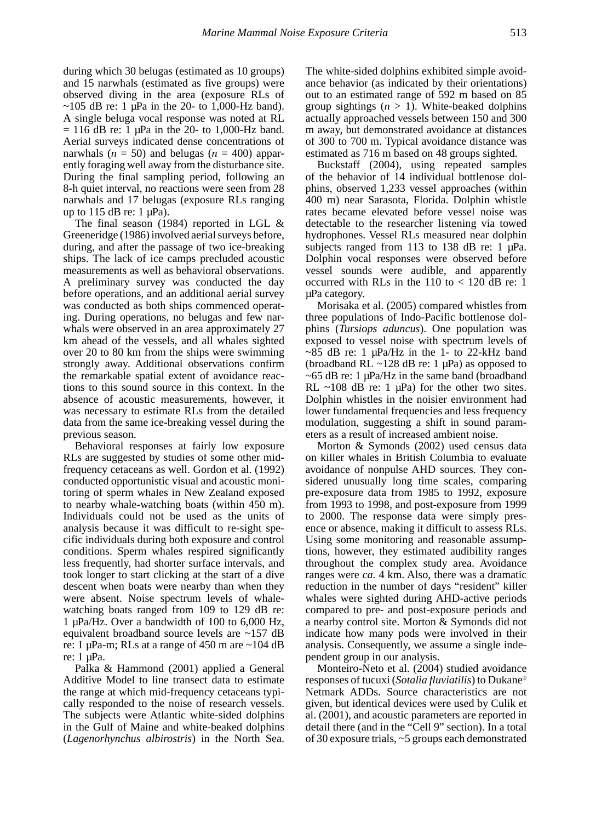during which 30 belugas (estimated as 10 groups) and 15 narwhals (estimated as five groups) were observed diving in the area (exposure RLs of  $\sim$ 105 dB re: 1 µPa in the 20- to 1,000-Hz band). A single beluga vocal response was noted at RL  $= 116$  dB re: 1 µPa in the 20- to 1,000-Hz band. Aerial surveys indicated dense concentrations of narwhals  $(n = 50)$  and belugas  $(n = 400)$  apparently foraging well away from the disturbance site. During the final sampling period, following an 8-h quiet interval, no reactions were seen from 28 narwhals and 17 belugas (exposure RLs ranging up to  $115$  dB re: 1  $\mu$ Pa).

The final season (1984) reported in LGL & Greeneridge (1986) involved aerial surveys before, during, and after the passage of two ice-breaking ships. The lack of ice camps precluded acoustic measurements as well as behavioral observations. A preliminary survey was conducted the day before operations, and an additional aerial survey was conducted as both ships commenced operating. During operations, no belugas and few narwhals were observed in an area approximately 27 km ahead of the vessels, and all whales sighted over 20 to 80 km from the ships were swimming strongly away. Additional observations confirm the remarkable spatial extent of avoidance reactions to this sound source in this context. In the absence of acoustic measurements, however, it was necessary to estimate RLs from the detailed data from the same ice-breaking vessel during the previous season.

Behavioral responses at fairly low exposure RLs are suggested by studies of some other midfrequency cetaceans as well. Gordon et al. (1992) conducted opportunistic visual and acoustic monitoring of sperm whales in New Zealand exposed to nearby whale-watching boats (within 450 m). Individuals could not be used as the units of analysis because it was difficult to re-sight specific individuals during both exposure and control conditions. Sperm whales respired significantly less frequently, had shorter surface intervals, and took longer to start clicking at the start of a dive descent when boats were nearby than when they were absent. Noise spectrum levels of whalewatching boats ranged from 109 to 129 dB re: 1 µPa/Hz. Over a bandwidth of 100 to 6,000 Hz, equivalent broadband source levels are ~157 dB re: 1  $\mu$ Pa-m; RLs at a range of 450 m are ~104 dB re: 1 µPa.

Palka & Hammond (2001) applied a General Additive Model to line transect data to estimate the range at which mid-frequency cetaceans typically responded to the noise of research vessels. The subjects were Atlantic white-sided dolphins in the Gulf of Maine and white-beaked dolphins (*Lagenorhynchus albirostris*) in the North Sea.

The white-sided dolphins exhibited simple avoidance behavior (as indicated by their orientations) out to an estimated range of 592 m based on 85 group sightings  $(n > 1)$ . White-beaked dolphins actually approached vessels between 150 and 300 m away, but demonstrated avoidance at distances of 300 to 700 m. Typical avoidance distance was estimated as 716 m based on 48 groups sighted.

Buckstaff (2004), using repeated samples of the behavior of 14 individual bottlenose dolphins, observed 1,233 vessel approaches (within 400 m) near Sarasota, Florida. Dolphin whistle rates became elevated before vessel noise was detectable to the researcher listening via towed hydrophones. Vessel RLs measured near dolphin subjects ranged from 113 to 138 dB re:  $1 \mu Pa$ . Dolphin vocal responses were observed before vessel sounds were audible, and apparently occurred with RLs in the  $110$  to  $< 120$  dB re: 1 µPa category.

Morisaka et al. (2005) compared whistles from three populations of Indo-Pacific bottlenose dolphins (*Tursiops aduncus*). One population was exposed to vessel noise with spectrum levels of  $\sim$ 85 dB re: 1 µPa/Hz in the 1- to 22-kHz band (broadband RL  $\sim$ 128 dB re: 1 µPa) as opposed to  $\sim$  65 dB re: 1 µPa/Hz in the same band (broadband RL  $\sim$ 108 dB re: 1  $\mu$ Pa) for the other two sites. Dolphin whistles in the noisier environment had lower fundamental frequencies and less frequency modulation, suggesting a shift in sound parameters as a result of increased ambient noise.

Morton & Symonds (2002) used census data on killer whales in British Columbia to evaluate avoidance of nonpulse AHD sources. They considered unusually long time scales, comparing pre-exposure data from 1985 to 1992, exposure from 1993 to 1998, and post-exposure from 1999 to 2000. The response data were simply presence or absence, making it difficult to assess RLs. Using some monitoring and reasonable assumptions, however, they estimated audibility ranges throughout the complex study area. Avoidance ranges were *ca.* 4 km. Also, there was a dramatic reduction in the number of days "resident" killer whales were sighted during AHD-active periods compared to pre- and post-exposure periods and a nearby control site. Morton & Symonds did not indicate how many pods were involved in their analysis. Consequently, we assume a single independent group in our analysis.

Monteiro-Neto et al. (2004) studied avoidance responses of tucuxi (*Sotalia fluviatilis*) to Dukane® Netmark ADDs. Source characteristics are not given, but identical devices were used by Culik et al. (2001), and acoustic parameters are reported in detail there (and in the "Cell 9" section). In a total of 30 exposure trials, ~5 groups each demonstrated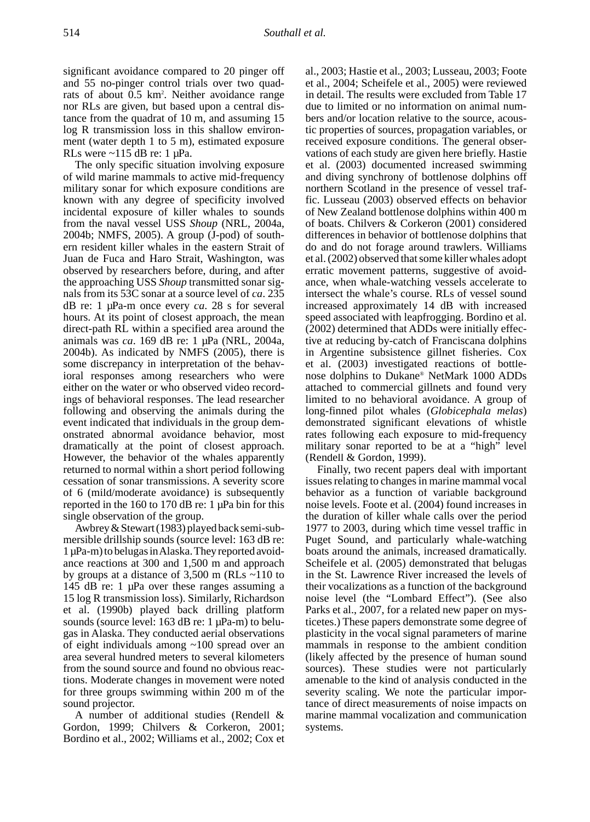significant avoidance compared to 20 pinger off and 55 no-pinger control trials over two quadrats of about 0.5 km2 . Neither avoidance range nor RLs are given, but based upon a central distance from the quadrat of 10 m, and assuming 15 log R transmission loss in this shallow environment (water depth 1 to 5 m), estimated exposure RLs were  $\sim$ 115 dB re: 1 µPa.

The only specific situation involving exposure of wild marine mammals to active mid-frequency military sonar for which exposure conditions are known with any degree of specificity involved incidental exposure of killer whales to sounds from the naval vessel USS *Shoup* (NRL, 2004a, 2004b; NMFS, 2005). A group (J-pod) of southern resident killer whales in the eastern Strait of Juan de Fuca and Haro Strait, Washington, was observed by researchers before, during, and after the approaching USS *Shoup* transmitted sonar signals from its 53C sonar at a source level of *ca*. 235 dB re: 1 µPa-m once every *ca*. 28 s for several hours. At its point of closest approach, the mean direct-path RL within a specified area around the animals was *ca*. 169 dB re: 1 µPa (NRL, 2004a, 2004b). As indicated by NMFS (2005), there is some discrepancy in interpretation of the behavioral responses among researchers who were either on the water or who observed video recordings of behavioral responses. The lead researcher following and observing the animals during the event indicated that individuals in the group demonstrated abnormal avoidance behavior, most dramatically at the point of closest approach. However, the behavior of the whales apparently returned to normal within a short period following cessation of sonar transmissions. A severity score of 6 (mild/moderate avoidance) is subsequently reported in the 160 to 170 dB re: 1 µPa bin for this single observation of the group.

Awbrey & Stewart (1983) played back semi-submersible drillship sounds (source level: 163 dB re: 1 µPa-m) to belugas in Alaska. They reported avoidance reactions at 300 and 1,500 m and approach by groups at a distance of 3,500 m (RLs ~110 to 145 dB re: 1 µPa over these ranges assuming a 15 log R transmission loss). Similarly, Richardson et al. (1990b) played back drilling platform sounds (source level: 163 dB re: 1 µPa-m) to belugas in Alaska. They conducted aerial observations of eight individuals among ~100 spread over an area several hundred meters to several kilometers from the sound source and found no obvious reactions. Moderate changes in movement were noted for three groups swimming within 200 m of the sound projector.

A number of additional studies (Rendell & Gordon, 1999; Chilvers & Corkeron, 2001; Bordino et al., 2002; Williams et al., 2002; Cox et

al., 2003; Hastie et al., 2003; Lusseau, 2003; Foote et al., 2004; Scheifele et al., 2005) were reviewed in detail. The results were excluded from Table 17 due to limited or no information on animal numbers and/or location relative to the source, acoustic properties of sources, propagation variables, or received exposure conditions. The general observations of each study are given here briefly. Hastie et al. (2003) documented increased swimming and diving synchrony of bottlenose dolphins off northern Scotland in the presence of vessel traffic. Lusseau (2003) observed effects on behavior of New Zealand bottlenose dolphins within 400 m of boats. Chilvers & Corkeron (2001) considered differences in behavior of bottlenose dolphins that do and do not forage around trawlers. Williams et al. (2002) observed that some killer whales adopt erratic movement patterns, suggestive of avoidance, when whale-watching vessels accelerate to intersect the whale's course. RLs of vessel sound increased approximately 14 dB with increased speed associated with leapfrogging. Bordino et al. (2002) determined that ADDs were initially effective at reducing by-catch of Franciscana dolphins in Argentine subsistence gillnet fisheries. Cox et al. (2003) investigated reactions of bottlenose dolphins to Dukane® NetMark 1000 ADDs attached to commercial gillnets and found very limited to no behavioral avoidance. A group of long-finned pilot whales (*Globicephala melas*) demonstrated significant elevations of whistle rates following each exposure to mid-frequency military sonar reported to be at a "high" level (Rendell & Gordon, 1999).

Finally, two recent papers deal with important issues relating to changes in marine mammal vocal behavior as a function of variable background noise levels. Foote et al. (2004) found increases in the duration of killer whale calls over the period 1977 to 2003, during which time vessel traffic in Puget Sound, and particularly whale-watching boats around the animals, increased dramatically. Scheifele et al. (2005) demonstrated that belugas in the St. Lawrence River increased the levels of their vocalizations as a function of the background noise level (the "Lombard Effect"). (See also Parks et al., 2007, for a related new paper on mysticetes.) These papers demonstrate some degree of plasticity in the vocal signal parameters of marine mammals in response to the ambient condition (likely affected by the presence of human sound sources). These studies were not particularly amenable to the kind of analysis conducted in the severity scaling. We note the particular importance of direct measurements of noise impacts on marine mammal vocalization and communication systems.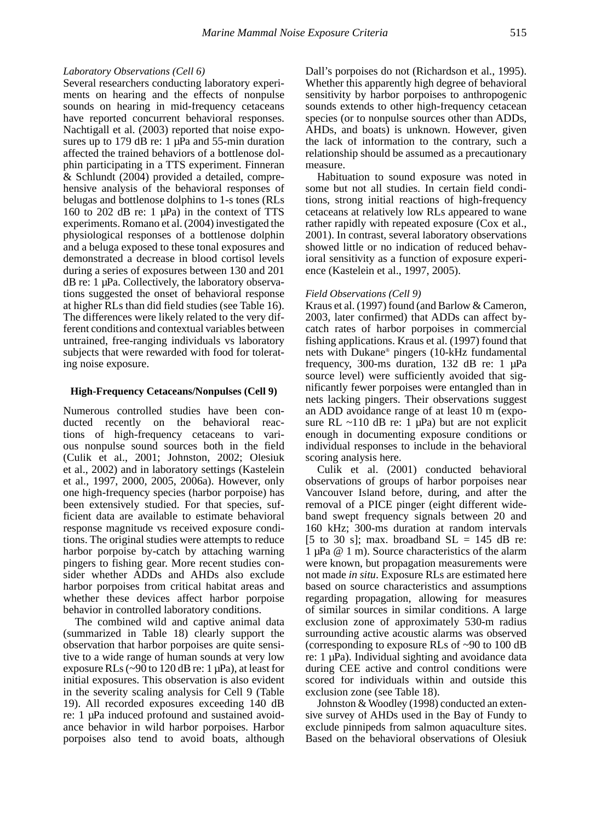#### *Laboratory Observations (Cell 6)*

Several researchers conducting laboratory experiments on hearing and the effects of nonpulse sounds on hearing in mid-frequency cetaceans have reported concurrent behavioral responses. Nachtigall et al. (2003) reported that noise exposures up to 179 dB re: 1  $\mu$ Pa and 55-min duration affected the trained behaviors of a bottlenose dolphin participating in a TTS experiment. Finneran & Schlundt (2004) provided a detailed, comprehensive analysis of the behavioral responses of belugas and bottlenose dolphins to 1-s tones (RLs 160 to 202 dB re: 1 µPa) in the context of TTS experiments. Romano et al. (2004) investigated the physiological responses of a bottlenose dolphin and a beluga exposed to these tonal exposures and demonstrated a decrease in blood cortisol levels during a series of exposures between 130 and 201 dB re: 1 µPa. Collectively, the laboratory observations suggested the onset of behavioral response at higher RLs than did field studies (see Table 16). The differences were likely related to the very different conditions and contextual variables between untrained, free-ranging individuals vs laboratory subjects that were rewarded with food for tolerating noise exposure.

#### **High-Frequency Cetaceans/Nonpulses (Cell 9)**

Numerous controlled studies have been con-<br>ducted recently on the behavioral reacon the behavioral reactions of high-frequency cetaceans to various nonpulse sound sources both in the field (Culik et al., 2001; Johnston, 2002; Olesiuk et al., 2002) and in laboratory settings (Kastelein et al., 1997, 2000, 2005, 2006a). However, only one high-frequency species (harbor porpoise) has been extensively studied. For that species, sufficient data are available to estimate behavioral response magnitude vs received exposure conditions. The original studies were attempts to reduce harbor porpoise by-catch by attaching warning pingers to fishing gear. More recent studies consider whether ADDs and AHDs also exclude harbor porpoises from critical habitat areas and whether these devices affect harbor porpoise behavior in controlled laboratory conditions.

The combined wild and captive animal data (summarized in Table 18) clearly support the observation that harbor porpoises are quite sensitive to a wide range of human sounds at very low exposure RLs ( $\sim$ 90 to 120 dB re: 1  $\mu$ Pa), at least for initial exposures. This observation is also evident in the severity scaling analysis for Cell 9 (Table 19). All recorded exposures exceeding 140 dB re: 1 µPa induced profound and sustained avoidance behavior in wild harbor porpoises. Harbor porpoises also tend to avoid boats, although Dall's porpoises do not (Richardson et al., 1995). Whether this apparently high degree of behavioral sensitivity by harbor porpoises to anthropogenic sounds extends to other high-frequency cetacean species (or to nonpulse sources other than ADDs, AHDs, and boats) is unknown. However, given the lack of information to the contrary, such a relationship should be assumed as a precautionary measure.

Habituation to sound exposure was noted in some but not all studies. In certain field conditions, strong initial reactions of high-frequency cetaceans at relatively low RLs appeared to wane rather rapidly with repeated exposure (Cox et al., 2001). In contrast, several laboratory observations showed little or no indication of reduced behavioral sensitivity as a function of exposure experience (Kastelein et al., 1997, 2005).

#### *Field Observations (Cell 9)*

Kraus et al. (1997) found (and Barlow & Cameron, 2003, later confirmed) that ADDs can affect bycatch rates of harbor porpoises in commercial fishing applications. Kraus et al. (1997) found that nets with Dukane® pingers (10-kHz fundamental frequency, 300-ms duration, 132 dB re: 1 µPa source level) were sufficiently avoided that significantly fewer porpoises were entangled than in nets lacking pingers. Their observations suggest an ADD avoidance range of at least 10 m (exposure RL  $\sim$ 110 dB re: 1 µPa) but are not explicit enough in documenting exposure conditions or individual responses to include in the behavioral scoring analysis here.

Culik et al. (2001) conducted behavioral observations of groups of harbor porpoises near Vancouver Island before, during, and after the removal of a PICE pinger (eight different wideband swept frequency signals between 20 and 160 kHz; 300-ms duration at random intervals [5 to 30 s]; max. broadband  $SL = 145$  dB re: 1 µPa @ 1 m). Source characteristics of the alarm were known, but propagation measurements were not made *in situ*. Exposure RLs are estimated here based on source characteristics and assumptions regarding propagation, allowing for measures of similar sources in similar conditions. A large exclusion zone of approximately 530-m radius surrounding active acoustic alarms was observed (corresponding to exposure RLs of ~90 to 100 dB re: 1 µPa). Individual sighting and avoidance data during CEE active and control conditions were scored for individuals within and outside this exclusion zone (see Table 18).

Johnston & Woodley (1998) conducted an extensive survey of AHDs used in the Bay of Fundy to exclude pinnipeds from salmon aquaculture sites. Based on the behavioral observations of Olesiuk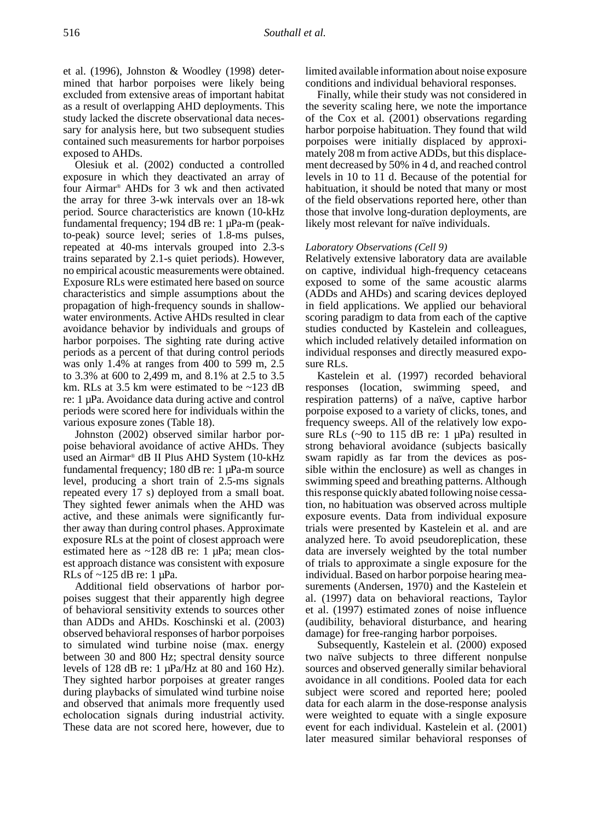et al. (1996), Johnston & Woodley (1998) determined that harbor porpoises were likely being excluded from extensive areas of important habitat as a result of overlapping AHD deployments. This study lacked the discrete observational data necessary for analysis here, but two subsequent studies contained such measurements for harbor porpoises exposed to AHDs.

Olesiuk et al. (2002) conducted a controlled exposure in which they deactivated an array of four Airmar® AHDs for 3 wk and then activated the array for three 3-wk intervals over an 18-wk period. Source characteristics are known (10-kHz fundamental frequency; 194 dB re: 1 µPa-m (peakto-peak) source level; series of 1.8-ms pulses, repeated at 40-ms intervals grouped into 2.3-s trains separated by 2.1-s quiet periods). However, no empirical acoustic measurements were obtained. Exposure RLs were estimated here based on source characteristics and simple assumptions about the propagation of high-frequency sounds in shallowwater environments. Active AHDs resulted in clear avoidance behavior by individuals and groups of harbor porpoises. The sighting rate during active periods as a percent of that during control periods was only 1.4% at ranges from 400 to 599 m, 2.5 to 3.3% at 600 to 2,499 m, and 8.1% at 2.5 to 3.5 km. RLs at 3.5 km were estimated to be ~123 dB re: 1 µPa. Avoidance data during active and control periods were scored here for individuals within the various exposure zones (Table 18).

Johnston (2002) observed similar harbor porpoise behavioral avoidance of active AHDs. They used an Airmar® dB II Plus AHD System (10-kHz fundamental frequency; 180 dB re: 1 µPa-m source level, producing a short train of 2.5-ms signals repeated every 17 s) deployed from a small boat. They sighted fewer animals when the AHD was active, and these animals were significantly further away than during control phases. Approximate exposure RLs at the point of closest approach were estimated here as ~128 dB re: 1 µPa; mean closest approach distance was consistent with exposure RLs of  $\sim$ 125 dB re: 1 µPa.

Additional field observations of harbor porpoises suggest that their apparently high degree of behavioral sensitivity extends to sources other than ADDs and AHDs. Koschinski et al. (2003) observed behavioral responses of harbor porpoises to simulated wind turbine noise (max. energy between 30 and 800 Hz; spectral density source levels of 128 dB re: 1  $\mu$ Pa/Hz at 80 and 160 Hz). They sighted harbor porpoises at greater ranges during playbacks of simulated wind turbine noise and observed that animals more frequently used echolocation signals during industrial activity. These data are not scored here, however, due to

limited available information about noise exposure conditions and individual behavioral responses.

Finally, while their study was not considered in the severity scaling here, we note the importance of the Cox et al. (2001) observations regarding harbor porpoise habituation. They found that wild porpoises were initially displaced by approximately 208 m from active ADDs, but this displacement decreased by 50% in 4 d, and reached control levels in 10 to 11 d. Because of the potential for habituation, it should be noted that many or most of the field observations reported here, other than those that involve long-duration deployments, are likely most relevant for naïve individuals.

#### *Laboratory Observations (Cell 9)*

Relatively extensive laboratory data are available on captive, individual high-frequency cetaceans exposed to some of the same acoustic alarms (ADDs and AHDs) and scaring devices deployed in field applications. We applied our behavioral scoring paradigm to data from each of the captive studies conducted by Kastelein and colleagues, which included relatively detailed information on individual responses and directly measured exposure RLs.

Kastelein et al. (1997) recorded behavioral responses (location, swimming speed, and respiration patterns) of a naïve, captive harbor porpoise exposed to a variety of clicks, tones, and frequency sweeps. All of the relatively low exposure RLs  $(\sim 90 \text{ to } 115 \text{ dB} \text{ re: } 1 \text{ µPa})$  resulted in strong behavioral avoidance (subjects basically swam rapidly as far from the devices as possible within the enclosure) as well as changes in swimming speed and breathing patterns. Although this response quickly abated following noise cessation, no habituation was observed across multiple exposure events. Data from individual exposure trials were presented by Kastelein et al. and are analyzed here. To avoid pseudoreplication, these data are inversely weighted by the total number of trials to approximate a single exposure for the individual. Based on harbor porpoise hearing measurements (Andersen, 1970) and the Kastelein et al. (1997) data on behavioral reactions, Taylor et al. (1997) estimated zones of noise influence (audibility, behavioral disturbance, and hearing damage) for free-ranging harbor porpoises.

Subsequently, Kastelein et al. (2000) exposed two naïve subjects to three different nonpulse sources and observed generally similar behavioral avoidance in all conditions. Pooled data for each subject were scored and reported here; pooled data for each alarm in the dose-response analysis were weighted to equate with a single exposure event for each individual. Kastelein et al. (2001) later measured similar behavioral responses of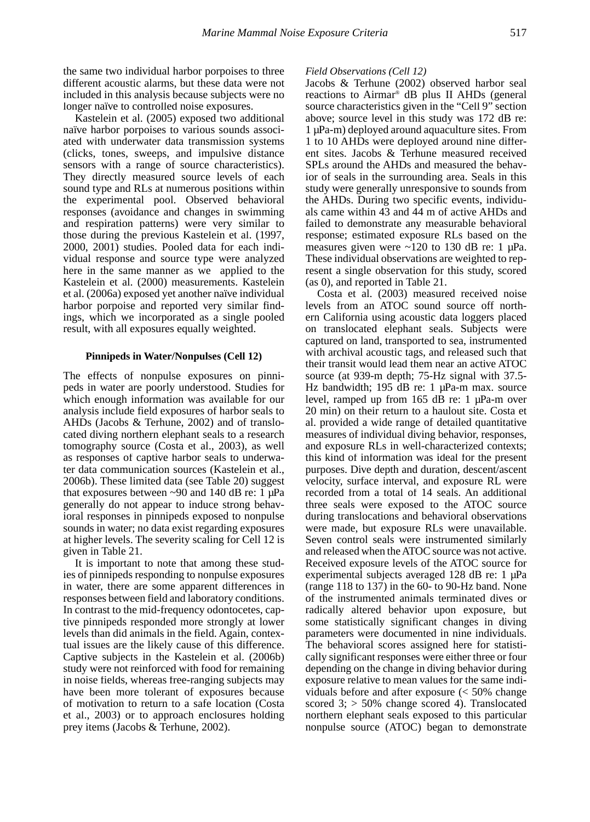the same two individual harbor porpoises to three different acoustic alarms, but these data were not included in this analysis because subjects were no longer naïve to controlled noise exposures.

Kastelein et al. (2005) exposed two additional naïve harbor porpoises to various sounds associated with underwater data transmission systems (clicks, tones, sweeps, and impulsive distance sensors with a range of source characteristics). They directly measured source levels of each sound type and RLs at numerous positions within the experimental pool. Observed behavioral responses (avoidance and changes in swimming and respiration patterns) were very similar to those during the previous Kastelein et al. (1997, 2000, 2001) studies. Pooled data for each individual response and source type were analyzed here in the same manner as we applied to the Kastelein et al. (2000) measurements. Kastelein et al. (2006a) exposed yet another naïve individual harbor porpoise and reported very similar findings, which we incorporated as a single pooled result, with all exposures equally weighted.

#### **Pinnipeds in Water/Nonpulses (Cell 12)**

The effects of nonpulse exposures on pinnipeds in water are poorly understood. Studies for which enough information was available for our analysis include field exposures of harbor seals to AHDs (Jacobs & Terhune, 2002) and of translocated diving northern elephant seals to a research tomography source (Costa et al., 2003), as well as responses of captive harbor seals to underwater data communication sources (Kastelein et al., 2006b). These limited data (see Table 20) suggest that exposures between  $\sim$ 90 and 140 dB re: 1 µPa generally do not appear to induce strong behavioral responses in pinnipeds exposed to nonpulse sounds in water; no data exist regarding exposures at higher levels. The severity scaling for Cell 12 is given in Table 21.

It is important to note that among these studies of pinnipeds responding to nonpulse exposures in water, there are some apparent differences in responses between field and laboratory conditions. In contrast to the mid-frequency odontocetes, captive pinnipeds responded more strongly at lower levels than did animals in the field. Again, contextual issues are the likely cause of this difference. Captive subjects in the Kastelein et al. (2006b) study were not reinforced with food for remaining in noise fields, whereas free-ranging subjects may have been more tolerant of exposures because of motivation to return to a safe location (Costa et al., 2003) or to approach enclosures holding prey items (Jacobs & Terhune, 2002).

#### *Field Observations (Cell 12)*

Jacobs & Terhune (2002) observed harbor seal reactions to Airmar® dB plus II AHDs (general source characteristics given in the "Cell 9" section above; source level in this study was 172 dB re: 1 µPa-m) deployed around aquaculture sites. From 1 to 10 AHDs were deployed around nine different sites. Jacobs & Terhune measured received SPLs around the AHDs and measured the behavior of seals in the surrounding area. Seals in this study were generally unresponsive to sounds from the AHDs. During two specific events, individuals came within 43 and 44 m of active AHDs and failed to demonstrate any measurable behavioral response; estimated exposure RLs based on the measures given were  $\sim$ 120 to 130 dB re: 1  $\mu$ Pa. These individual observations are weighted to represent a single observation for this study, scored (as 0), and reported in Table 21.

Costa et al. (2003) measured received noise levels from an ATOC sound source off northern California using acoustic data loggers placed on translocated elephant seals. Subjects were captured on land, transported to sea, instrumented with archival acoustic tags, and released such that their transit would lead them near an active ATOC source (at 939-m depth; 75-Hz signal with 37.5- Hz bandwidth; 195 dB re: 1 µPa-m max. source level, ramped up from 165 dB re: 1 µPa-m over 20 min) on their return to a haulout site. Costa et al. provided a wide range of detailed quantitative measures of individual diving behavior, responses, and exposure RLs in well-characterized contexts; this kind of information was ideal for the present purposes. Dive depth and duration, descent/ascent velocity, surface interval, and exposure RL were recorded from a total of 14 seals. An additional three seals were exposed to the ATOC source during translocations and behavioral observations were made, but exposure RLs were unavailable. Seven control seals were instrumented similarly and released when the ATOC source was not active. Received exposure levels of the ATOC source for experimental subjects averaged 128 dB re: 1  $\mu$ Pa (range 118 to 137) in the 60- to 90-Hz band. None of the instrumented animals terminated dives or radically altered behavior upon exposure, but some statistically significant changes in diving parameters were documented in nine individuals. The behavioral scores assigned here for statistically significant responses were either three or four depending on the change in diving behavior during exposure relative to mean values for the same individuals before and after exposure (< 50% change scored  $3$ ;  $> 50\%$  change scored 4). Translocated northern elephant seals exposed to this particular nonpulse source (ATOC) began to demonstrate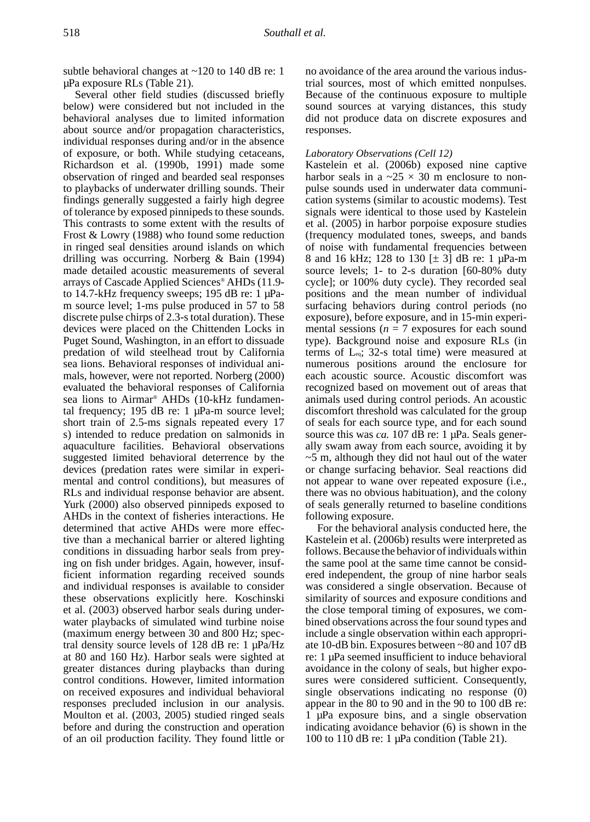subtle behavioral changes at  $\sim$ 120 to 140 dB re: 1 µPa exposure RLs (Table 21).

Several other field studies (discussed briefly below) were considered but not included in the behavioral analyses due to limited information about source and/or propagation characteristics, individual responses during and/or in the absence of exposure, or both. While studying cetaceans, Richardson et al. (1990b, 1991) made some observation of ringed and bearded seal responses to playbacks of underwater drilling sounds. Their findings generally suggested a fairly high degree of tolerance by exposed pinnipeds to these sounds. This contrasts to some extent with the results of Frost & Lowry (1988) who found some reduction in ringed seal densities around islands on which drilling was occurring. Norberg & Bain (1994) made detailed acoustic measurements of several arrays of Cascade Applied Sciences® AHDs (11.9 to 14.7-kHz frequency sweeps; 195 dB re: 1 µPam source level; 1-ms pulse produced in 57 to 58 discrete pulse chirps of 2.3-s total duration). These devices were placed on the Chittenden Locks in Puget Sound, Washington, in an effort to dissuade predation of wild steelhead trout by California sea lions. Behavioral responses of individual animals, however, were not reported. Norberg (2000) evaluated the behavioral responses of California sea lions to Airmar® AHDs (10-kHz fundamental frequency; 195 dB re:  $1 \mu Pa-m$  source level; short train of 2.5-ms signals repeated every 17 s) intended to reduce predation on salmonids in aquaculture facilities. Behavioral observations suggested limited behavioral deterrence by the devices (predation rates were similar in experimental and control conditions), but measures of RLs and individual response behavior are absent. Yurk (2000) also observed pinnipeds exposed to AHDs in the context of fisheries interactions. He determined that active AHDs were more effective than a mechanical barrier or altered lighting conditions in dissuading harbor seals from preying on fish under bridges. Again, however, insufficient information regarding received sounds and individual responses is available to consider these observations explicitly here. Koschinski et al. (2003) observed harbor seals during underwater playbacks of simulated wind turbine noise (maximum energy between 30 and 800 Hz; spectral density source levels of 128 dB re: 1 µPa/Hz at 80 and 160 Hz). Harbor seals were sighted at greater distances during playbacks than during control conditions. However, limited information on received exposures and individual behavioral responses precluded inclusion in our analysis. Moulton et al. (2003, 2005) studied ringed seals before and during the construction and operation of an oil production facility. They found little or

no avoidance of the area around the various industrial sources, most of which emitted nonpulses. Because of the continuous exposure to multiple sound sources at varying distances, this study did not produce data on discrete exposures and responses.

## *Laboratory Observations (Cell 12)*

Kastelein et al. (2006b) exposed nine captive harbor seals in a  $\approx 25 \times 30$  m enclosure to nonpulse sounds used in underwater data communication systems (similar to acoustic modems). Test signals were identical to those used by Kastelein et al. (2005) in harbor porpoise exposure studies (frequency modulated tones, sweeps, and bands of noise with fundamental frequencies between 8 and 16 kHz; 128 to 130 [± 3] dB re: 1 µPa-m source levels; 1- to 2-s duration [60-80% duty cycle]; or 100% duty cycle). They recorded seal positions and the mean number of individual surfacing behaviors during control periods (no exposure), before exposure, and in 15-min experimental sessions ( $n = 7$  exposures for each sound type). Background noise and exposure RLs (in terms of Leq; 32-s total time) were measured at numerous positions around the enclosure for each acoustic source. Acoustic discomfort was recognized based on movement out of areas that animals used during control periods. An acoustic discomfort threshold was calculated for the group of seals for each source type, and for each sound source this was *ca*. 107 dB re: 1 µPa. Seals generally swam away from each source, avoiding it by  $~5$  m, although they did not haul out of the water or change surfacing behavior. Seal reactions did not appear to wane over repeated exposure (i.e., there was no obvious habituation), and the colony of seals generally returned to baseline conditions following exposure.

For the behavioral analysis conducted here, the Kastelein et al. (2006b) results were interpreted as follows. Because the behavior of individuals within the same pool at the same time cannot be considered independent, the group of nine harbor seals was considered a single observation. Because of similarity of sources and exposure conditions and the close temporal timing of exposures, we combined observations across the four sound types and include a single observation within each appropriate 10-dB bin. Exposures between ~80 and 107 dB re: 1 µPa seemed insufficient to induce behavioral avoidance in the colony of seals, but higher exposures were considered sufficient. Consequently, single observations indicating no response (0) appear in the 80 to 90 and in the 90 to 100 dB re: 1 µPa exposure bins, and a single observation indicating avoidance behavior (6) is shown in the 100 to 110 dB re: 1 µPa condition (Table 21).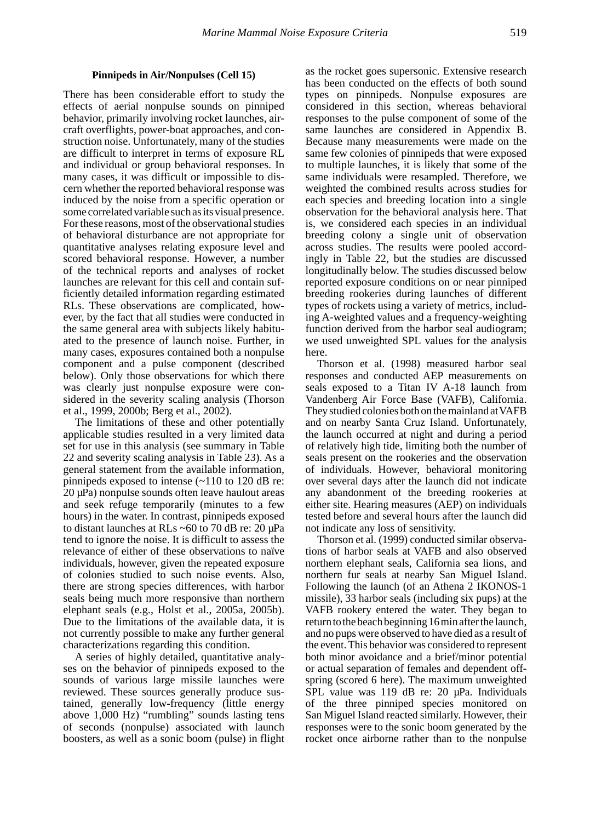#### **Pinnipeds in Air/Nonpulses (Cell 15)**

There has been considerable effort to study the effects of aerial nonpulse sounds on pinniped behavior, primarily involving rocket launches, aircraft overflights, power-boat approaches, and construction noise. Unfortunately, many of the studies are difficult to interpret in terms of exposure RL and individual or group behavioral responses. In many cases, it was difficult or impossible to discern whether the reported behavioral response was induced by the noise from a specific operation or some correlated variable such as its visual presence. For these reasons, most of the observational studies of behavioral disturbance are not appropriate for quantitative analyses relating exposure level and scored behavioral response. However, a number of the technical reports and analyses of rocket launches are relevant for this cell and contain sufficiently detailed information regarding estimated RLs. These observations are complicated, however, by the fact that all studies were conducted in the same general area with subjects likely habituated to the presence of launch noise. Further, in many cases, exposures contained both a nonpulse component and a pulse component (described below). Only those observations for which there was clearly just nonpulse exposure were considered in the severity scaling analysis (Thorson et al., 1999, 2000b; Berg et al., 2002).

The limitations of these and other potentially applicable studies resulted in a very limited data set for use in this analysis (see summary in Table 22 and severity scaling analysis in Table 23). As a general statement from the available information, pinnipeds exposed to intense (~110 to 120 dB re: 20 µPa) nonpulse sounds often leave haulout areas and seek refuge temporarily (minutes to a few hours) in the water. In contrast, pinnipeds exposed to distant launches at RLs ~60 to 70 dB re: 20 µPa tend to ignore the noise. It is difficult to assess the relevance of either of these observations to naïve individuals, however, given the repeated exposure of colonies studied to such noise events. Also, there are strong species differences, with harbor seals being much more responsive than northern elephant seals (e.g., Holst et al., 2005a, 2005b). Due to the limitations of the available data, it is not currently possible to make any further general characterizations regarding this condition.

A series of highly detailed, quantitative analyses on the behavior of pinnipeds exposed to the sounds of various large missile launches were reviewed. These sources generally produce sustained, generally low-frequency (little energy above 1,000 Hz) "rumbling" sounds lasting tens of seconds (nonpulse) associated with launch boosters, as well as a sonic boom (pulse) in flight

as the rocket goes supersonic. Extensive research has been conducted on the effects of both sound types on pinnipeds. Nonpulse exposures are considered in this section, whereas behavioral responses to the pulse component of some of the same launches are considered in Appendix B. Because many measurements were made on the same few colonies of pinnipeds that were exposed to multiple launches, it is likely that some of the same individuals were resampled. Therefore, we weighted the combined results across studies for each species and breeding location into a single observation for the behavioral analysis here. That is, we considered each species in an individual breeding colony a single unit of observation across studies. The results were pooled accordingly in Table 22, but the studies are discussed longitudinally below. The studies discussed below reported exposure conditions on or near pinniped breeding rookeries during launches of different types of rockets using a variety of metrics, including A-weighted values and a frequency-weighting function derived from the harbor seal audiogram; we used unweighted SPL values for the analysis here.

Thorson et al. (1998) measured harbor seal responses and conducted AEP measurements on seals exposed to a Titan IV A-18 launch from Vandenberg Air Force Base (VAFB), California. They studied colonies both on the mainland at VAFB and on nearby Santa Cruz Island. Unfortunately, the launch occurred at night and during a period of relatively high tide, limiting both the number of seals present on the rookeries and the observation of individuals. However, behavioral monitoring over several days after the launch did not indicate any abandonment of the breeding rookeries at either site. Hearing measures (AEP) on individuals tested before and several hours after the launch did not indicate any loss of sensitivity.

Thorson et al. (1999) conducted similar observations of harbor seals at VAFB and also observed northern elephant seals, California sea lions, and northern fur seals at nearby San Miguel Island. Following the launch (of an Athena 2 IKONOS-1 missile), 33 harbor seals (including six pups) at the VAFB rookery entered the water. They began to return to the beach beginning 16 min after the launch, and no pups were observed to have died as a result of the event. This behavior was considered to represent both minor avoidance and a brief/minor potential or actual separation of females and dependent offspring (scored 6 here). The maximum unweighted SPL value was 119 dB re: 20 µPa. Individuals of the three pinniped species monitored on San Miguel Island reacted similarly. However, their responses were to the sonic boom generated by the rocket once airborne rather than to the nonpulse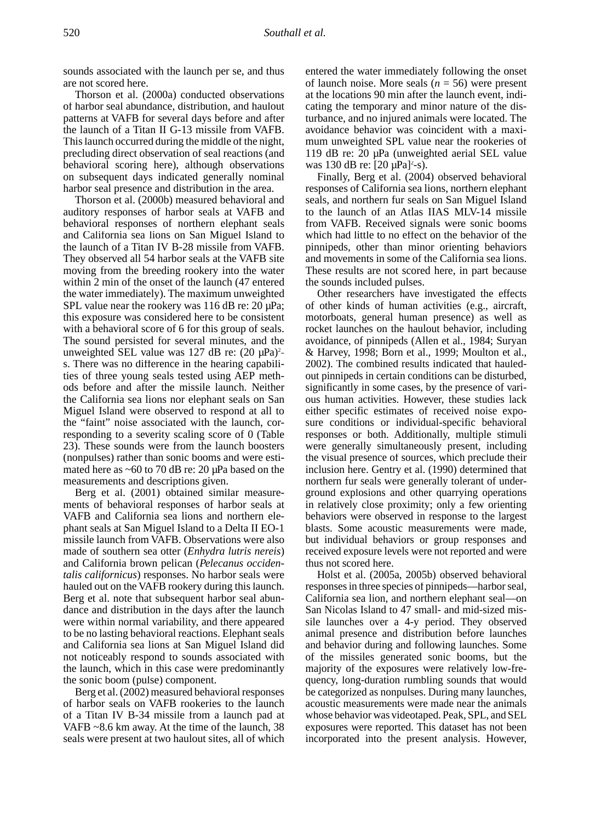sounds associated with the launch per se, and thus are not scored here.

Thorson et al. (2000a) conducted observations of harbor seal abundance, distribution, and haulout patterns at VAFB for several days before and after the launch of a Titan II G-13 missile from VAFB. This launch occurred during the middle of the night, precluding direct observation of seal reactions (and behavioral scoring here), although observations on subsequent days indicated generally nominal harbor seal presence and distribution in the area.

Thorson et al. (2000b) measured behavioral and auditory responses of harbor seals at VAFB and behavioral responses of northern elephant seals and California sea lions on San Miguel Island to the launch of a Titan IV B-28 missile from VAFB. They observed all 54 harbor seals at the VAFB site moving from the breeding rookery into the water within 2 min of the onset of the launch (47 entered the water immediately). The maximum unweighted SPL value near the rookery was 116 dB re: 20  $\mu$ Pa; this exposure was considered here to be consistent with a behavioral score of 6 for this group of seals. The sound persisted for several minutes, and the unweighted SEL value was  $127$  dB re:  $(20 \mu Pa)^2$ s. There was no difference in the hearing capabilities of three young seals tested using AEP methods before and after the missile launch. Neither the California sea lions nor elephant seals on San Miguel Island were observed to respond at all to the "faint" noise associated with the launch, corresponding to a severity scaling score of 0 (Table 23). These sounds were from the launch boosters (nonpulses) rather than sonic booms and were estimated here as ~60 to 70 dB re: 20 µPa based on the measurements and descriptions given.

Berg et al. (2001) obtained similar measurements of behavioral responses of harbor seals at VAFB and California sea lions and northern elephant seals at San Miguel Island to a Delta II EO-1 missile launch from VAFB. Observations were also made of southern sea otter (*Enhydra lutris nereis*) and California brown pelican (*Pelecanus occidentalis californicus*) responses. No harbor seals were hauled out on the VAFB rookery during this launch. Berg et al. note that subsequent harbor seal abundance and distribution in the days after the launch were within normal variability, and there appeared to be no lasting behavioral reactions. Elephant seals and California sea lions at San Miguel Island did not noticeably respond to sounds associated with the launch, which in this case were predominantly the sonic boom (pulse) component.

Berg et al. (2002) measured behavioral responses of harbor seals on VAFB rookeries to the launch of a Titan IV B-34 missile from a launch pad at VAFB ~8.6 km away. At the time of the launch, 38 seals were present at two haulout sites, all of which entered the water immediately following the onset of launch noise. More seals  $(n = 56)$  were present at the locations 90 min after the launch event, indicating the temporary and minor nature of the disturbance, and no injured animals were located. The avoidance behavior was coincident with a maximum unweighted SPL value near the rookeries of 119 dB re: 20 µPa (unweighted aerial SEL value was 130 dB re:  $[20 \,\mu Pa]^2$ -s).

Finally, Berg et al. (2004) observed behavioral responses of California sea lions, northern elephant seals, and northern fur seals on San Miguel Island to the launch of an Atlas IIAS MLV-14 missile from VAFB. Received signals were sonic booms which had little to no effect on the behavior of the pinnipeds, other than minor orienting behaviors and movements in some of the California sea lions. These results are not scored here, in part because the sounds included pulses.

Other researchers have investigated the effects of other kinds of human activities (e.g., aircraft, motorboats, general human presence) as well as rocket launches on the haulout behavior, including avoidance, of pinnipeds (Allen et al., 1984; Suryan & Harvey, 1998; Born et al., 1999; Moulton et al., 2002). The combined results indicated that hauledout pinnipeds in certain conditions can be disturbed, significantly in some cases, by the presence of various human activities. However, these studies lack either specific estimates of received noise exposure conditions or individual-specific behavioral responses or both. Additionally, multiple stimuli were generally simultaneously present, including the visual presence of sources, which preclude their inclusion here. Gentry et al. (1990) determined that northern fur seals were generally tolerant of underground explosions and other quarrying operations in relatively close proximity; only a few orienting behaviors were observed in response to the largest blasts. Some acoustic measurements were made, but individual behaviors or group responses and received exposure levels were not reported and were thus not scored here.

Holst et al. (2005a, 2005b) observed behavioral responses in three species of pinnipeds—harbor seal, California sea lion, and northern elephant seal—on San Nicolas Island to 47 small- and mid-sized missile launches over a 4-y period. They observed animal presence and distribution before launches and behavior during and following launches. Some of the missiles generated sonic booms, but the majority of the exposures were relatively low-frequency, long-duration rumbling sounds that would be categorized as nonpulses. During many launches, acoustic measurements were made near the animals whose behavior was videotaped. Peak, SPL, and SEL exposures were reported. This dataset has not been incorporated into the present analysis. However,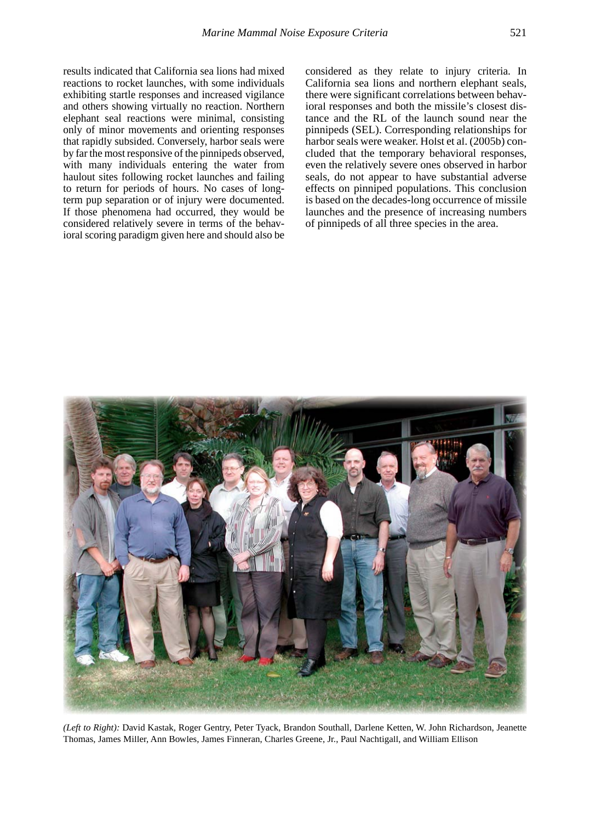results indicated that California sea lions had mixed reactions to rocket launches, with some individuals exhibiting startle responses and increased vigilance and others showing virtually no reaction. Northern elephant seal reactions were minimal, consisting only of minor movements and orienting responses that rapidly subsided. Conversely, harbor seals were by far the most responsive of the pinnipeds observed, with many individuals entering the water from haulout sites following rocket launches and failing to return for periods of hours. No cases of longterm pup separation or of injury were documented. If those phenomena had occurred, they would be considered relatively severe in terms of the behavioral scoring paradigm given here and should also be

considered as they relate to injury criteria. In California sea lions and northern elephant seals, there were significant correlations between behavioral responses and both the missile's closest distance and the RL of the launch sound near the pinnipeds (SEL). Corresponding relationships for harbor seals were weaker. Holst et al. (2005b) concluded that the temporary behavioral responses, even the relatively severe ones observed in harbor seals, do not appear to have substantial adverse effects on pinniped populations. This conclusion is based on the decades-long occurrence of missile launches and the presence of increasing numbers of pinnipeds of all three species in the area.



*(Left to Right):* David Kastak, Roger Gentry, Peter Tyack, Brandon Southall, Darlene Ketten, W. John Richardson, Jeanette Thomas, James Miller, Ann Bowles, James Finneran, Charles Greene, Jr., Paul Nachtigall, and William Ellison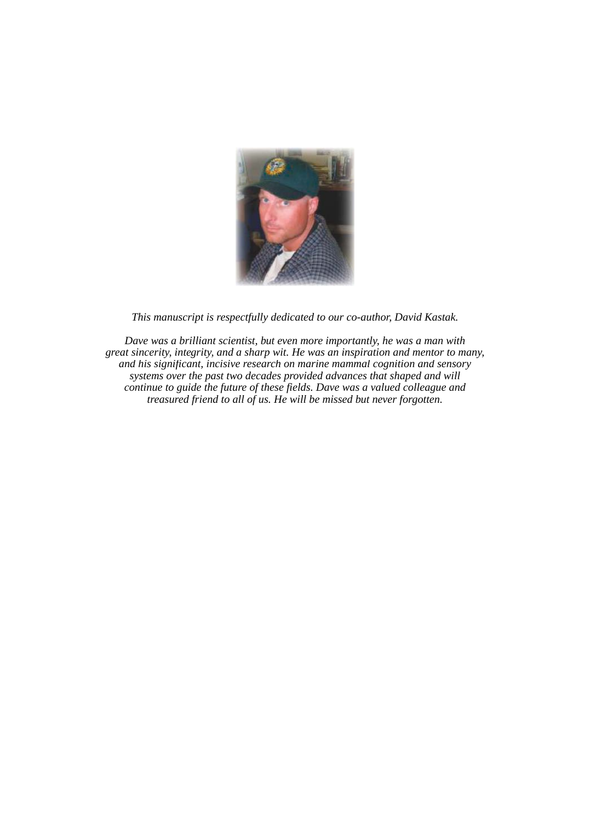

*This manuscript is respectfully dedicated to our co-author, David Kastak.* 

*Dave was a brilliant scientist, but even more importantly, he was a man with great sincerity, integrity, and a sharp wit. He was an inspiration and mentor to many, and his significant, incisive research on marine mammal cognition and sensory systems over the past two decades provided advances that shaped and will continue to guide the future of these fields. Dave was a valued colleague and treasured friend to all of us. He will be missed but never forgotten.*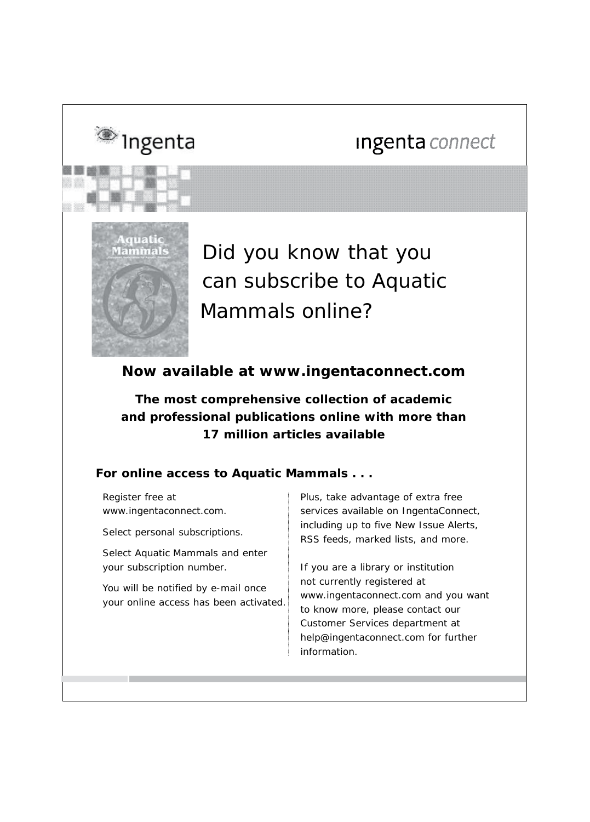# Ingenta connect



<sup>®</sup> Ingenta

Did you know that you can subscribe to *Aquatic Mammals* online?

# **Now available at www.ingentaconnect.com**

**The most comprehensive collection of academic and professional publications online with more than 17 million articles available**

## **For online access to** *Aquatic Mammals* **. . .**

Register free at www.ingentaconnect.com.

Select *personal subscriptions.* 

Select *Aquatic Mammals* and enter your subscription number.

You will be notified by e-mail once your online access has been activated. Plus, take advantage of extra free services available on IngentaConnect, including up to five New Issue Alerts, RSS feeds, marked lists, and more.

If you are a library or institution not currently registered at www.ingentaconnect.com and you want to know more, please contact our Customer Services department at help@ingentaconnect.com for further information.